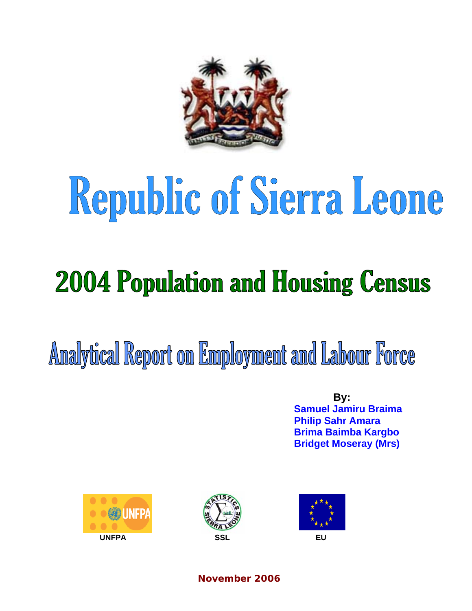

# Republic of Sierra Leone

# **2004 Population and Housing Census**

Analytical Report on Employment and Labour Force

 **By: Samuel Jamiru Braima Philip Sahr Amara Brima Baimba Kargbo Bridget Moseray (Mrs)** 







**November 2006**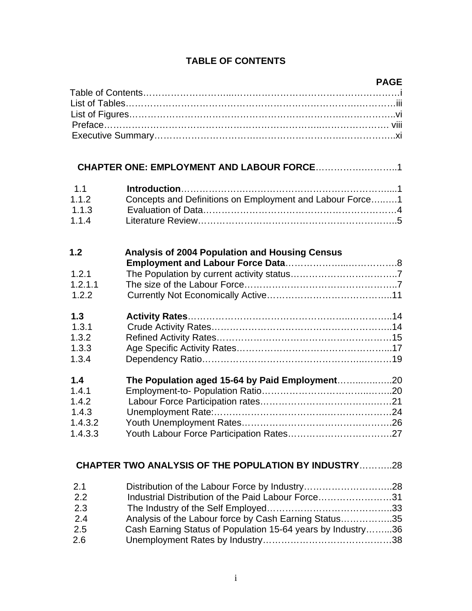## **TABLE OF CONTENTS**

#### **PAGE**

| 1.1   |                                                          |  |
|-------|----------------------------------------------------------|--|
| 1.1.2 | Concepts and Definitions on Employment and Labour Force1 |  |
| 1.1.3 |                                                          |  |

1.1.4 Literature Review………………………………………………………..5

| 1.2     | <b>Analysis of 2004 Population and Housing Census</b> |  |
|---------|-------------------------------------------------------|--|
|         |                                                       |  |
| 1.2.1   |                                                       |  |
| 1.2.1.1 |                                                       |  |
| 1.2.2   |                                                       |  |
| 1.3     |                                                       |  |
| 1.3.1   |                                                       |  |
| 1.3.2   |                                                       |  |
| 1.3.3   |                                                       |  |
| 1.3.4   |                                                       |  |
| 1.4     |                                                       |  |
| 1.4.1   |                                                       |  |
| 1.4.2   |                                                       |  |
| 1.4.3   |                                                       |  |
| 1.4.3.2 |                                                       |  |
| 1.4.3.3 |                                                       |  |

# **CHAPTER TWO ANALYSIS OF THE POPULATION BY INDUSTRY**………..28

| 2.1 | Distribution of the Labour Force by Industry28              |  |
|-----|-------------------------------------------------------------|--|
| 2.2 | Industrial Distribution of the Paid Labour Force31          |  |
| 2.3 |                                                             |  |
| 2.4 | Analysis of the Labour force by Cash Earning Status35       |  |
| 2.5 | Cash Earning Status of Population 15-64 years by Industry36 |  |
| 2.6 |                                                             |  |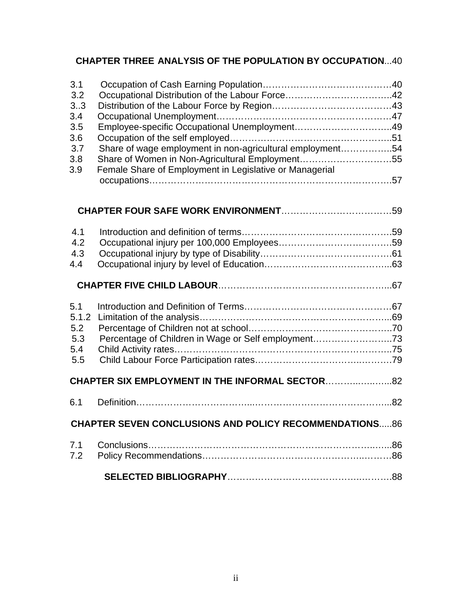## **CHAPTER THREE ANALYSIS OF THE POPULATION BY OCCUPATION**...40

| 3.1 |                                                           |  |
|-----|-----------------------------------------------------------|--|
| 3.2 |                                                           |  |
| 33  |                                                           |  |
| 3.4 |                                                           |  |
| 3.5 |                                                           |  |
| 3.6 |                                                           |  |
| 3.7 | Share of wage employment in non-agricultural employment54 |  |
| 3.8 | Share of Women in Non-Agricultural Employment55           |  |
| 3.9 | Female Share of Employment in Legislative or Managerial   |  |
|     |                                                           |  |
|     |                                                           |  |
| 4.1 |                                                           |  |
| 4.2 |                                                           |  |
| 4.3 |                                                           |  |
|     |                                                           |  |
| 4.4 |                                                           |  |

# **CHAPTER SIX EMPLOYMENT IN THE INFORMAL SECTOR**………...…..…...82

# 6.1 Definition………………………………...……………………………………...82 **CHAPTER SEVEN CONCLUSIONS AND POLICY RECOMMENDATIONS**.....86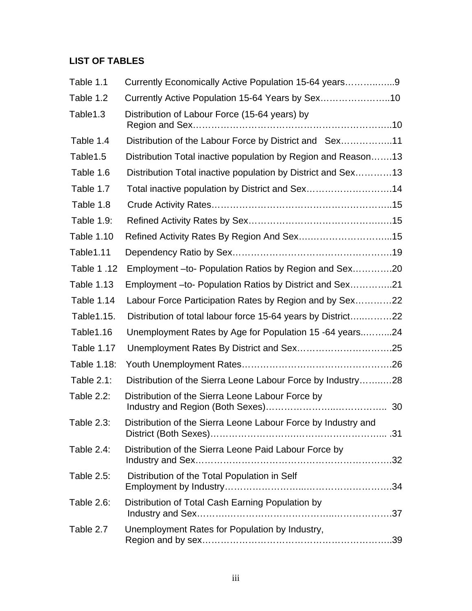# **LIST OF TABLES**

| Table 1.1         | Currently Economically Active Population 15-64 years9         |
|-------------------|---------------------------------------------------------------|
| Table 1.2         | Currently Active Population 15-64 Years by Sex10              |
| Table1.3          | Distribution of Labour Force (15-64 years) by                 |
| Table 1.4         | Distribution of the Labour Force by District and Sex11        |
| Table1.5          | Distribution Total inactive population by Region and Reason13 |
| Table 1.6         | Distribution Total inactive population by District and Sex13  |
| Table 1.7         | Total inactive population by District and Sex14               |
| Table 1.8         |                                                               |
| Table 1.9:        |                                                               |
| <b>Table 1.10</b> |                                                               |
| Table1.11         |                                                               |
| Table 1.12        | Employment - to- Population Ratios by Region and Sex20        |
| Table 1.13        | Employment - to- Population Ratios by District and Sex21      |
| Table 1.14        | Labour Force Participation Rates by Region and by Sex22       |
| Table 1.15.       | Distribution of total labour force 15-64 years by District22  |
| Table1.16         | Unemployment Rates by Age for Population 15 -64 years24       |
| Table 1.17        |                                                               |
| Table 1.18:       |                                                               |
| Table 2.1:        | Distribution of the Sierra Leone Labour Force by Industry28   |
| Table 2.2:        | Distribution of the Sierra Leone Labour Force by              |
| Table 2.3:        | Distribution of the Sierra Leone Labour Force by Industry and |
| Table 2.4:        | Distribution of the Sierra Leone Paid Labour Force by         |
| Table 2.5:        | Distribution of the Total Population in Self                  |
| Table 2.6:        | Distribution of Total Cash Earning Population by              |
| Table 2.7         | Unemployment Rates for Population by Industry,                |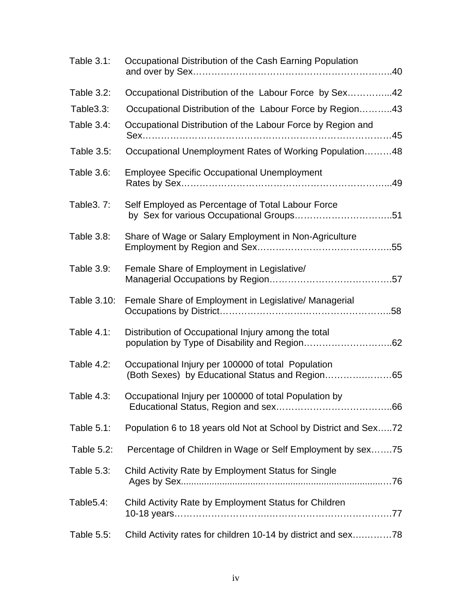| <b>Table 3.1:</b> | Occupational Distribution of the Cash Earning Population                                              |
|-------------------|-------------------------------------------------------------------------------------------------------|
| Table 3.2:        | Occupational Distribution of the Labour Force by Sex42                                                |
| Table3.3:         | Occupational Distribution of the Labour Force by Region43                                             |
| Table 3.4:        | Occupational Distribution of the Labour Force by Region and                                           |
| Table 3.5:        | Occupational Unemployment Rates of Working Population48                                               |
| Table 3.6:        | <b>Employee Specific Occupational Unemployment</b>                                                    |
| Table 3. 7:       | Self Employed as Percentage of Total Labour Force                                                     |
| Table 3.8:        | Share of Wage or Salary Employment in Non-Agriculture                                                 |
| Table 3.9:        | Female Share of Employment in Legislative/                                                            |
| Table 3.10:       | Female Share of Employment in Legislative/ Managerial                                                 |
| Table $4.1$ :     | Distribution of Occupational Injury among the total                                                   |
| Table $4.2$ :     | Occupational Injury per 100000 of total Population<br>(Both Sexes) by Educational Status and Region65 |
| Table 4.3:        | Occupational Injury per 100000 of total Population by                                                 |
| Table 5.1:        | Population 6 to 18 years old Not at School by District and Sex72                                      |
| Table 5.2:        | Percentage of Children in Wage or Self Employment by sex75                                            |
| Table 5.3:        | Child Activity Rate by Employment Status for Single                                                   |
| Table5.4:         | Child Activity Rate by Employment Status for Children                                                 |
| Table 5.5:        | Child Activity rates for children 10-14 by district and sex78                                         |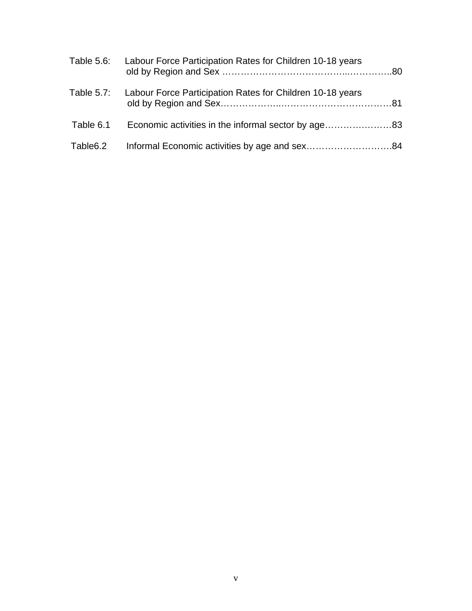| Table 5.6: | Labour Force Participation Rates for Children 10-18 years |  |
|------------|-----------------------------------------------------------|--|
| Table 5.7: | Labour Force Participation Rates for Children 10-18 years |  |
| Table 6.1  |                                                           |  |
| Table6.2   |                                                           |  |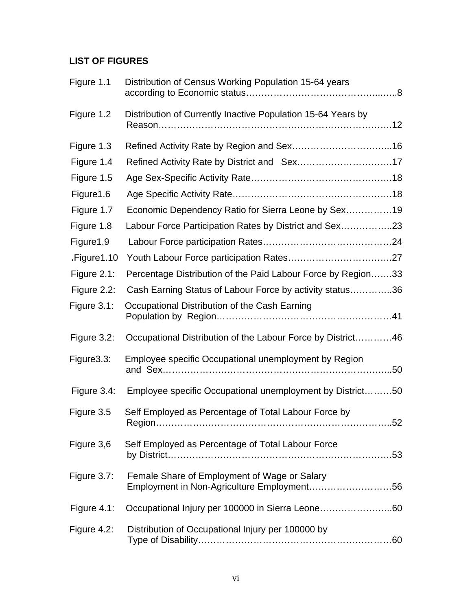# **LIST OF FIGURES**

| Figure 1.1  | Distribution of Census Working Population 15-64 years                                      |
|-------------|--------------------------------------------------------------------------------------------|
| Figure 1.2  | Distribution of Currently Inactive Population 15-64 Years by                               |
| Figure 1.3  |                                                                                            |
| Figure 1.4  |                                                                                            |
| Figure 1.5  |                                                                                            |
| Figure 1.6  |                                                                                            |
| Figure 1.7  | Economic Dependency Ratio for Sierra Leone by Sex19                                        |
| Figure 1.8  | Labour Force Participation Rates by District and Sex23                                     |
| Figure 1.9  |                                                                                            |
| Figure 1.10 |                                                                                            |
| Figure 2.1: | Percentage Distribution of the Paid Labour Force by Region33                               |
| Figure 2.2: | Cash Earning Status of Labour Force by activity status36                                   |
| Figure 3.1: | Occupational Distribution of the Cash Earning                                              |
| Figure 3.2: | Occupational Distribution of the Labour Force by District46                                |
| Figure3.3:  | Employee specific Occupational unemployment by Region                                      |
| Figure 3.4: | Employee specific Occupational unemployment by District50                                  |
| Figure 3.5  | Self Employed as Percentage of Total Labour Force by<br>52                                 |
| Figure 3,6  | Self Employed as Percentage of Total Labour Force                                          |
| Figure 3.7: | Female Share of Employment of Wage or Salary<br>Employment in Non-Agriculture Employment56 |
| Figure 4.1: | Occupational Injury per 100000 in Sierra Leone60                                           |
| Figure 4.2: | Distribution of Occupational Injury per 100000 by                                          |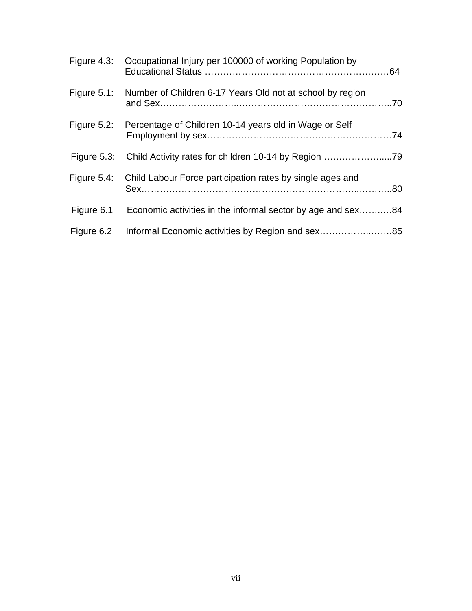|                | Figure 4.3: Occupational Injury per 100000 of working Population by |  |
|----------------|---------------------------------------------------------------------|--|
| Figure $5.1$ : | Number of Children 6-17 Years Old not at school by region           |  |
| Figure $5.2$ : | Percentage of Children 10-14 years old in Wage or Self              |  |
| Figure $5.3$ : |                                                                     |  |
| Figure 5.4:    | Child Labour Force participation rates by single ages and           |  |
| Figure 6.1     | Economic activities in the informal sector by age and sex84         |  |
| Figure 6.2     |                                                                     |  |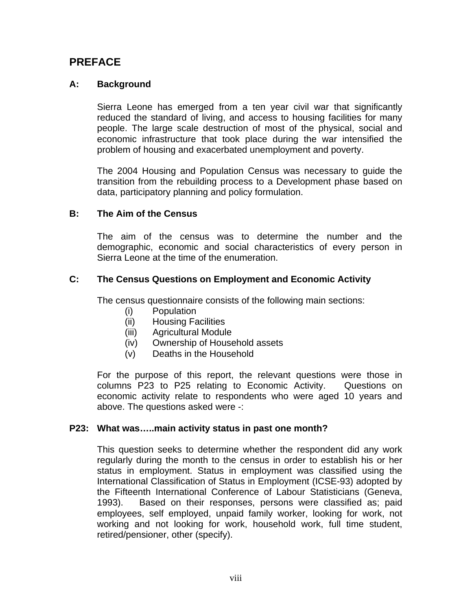# **PREFACE**

#### **A: Background**

Sierra Leone has emerged from a ten year civil war that significantly reduced the standard of living, and access to housing facilities for many people. The large scale destruction of most of the physical, social and economic infrastructure that took place during the war intensified the problem of housing and exacerbated unemployment and poverty.

The 2004 Housing and Population Census was necessary to guide the transition from the rebuilding process to a Development phase based on data, participatory planning and policy formulation.

#### **B: The Aim of the Census**

The aim of the census was to determine the number and the demographic, economic and social characteristics of every person in Sierra Leone at the time of the enumeration.

#### **C: The Census Questions on Employment and Economic Activity**

The census questionnaire consists of the following main sections:

- (i) Population
- (ii) Housing Facilities
- (iii) Agricultural Module
- (iv) Ownership of Household assets
- (v) Deaths in the Household

For the purpose of this report, the relevant questions were those in columns P23 to P25 relating to Economic Activity. Questions on economic activity relate to respondents who were aged 10 years and above. The questions asked were -:

#### **P23: What was…..main activity status in past one month?**

This question seeks to determine whether the respondent did any work regularly during the month to the census in order to establish his or her status in employment. Status in employment was classified using the International Classification of Status in Employment (ICSE-93) adopted by the Fifteenth International Conference of Labour Statisticians (Geneva, 1993). Based on their responses, persons were classified as; paid employees, self employed, unpaid family worker, looking for work, not working and not looking for work, household work, full time student, retired/pensioner, other (specify).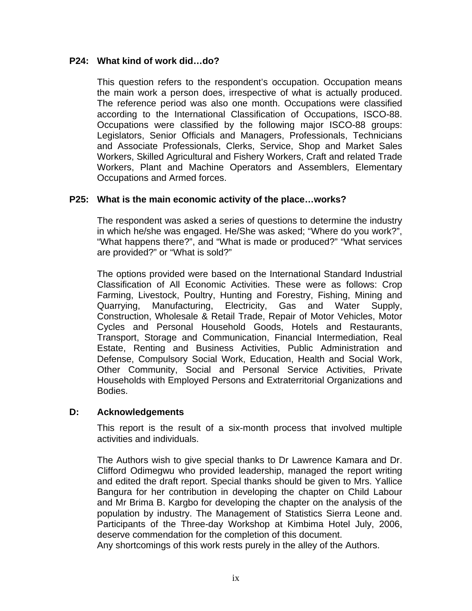#### **P24: What kind of work did…do?**

This question refers to the respondent's occupation. Occupation means the main work a person does, irrespective of what is actually produced. The reference period was also one month. Occupations were classified according to the International Classification of Occupations, ISCO-88. Occupations were classified by the following major ISCO-88 groups: Legislators, Senior Officials and Managers, Professionals, Technicians and Associate Professionals, Clerks, Service, Shop and Market Sales Workers, Skilled Agricultural and Fishery Workers, Craft and related Trade Workers, Plant and Machine Operators and Assemblers, Elementary Occupations and Armed forces.

#### **P25: What is the main economic activity of the place…works?**

The respondent was asked a series of questions to determine the industry in which he/she was engaged. He/She was asked; "Where do you work?", "What happens there?", and "What is made or produced?" "What services are provided?" or "What is sold?"

The options provided were based on the International Standard Industrial Classification of All Economic Activities. These were as follows: Crop Farming, Livestock, Poultry, Hunting and Forestry, Fishing, Mining and Quarrying, Manufacturing, Electricity, Gas and Water Supply, Construction, Wholesale & Retail Trade, Repair of Motor Vehicles, Motor Cycles and Personal Household Goods, Hotels and Restaurants, Transport, Storage and Communication, Financial Intermediation, Real Estate, Renting and Business Activities, Public Administration and Defense, Compulsory Social Work, Education, Health and Social Work, Other Community, Social and Personal Service Activities, Private Households with Employed Persons and Extraterritorial Organizations and Bodies.

#### **D: Acknowledgements**

This report is the result of a six-month process that involved multiple activities and individuals.

The Authors wish to give special thanks to Dr Lawrence Kamara and Dr. Clifford Odimegwu who provided leadership, managed the report writing and edited the draft report. Special thanks should be given to Mrs. Yallice Bangura for her contribution in developing the chapter on Child Labour and Mr Brima B. Kargbo for developing the chapter on the analysis of the population by industry. The Management of Statistics Sierra Leone and. Participants of the Three-day Workshop at Kimbima Hotel July, 2006, deserve commendation for the completion of this document.

Any shortcomings of this work rests purely in the alley of the Authors.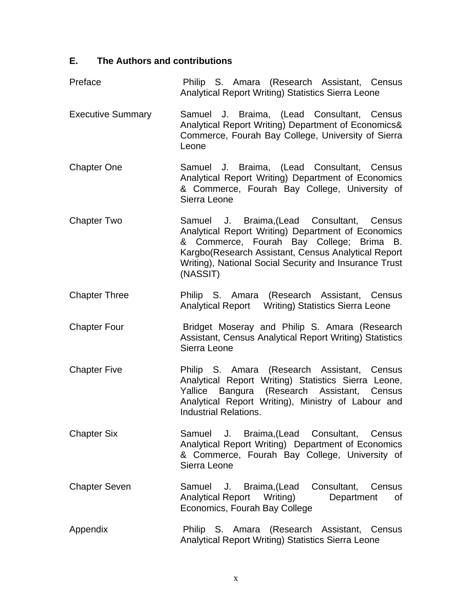# **E. The Authors and contributions**

| Preface                  | Philip S. Amara (Research Assistant, Census<br>Analytical Report Writing) Statistics Sierra Leone                                                                                                                                                                         |
|--------------------------|---------------------------------------------------------------------------------------------------------------------------------------------------------------------------------------------------------------------------------------------------------------------------|
| <b>Executive Summary</b> | Samuel J. Braima, (Lead Consultant, Census<br>Analytical Report Writing) Department of Economics&<br>Commerce, Fourah Bay College, University of Sierra<br>Leone                                                                                                          |
| <b>Chapter One</b>       | Samuel J. Braima, (Lead Consultant, Census<br>Analytical Report Writing) Department of Economics<br>& Commerce, Fourah Bay College, University of<br>Sierra Leone                                                                                                         |
| <b>Chapter Two</b>       | Samuel J. Braima, (Lead Consultant, Census<br>Analytical Report Writing) Department of Economics<br>& Commerce, Fourah Bay College; Brima B.<br>Kargbo(Research Assistant, Census Analytical Report<br>Writing), National Social Security and Insurance Trust<br>(NASSIT) |
| <b>Chapter Three</b>     | Philip S. Amara (Research Assistant, Census                                                                                                                                                                                                                               |
| <b>Chapter Four</b>      | Bridget Moseray and Philip S. Amara (Research<br>Assistant, Census Analytical Report Writing) Statistics<br>Sierra Leone                                                                                                                                                  |
| <b>Chapter Five</b>      | Philip S. Amara (Research Assistant, Census<br>Analytical Report Writing) Statistics Sierra Leone,<br>Yallice Bangura (Research Assistant, Census<br>Analytical Report Writing), Ministry of Labour and<br><b>Industrial Relations.</b>                                   |
| <b>Chapter Six</b>       | Samuel J. Braima, (Lead Consultant, Census<br>Analytical Report Writing) Department of Economics<br>& Commerce, Fourah Bay College, University of<br>Sierra Leone                                                                                                         |
| <b>Chapter Seven</b>     | Consultant,<br>J. Braima, (Lead<br>Census<br>Samuel<br><b>Analytical Report</b><br>Writing)<br>Department<br>0f<br>Economics, Fourah Bay College                                                                                                                          |
| Appendix                 | Philip S. Amara (Research Assistant, Census<br>Analytical Report Writing) Statistics Sierra Leone                                                                                                                                                                         |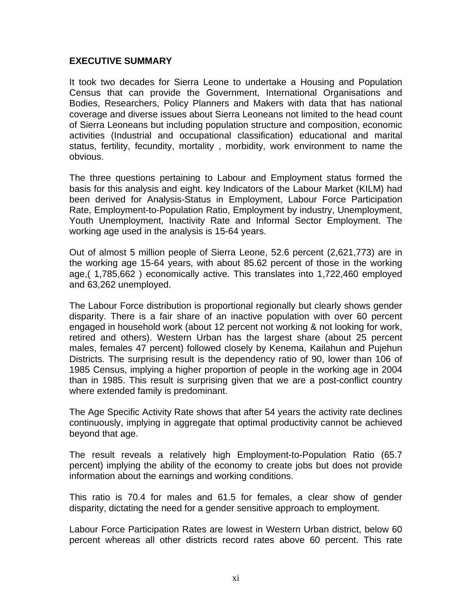#### **EXECUTIVE SUMMARY**

It took two decades for Sierra Leone to undertake a Housing and Population Census that can provide the Government, International Organisations and Bodies, Researchers, Policy Planners and Makers with data that has national coverage and diverse issues about Sierra Leoneans not limited to the head count of Sierra Leoneans but including population structure and composition, economic activities (Industrial and occupational classification) educational and marital status, fertility, fecundity, mortality , morbidity, work environment to name the obvious.

The three questions pertaining to Labour and Employment status formed the basis for this analysis and eight. key Indicators of the Labour Market (KILM) had been derived for Analysis-Status in Employment, Labour Force Participation Rate, Employment-to-Population Ratio, Employment by industry, Unemployment, Youth Unemployment, Inactivity Rate and Informal Sector Employment. The working age used in the analysis is 15-64 years.

Out of almost 5 million people of Sierra Leone, 52.6 percent (2,621,773) are in the working age 15-64 years, with about 85.62 percent of those in the working age,( 1,785,662 ) economically active. This translates into 1,722,460 employed and 63,262 unemployed.

The Labour Force distribution is proportional regionally but clearly shows gender disparity. There is a fair share of an inactive population with over 60 percent engaged in household work (about 12 percent not working & not looking for work, retired and others). Western Urban has the largest share (about 25 percent males, females 47 percent) followed closely by Kenema, Kailahun and Pujehun Districts. The surprising result is the dependency ratio of 90, lower than 106 of 1985 Census, implying a higher proportion of people in the working age in 2004 than in 1985. This result is surprising given that we are a post-conflict country where extended family is predominant.

The Age Specific Activity Rate shows that after 54 years the activity rate declines continuously, implying in aggregate that optimal productivity cannot be achieved beyond that age.

The result reveals a relatively high Employment-to-Population Ratio (65.7 percent) implying the ability of the economy to create jobs but does not provide information about the earnings and working conditions.

This ratio is 70.4 for males and 61.5 for females, a clear show of gender disparity, dictating the need for a gender sensitive approach to employment.

Labour Force Participation Rates are lowest in Western Urban district, below 60 percent whereas all other districts record rates above 60 percent. This rate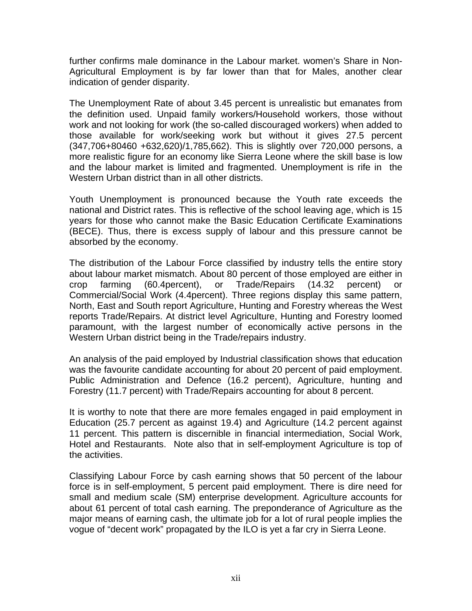further confirms male dominance in the Labour market. women's Share in Non-Agricultural Employment is by far lower than that for Males, another clear indication of gender disparity.

The Unemployment Rate of about 3.45 percent is unrealistic but emanates from the definition used. Unpaid family workers/Household workers, those without work and not looking for work (the so-called discouraged workers) when added to those available for work/seeking work but without it gives 27.5 percent (347,706+80460 +632,620)/1,785,662). This is slightly over 720,000 persons, a more realistic figure for an economy like Sierra Leone where the skill base is low and the labour market is limited and fragmented. Unemployment is rife in the Western Urban district than in all other districts.

Youth Unemployment is pronounced because the Youth rate exceeds the national and District rates. This is reflective of the school leaving age, which is 15 years for those who cannot make the Basic Education Certificate Examinations (BECE). Thus, there is excess supply of labour and this pressure cannot be absorbed by the economy.

The distribution of the Labour Force classified by industry tells the entire story about labour market mismatch. About 80 percent of those employed are either in crop farming (60.4percent), or Trade/Repairs (14.32 percent) or Commercial/Social Work (4.4percent). Three regions display this same pattern, North, East and South report Agriculture, Hunting and Forestry whereas the West reports Trade/Repairs. At district level Agriculture, Hunting and Forestry loomed paramount, with the largest number of economically active persons in the Western Urban district being in the Trade/repairs industry.

An analysis of the paid employed by Industrial classification shows that education was the favourite candidate accounting for about 20 percent of paid employment. Public Administration and Defence (16.2 percent), Agriculture, hunting and Forestry (11.7 percent) with Trade/Repairs accounting for about 8 percent.

It is worthy to note that there are more females engaged in paid employment in Education (25.7 percent as against 19.4) and Agriculture (14.2 percent against 11 percent. This pattern is discernible in financial intermediation, Social Work, Hotel and Restaurants. Note also that in self-employment Agriculture is top of the activities.

Classifying Labour Force by cash earning shows that 50 percent of the labour force is in self-employment, 5 percent paid employment. There is dire need for small and medium scale (SM) enterprise development. Agriculture accounts for about 61 percent of total cash earning. The preponderance of Agriculture as the major means of earning cash, the ultimate job for a lot of rural people implies the vogue of "decent work" propagated by the ILO is yet a far cry in Sierra Leone.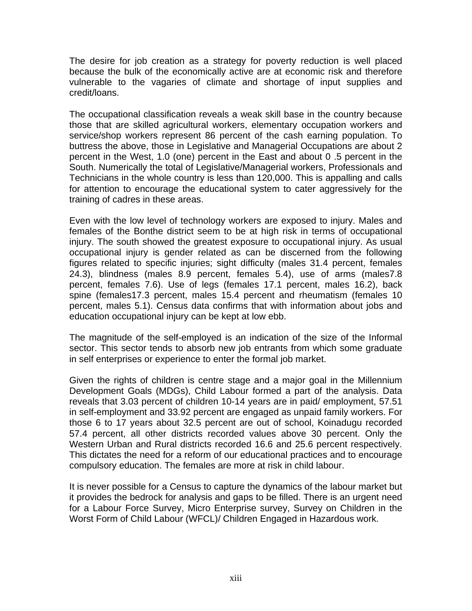The desire for job creation as a strategy for poverty reduction is well placed because the bulk of the economically active are at economic risk and therefore vulnerable to the vagaries of climate and shortage of input supplies and credit/loans.

The occupational classification reveals a weak skill base in the country because those that are skilled agricultural workers, elementary occupation workers and service/shop workers represent 86 percent of the cash earning population. To buttress the above, those in Legislative and Managerial Occupations are about 2 percent in the West, 1.0 (one) percent in the East and about 0 .5 percent in the South. Numerically the total of Legislative/Managerial workers, Professionals and Technicians in the whole country is less than 120,000. This is appalling and calls for attention to encourage the educational system to cater aggressively for the training of cadres in these areas.

Even with the low level of technology workers are exposed to injury. Males and females of the Bonthe district seem to be at high risk in terms of occupational injury. The south showed the greatest exposure to occupational injury. As usual occupational injury is gender related as can be discerned from the following figures related to specific injuries; sight difficulty (males 31.4 percent, females 24.3), blindness (males 8.9 percent, females 5.4), use of arms (males7.8 percent, females 7.6). Use of legs (females 17.1 percent, males 16.2), back spine (females17.3 percent, males 15.4 percent and rheumatism (females 10 percent, males 5.1). Census data confirms that with information about jobs and education occupational injury can be kept at low ebb.

The magnitude of the self-employed is an indication of the size of the Informal sector. This sector tends to absorb new job entrants from which some graduate in self enterprises or experience to enter the formal job market.

Given the rights of children is centre stage and a major goal in the Millennium Development Goals (MDGs), Child Labour formed a part of the analysis. Data reveals that 3.03 percent of children 10-14 years are in paid/ employment, 57.51 in self-employment and 33.92 percent are engaged as unpaid family workers. For those 6 to 17 years about 32.5 percent are out of school, Koinadugu recorded 57.4 percent, all other districts recorded values above 30 percent. Only the Western Urban and Rural districts recorded 16.6 and 25.6 percent respectively. This dictates the need for a reform of our educational practices and to encourage compulsory education. The females are more at risk in child labour.

It is never possible for a Census to capture the dynamics of the labour market but it provides the bedrock for analysis and gaps to be filled. There is an urgent need for a Labour Force Survey, Micro Enterprise survey, Survey on Children in the Worst Form of Child Labour (WFCL)/ Children Engaged in Hazardous work.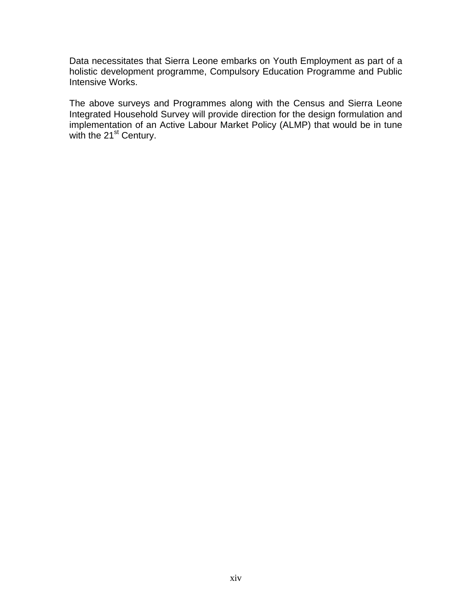Data necessitates that Sierra Leone embarks on Youth Employment as part of a holistic development programme, Compulsory Education Programme and Public Intensive Works.

The above surveys and Programmes along with the Census and Sierra Leone Integrated Household Survey will provide direction for the design formulation and implementation of an Active Labour Market Policy (ALMP) that would be in tune with the 21<sup>st</sup> Century.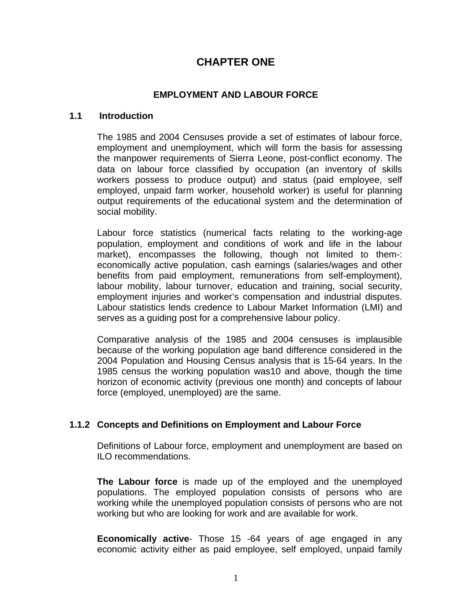# **CHAPTER ONE**

#### **EMPLOYMENT AND LABOUR FORCE**

#### **1.1 Introduction**

The 1985 and 2004 Censuses provide a set of estimates of labour force, employment and unemployment, which will form the basis for assessing the manpower requirements of Sierra Leone, post-conflict economy. The data on labour force classified by occupation (an inventory of skills workers possess to produce output) and status (paid employee, self employed, unpaid farm worker, household worker) is useful for planning output requirements of the educational system and the determination of social mobility.

Labour force statistics (numerical facts relating to the working-age population, employment and conditions of work and life in the labour market), encompasses the following, though not limited to them-: economically active population, cash earnings (salaries/wages and other benefits from paid employment, remunerations from self-employment), labour mobility, labour turnover, education and training, social security, employment injuries and worker's compensation and industrial disputes. Labour statistics lends credence to Labour Market Information (LMI) and serves as a guiding post for a comprehensive labour policy.

Comparative analysis of the 1985 and 2004 censuses is implausible because of the working population age band difference considered in the 2004 Population and Housing Census analysis that is 15-64 years. In the 1985 census the working population was10 and above, though the time horizon of economic activity (previous one month) and concepts of labour force (employed, unemployed) are the same.

#### **1.1.2 Concepts and Definitions on Employment and Labour Force**

Definitions of Labour force, employment and unemployment are based on ILO recommendations.

**The Labour force** is made up of the employed and the unemployed populations. The employed population consists of persons who are working while the unemployed population consists of persons who are not working but who are looking for work and are available for work.

**Economically active**- Those 15 -64 years of age engaged in any economic activity either as paid employee, self employed, unpaid family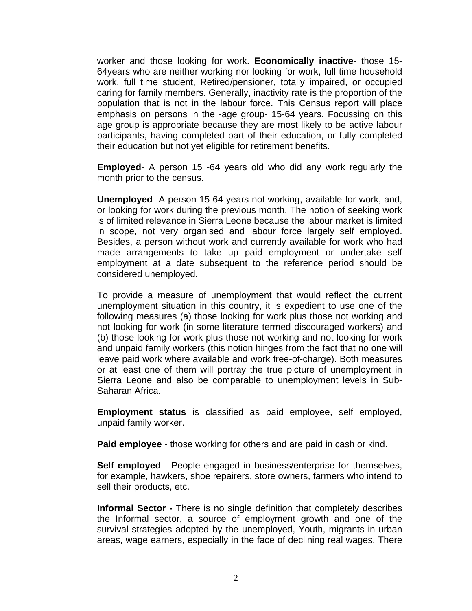worker and those looking for work. **Economically inactive**- those 15- 64years who are neither working nor looking for work, full time household work, full time student, Retired/pensioner, totally impaired, or occupied caring for family members. Generally, inactivity rate is the proportion of the population that is not in the labour force. This Census report will place emphasis on persons in the -age group- 15-64 years. Focussing on this age group is appropriate because they are most likely to be active labour participants, having completed part of their education, or fully completed their education but not yet eligible for retirement benefits.

**Employed**- A person 15 -64 years old who did any work regularly the month prior to the census.

**Unemployed**- A person 15-64 years not working, available for work, and, or looking for work during the previous month. The notion of seeking work is of limited relevance in Sierra Leone because the labour market is limited in scope, not very organised and labour force largely self employed. Besides, a person without work and currently available for work who had made arrangements to take up paid employment or undertake self employment at a date subsequent to the reference period should be considered unemployed.

To provide a measure of unemployment that would reflect the current unemployment situation in this country, it is expedient to use one of the following measures (a) those looking for work plus those not working and not looking for work (in some literature termed discouraged workers) and (b) those looking for work plus those not working and not looking for work and unpaid family workers (this notion hinges from the fact that no one will leave paid work where available and work free-of-charge). Both measures or at least one of them will portray the true picture of unemployment in Sierra Leone and also be comparable to unemployment levels in Sub-Saharan Africa.

**Employment status** is classified as paid employee, self employed, unpaid family worker.

**Paid employee** - those working for others and are paid in cash or kind.

**Self employed** - People engaged in business/enterprise for themselves, for example, hawkers, shoe repairers, store owners, farmers who intend to sell their products, etc.

**Informal Sector -** There is no single definition that completely describes the Informal sector, a source of employment growth and one of the survival strategies adopted by the unemployed, Youth, migrants in urban areas, wage earners, especially in the face of declining real wages. There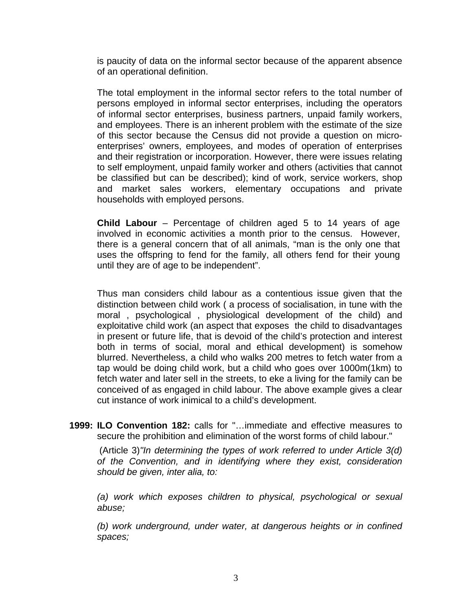is paucity of data on the informal sector because of the apparent absence of an operational definition.

The total employment in the informal sector refers to the total number of persons employed in informal sector enterprises, including the operators of informal sector enterprises, business partners, unpaid family workers, and employees. There is an inherent problem with the estimate of the size of this sector because the Census did not provide a question on microenterprises' owners, employees, and modes of operation of enterprises and their registration or incorporation. However, there were issues relating to self employment, unpaid family worker and others (activities that cannot be classified but can be described); kind of work, service workers, shop and market sales workers, elementary occupations and private households with employed persons.

**Child Labour** – Percentage of children aged 5 to 14 years of age involved in economic activities a month prior to the census. However, there is a general concern that of all animals, "man is the only one that uses the offspring to fend for the family, all others fend for their young until they are of age to be independent".

Thus man considers child labour as a contentious issue given that the distinction between child work ( a process of socialisation, in tune with the moral , psychological , physiological development of the child) and exploitative child work (an aspect that exposes the child to disadvantages in present or future life, that is devoid of the child's protection and interest both in terms of social, moral and ethical development) is somehow blurred. Nevertheless, a child who walks 200 metres to fetch water from a tap would be doing child work, but a child who goes over 1000m(1km) to fetch water and later sell in the streets, to eke a living for the family can be conceived of as engaged in child labour. The above example gives a clear cut instance of work inimical to a child's development.

**1999: ILO Convention 182:** calls for "…immediate and effective measures to secure the prohibition and elimination of the worst forms of child labour."

(Article 3)*"In determining the types of work referred to under Article 3(d) of the Convention, and in identifying where they exist, consideration should be given, inter alia, to:* 

*(a) work which exposes children to physical, psychological or sexual abuse;* 

*(b) work underground, under water, at dangerous heights or in confined spaces;*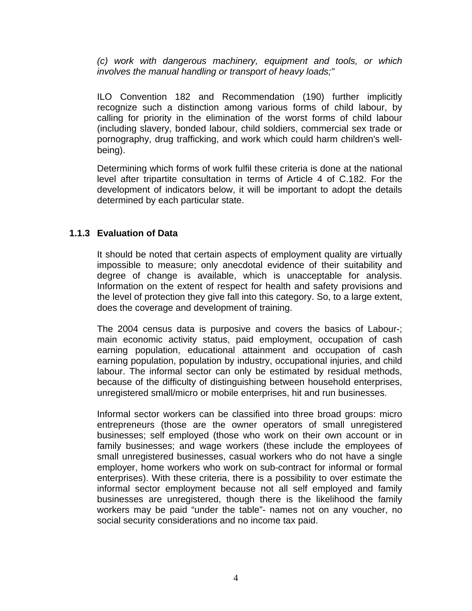*(c) work with dangerous machinery, equipment and tools, or which involves the manual handling or transport of heavy loads;"*

ILO Convention 182 and Recommendation (190) further implicitly recognize such a distinction among various forms of child labour, by calling for priority in the elimination of the worst forms of child labour (including slavery, bonded labour, child soldiers, commercial sex trade or pornography, drug trafficking, and work which could harm children's wellbeing).

Determining which forms of work fulfil these criteria is done at the national level after tripartite consultation in terms of Article 4 of C.182. For the development of indicators below, it will be important to adopt the details determined by each particular state.

#### **1.1.3 Evaluation of Data**

It should be noted that certain aspects of employment quality are virtually impossible to measure; only anecdotal evidence of their suitability and degree of change is available, which is unacceptable for analysis. Information on the extent of respect for health and safety provisions and the level of protection they give fall into this category. So, to a large extent, does the coverage and development of training.

The 2004 census data is purposive and covers the basics of Labour-; main economic activity status, paid employment, occupation of cash earning population, educational attainment and occupation of cash earning population, population by industry, occupational injuries, and child labour. The informal sector can only be estimated by residual methods, because of the difficulty of distinguishing between household enterprises, unregistered small/micro or mobile enterprises, hit and run businesses.

Informal sector workers can be classified into three broad groups: micro entrepreneurs (those are the owner operators of small unregistered businesses; self employed (those who work on their own account or in family businesses; and wage workers (these include the employees of small unregistered businesses, casual workers who do not have a single employer, home workers who work on sub-contract for informal or formal enterprises). With these criteria, there is a possibility to over estimate the informal sector employment because not all self employed and family businesses are unregistered, though there is the likelihood the family workers may be paid "under the table"- names not on any voucher, no social security considerations and no income tax paid.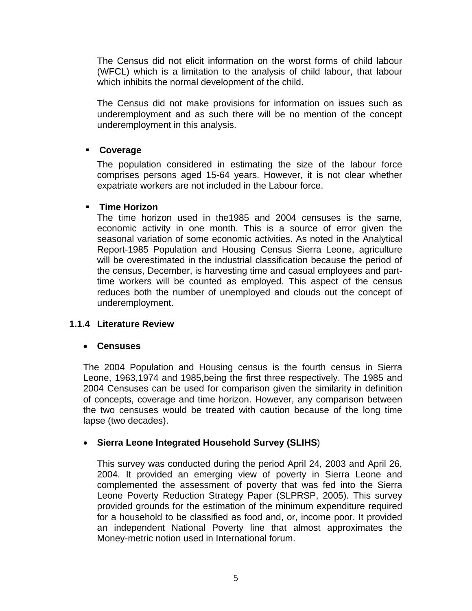The Census did not elicit information on the worst forms of child labour (WFCL) which is a limitation to the analysis of child labour, that labour which inhibits the normal development of the child.

The Census did not make provisions for information on issues such as underemployment and as such there will be no mention of the concept underemployment in this analysis.

#### **Coverage**

The population considered in estimating the size of the labour force comprises persons aged 15-64 years. However, it is not clear whether expatriate workers are not included in the Labour force.

#### **Time Horizon**

The time horizon used in the1985 and 2004 censuses is the same, economic activity in one month. This is a source of error given the seasonal variation of some economic activities. As noted in the Analytical Report-1985 Population and Housing Census Sierra Leone, agriculture will be overestimated in the industrial classification because the period of the census, December, is harvesting time and casual employees and parttime workers will be counted as employed. This aspect of the census reduces both the number of unemployed and clouds out the concept of underemployment.

#### **1.1.4 Literature Review**

#### • **Censuses**

The 2004 Population and Housing census is the fourth census in Sierra Leone, 1963,1974 and 1985,being the first three respectively. The 1985 and 2004 Censuses can be used for comparison given the similarity in definition of concepts, coverage and time horizon. However, any comparison between the two censuses would be treated with caution because of the long time lapse (two decades).

#### • **Sierra Leone Integrated Household Survey (SLIHS**)

This survey was conducted during the period April 24, 2003 and April 26, 2004. It provided an emerging view of poverty in Sierra Leone and complemented the assessment of poverty that was fed into the Sierra Leone Poverty Reduction Strategy Paper (SLPRSP, 2005). This survey provided grounds for the estimation of the minimum expenditure required for a household to be classified as food and, or, income poor. It provided an independent National Poverty line that almost approximates the Money-metric notion used in International forum.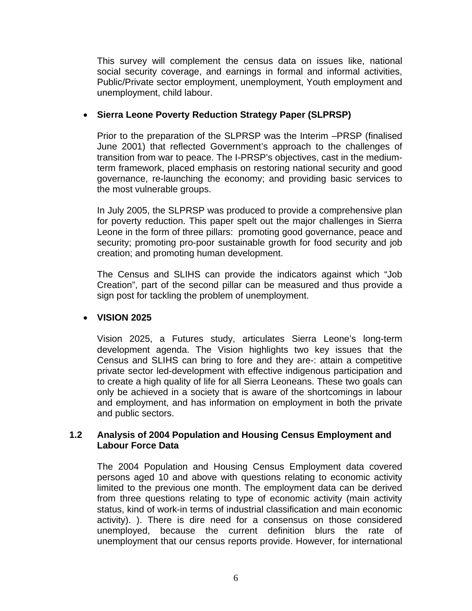This survey will complement the census data on issues like, national social security coverage, and earnings in formal and informal activities, Public/Private sector employment, unemployment, Youth employment and unemployment, child labour.

#### • **Sierra Leone Poverty Reduction Strategy Paper (SLPRSP)**

Prior to the preparation of the SLPRSP was the Interim –PRSP (finalised June 2001) that reflected Government's approach to the challenges of transition from war to peace. The I-PRSP's objectives, cast in the mediumterm framework, placed emphasis on restoring national security and good governance, re-launching the economy; and providing basic services to the most vulnerable groups.

In July 2005, the SLPRSP was produced to provide a comprehensive plan for poverty reduction. This paper spelt out the major challenges in Sierra Leone in the form of three pillars: promoting good governance, peace and security; promoting pro-poor sustainable growth for food security and job creation; and promoting human development.

The Census and SLIHS can provide the indicators against which "Job Creation", part of the second pillar can be measured and thus provide a sign post for tackling the problem of unemployment.

#### • **VISION 2025**

Vision 2025, a Futures study, articulates Sierra Leone's long-term development agenda. The Vision highlights two key issues that the Census and SLIHS can bring to fore and they are-: attain a competitive private sector led-development with effective indigenous participation and to create a high quality of life for all Sierra Leoneans. These two goals can only be achieved in a society that is aware of the shortcomings in labour and employment, and has information on employment in both the private and public sectors.

#### **1.2 Analysis of 2004 Population and Housing Census Employment and Labour Force Data**

The 2004 Population and Housing Census Employment data covered persons aged 10 and above with questions relating to economic activity limited to the previous one month. The employment data can be derived from three questions relating to type of economic activity (main activity status, kind of work-in terms of industrial classification and main economic activity). ). There is dire need for a consensus on those considered unemployed, because the current definition blurs the rate of unemployment that our census reports provide. However, for international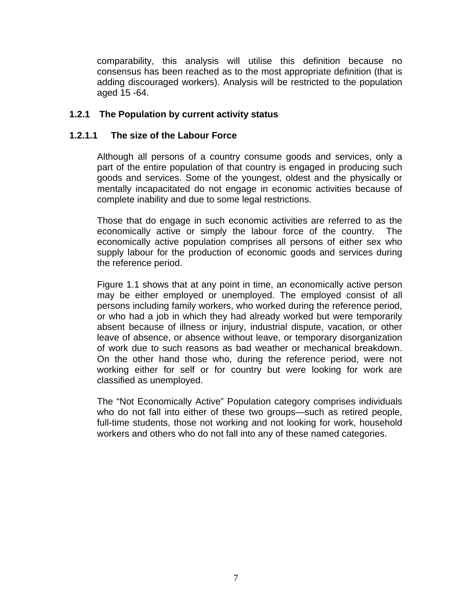comparability, this analysis will utilise this definition because no consensus has been reached as to the most appropriate definition (that is adding discouraged workers). Analysis will be restricted to the population aged 15 -64.

#### **1.2.1 The Population by current activity status**

#### **1.2.1.1 The size of the Labour Force**

Although all persons of a country consume goods and services, only a part of the entire population of that country is engaged in producing such goods and services. Some of the youngest, oldest and the physically or mentally incapacitated do not engage in economic activities because of complete inability and due to some legal restrictions.

Those that do engage in such economic activities are referred to as the economically active or simply the labour force of the country. The economically active population comprises all persons of either sex who supply labour for the production of economic goods and services during the reference period.

Figure 1.1 shows that at any point in time, an economically active person may be either employed or unemployed. The employed consist of all persons including family workers, who worked during the reference period, or who had a job in which they had already worked but were temporarily absent because of illness or injury, industrial dispute, vacation, or other leave of absence, or absence without leave, or temporary disorganization of work due to such reasons as bad weather or mechanical breakdown. On the other hand those who, during the reference period, were not working either for self or for country but were looking for work are classified as unemployed.

The "Not Economically Active" Population category comprises individuals who do not fall into either of these two groups—such as retired people, full-time students, those not working and not looking for work, household workers and others who do not fall into any of these named categories.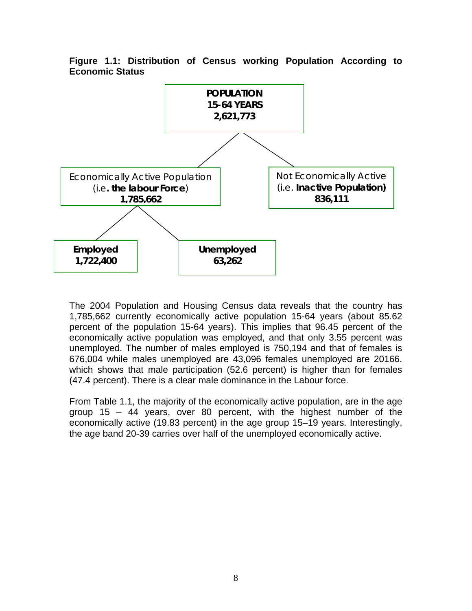

**Figure 1.1: Distribution of Census working Population According to Economic Status** 

The 2004 Population and Housing Census data reveals that the country has 1,785,662 currently economically active population 15-64 years (about 85.62 percent of the population 15-64 years). This implies that 96.45 percent of the economically active population was employed, and that only 3.55 percent was unemployed. The number of males employed is 750,194 and that of females is 676,004 while males unemployed are 43,096 females unemployed are 20166. which shows that male participation (52.6 percent) is higher than for females (47.4 percent). There is a clear male dominance in the Labour force.

From Table 1.1, the majority of the economically active population, are in the age group 15 – 44 years, over 80 percent, with the highest number of the economically active (19.83 percent) in the age group 15–19 years. Interestingly, the age band 20-39 carries over half of the unemployed economically active.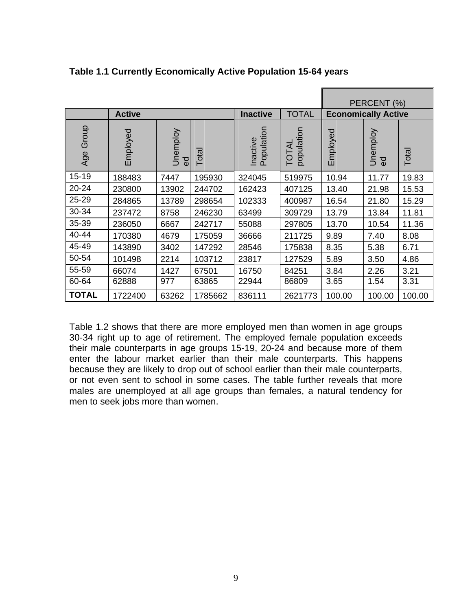|              |               |                            |         |                        |                    |                            | PERCENT (%)                |        |
|--------------|---------------|----------------------------|---------|------------------------|--------------------|----------------------------|----------------------------|--------|
|              | <b>Active</b> |                            |         | <b>Inactive</b>        | <b>TOTAL</b>       | <b>Economically Active</b> |                            |        |
| Group<br>Age | Employed      | Unemploy<br>$\overline{e}$ | Total   | Inactive<br>Population | population<br>TOTA | Employed                   | Unemploy<br>$\overline{6}$ | Total  |
| $15 - 19$    | 188483        | 7447                       | 195930  | 324045                 | 519975             | 10.94                      | 11.77                      | 19.83  |
| $20 - 24$    | 230800        | 13902                      | 244702  | 162423                 | 407125             | 13.40                      | 21.98                      | 15.53  |
| 25-29        | 284865        | 13789                      | 298654  | 102333                 | 400987             | 16.54                      | 21.80                      | 15.29  |
| 30-34        | 237472        | 8758                       | 246230  | 63499                  | 309729             | 13.79                      | 13.84                      | 11.81  |
| 35-39        | 236050        | 6667                       | 242717  | 55088                  | 297805             | 13.70                      | 10.54                      | 11.36  |
| 40-44        | 170380        | 4679                       | 175059  | 36666                  | 211725             | 9.89                       | 7.40                       | 8.08   |
| 45-49        | 143890        | 3402                       | 147292  | 28546                  | 175838             | 8.35                       | 5.38                       | 6.71   |
| 50-54        | 101498        | 2214                       | 103712  | 23817                  | 127529             | 5.89                       | 3.50                       | 4.86   |
| 55-59        | 66074         | 1427                       | 67501   | 16750                  | 84251              | 3.84                       | 2.26                       | 3.21   |
| 60-64        | 62888         | 977                        | 63865   | 22944                  | 86809              | 3.65                       | 1.54                       | 3.31   |
| <b>TOTAL</b> | 1722400       | 63262                      | 1785662 | 836111                 | 2621773            | 100.00                     | 100.00                     | 100.00 |

**Table 1.1 Currently Economically Active Population 15-64 years** 

Table 1.2 shows that there are more employed men than women in age groups 30-34 right up to age of retirement. The employed female population exceeds their male counterparts in age groups 15-19, 20-24 and because more of them enter the labour market earlier than their male counterparts. This happens because they are likely to drop out of school earlier than their male counterparts, or not even sent to school in some cases. The table further reveals that more males are unemployed at all age groups than females, a natural tendency for men to seek jobs more than women.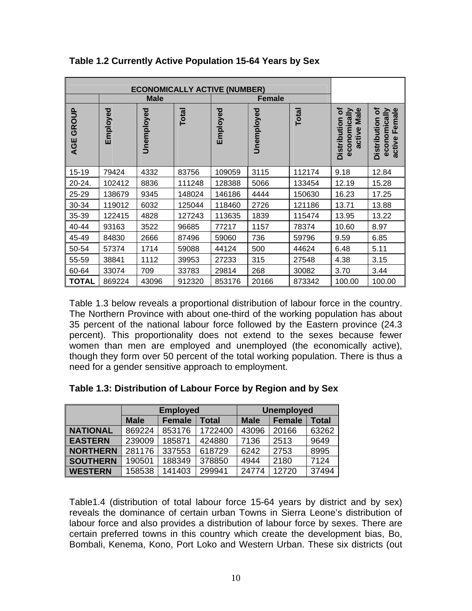|              | <b>Male</b> |            |        |          | <b>Female</b> |              |                                                            |                                                               |
|--------------|-------------|------------|--------|----------|---------------|--------------|------------------------------------------------------------|---------------------------------------------------------------|
| GROUP<br>AGE | Employed    | Unemployed | Total  | Employed | Unemployed    | <b>Total</b> | ৳<br>Male<br>economically<br><b>Distribution</b><br>active | ัอ<br>Female<br>economically<br><b>Distribution</b><br>active |
| 15-19        | 79424       | 4332       | 83756  | 109059   | 3115          | 112174       | 9.18                                                       | 12.84                                                         |
| 20-24.       | 102412      | 8836       | 111248 | 128388   | 5066          | 133454       | 12.19                                                      | 15.28                                                         |
| 25-29        | 138679      | 9345       | 148024 | 146186   | 4444          | 150630       | 16.23                                                      | 17.25                                                         |
| 30-34        | 119012      | 6032       | 125044 | 118460   | 2726          | 121186       | 13.71                                                      | 13.88                                                         |
| 35-39        | 122415      | 4828       | 127243 | 113635   | 1839          | 115474       | 13.95                                                      | 13.22                                                         |
| 40-44        | 93163       | 3522       | 96685  | 77217    | 1157          | 78374        | 10.60                                                      | 8.97                                                          |
| 45-49        | 84830       | 2666       | 87496  | 59060    | 736           | 59796        | 9.59                                                       | 6.85                                                          |
| 50-54        | 57374       | 1714       | 59088  | 44124    | 500           | 44624        | 6.48                                                       | 5.11                                                          |
| 55-59        | 38841       | 1112       | 39953  | 27233    | 315           | 27548        | 4.38                                                       | 3.15                                                          |
| 60-64        | 33074       | 709        | 33783  | 29814    | 268           | 30082        | 3.70                                                       | 3.44                                                          |
| <b>TOTAL</b> | 869224      | 43096      | 912320 | 853176   | 20166         | 873342       | 100.00                                                     | 100.00                                                        |

**Table 1.2 Currently Active Population 15-64 Years by Sex** 

Table 1.3 below reveals a proportional distribution of labour force in the country. The Northern Province with about one-third of the working population has about 35 percent of the national labour force followed by the Eastern province (24.3 percent). This proportionality does not extend to the sexes because fewer women than men are employed and unemployed (the economically active), though they form over 50 percent of the total working population. There is thus a need for a gender sensitive approach to employment.

|  | Table 1.3: Distribution of Labour Force by Region and by Sex |  |  |  |  |
|--|--------------------------------------------------------------|--|--|--|--|
|--|--------------------------------------------------------------|--|--|--|--|

|                 |                              | <b>Employed</b> |         | <b>Unemployed</b> |               |              |  |
|-----------------|------------------------------|-----------------|---------|-------------------|---------------|--------------|--|
|                 | <b>Male</b><br><b>Female</b> |                 | Total   | <b>Male</b>       | <b>Female</b> | <b>Total</b> |  |
| <b>NATIONAL</b> | 869224                       | 853176          | 1722400 | 43096             | 20166         | 63262        |  |
| <b>EASTERN</b>  | 239009                       | 185871          | 424880  | 7136              | 2513          | 9649         |  |
| <b>NORTHERN</b> | 281176                       | 337553          | 618729  | 6242              | 2753          | 8995         |  |
| <b>SOUTHERN</b> | 190501                       | 188349          | 378850  | 4944              | 2180          | 7124         |  |
| <b>WESTERN</b>  | 158538                       | 141403          | 299941  | 24774             | 12720         | 37494        |  |

Table1.4 (distribution of total labour force 15-64 years by district and by sex) reveals the dominance of certain urban Towns in Sierra Leone's distribution of labour force and also provides a distribution of labour force by sexes. There are certain preferred towns in this country which create the development bias, Bo, Bombali, Kenema, Kono, Port Loko and Western Urban. These six districts (out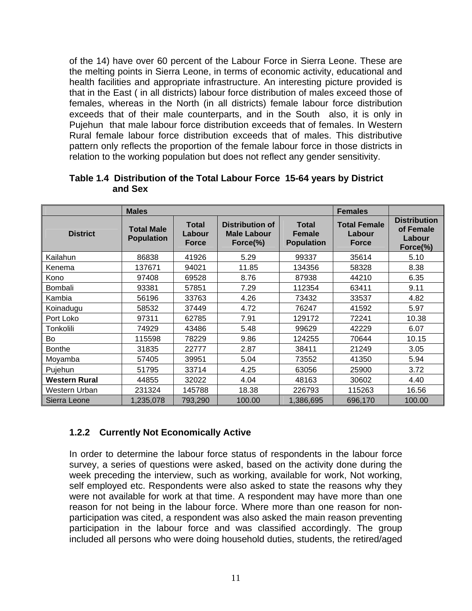of the 14) have over 60 percent of the Labour Force in Sierra Leone. These are the melting points in Sierra Leone, in terms of economic activity, educational and health facilities and appropriate infrastructure. An interesting picture provided is that in the East ( in all districts) labour force distribution of males exceed those of females, whereas in the North (in all districts) female labour force distribution exceeds that of their male counterparts, and in the South also, it is only in Pujehun that male labour force distribution exceeds that of females. In Western Rural female labour force distribution exceeds that of males. This distributive pattern only reflects the proportion of the female labour force in those districts in relation to the working population but does not reflect any gender sensitivity.

|                      | <b>Males</b>                           |                                        | <b>Females</b>                                               |                                                    |                                               |                                                        |
|----------------------|----------------------------------------|----------------------------------------|--------------------------------------------------------------|----------------------------------------------------|-----------------------------------------------|--------------------------------------------------------|
| <b>District</b>      | <b>Total Male</b><br><b>Population</b> | <b>Total</b><br>Labour<br><b>Force</b> | <b>Distribution of</b><br><b>Male Labour</b><br>Force $(\%)$ | <b>Total</b><br><b>Female</b><br><b>Population</b> | <b>Total Female</b><br>Labour<br><b>Force</b> | <b>Distribution</b><br>of Female<br>Labour<br>Force(%) |
| Kailahun             | 86838                                  | 41926                                  | 5.29                                                         | 99337                                              | 35614                                         | 5.10                                                   |
| Kenema               | 137671                                 | 94021                                  | 11.85                                                        | 134356                                             | 58328                                         | 8.38                                                   |
| Kono                 | 97408                                  | 69528                                  | 8.76                                                         | 87938                                              | 44210                                         | 6.35                                                   |
| Bombali              | 93381                                  | 57851                                  | 7.29                                                         | 112354                                             | 63411                                         | 9.11                                                   |
| Kambia               | 56196                                  | 33763                                  | 4.26                                                         | 73432                                              | 33537                                         | 4.82                                                   |
| Koinadugu            | 58532                                  | 37449                                  | 4.72                                                         | 76247                                              | 41592                                         | 5.97                                                   |
| Port Loko            | 97311                                  | 62785                                  | 7.91                                                         | 129172                                             | 72241                                         | 10.38                                                  |
| Tonkolili            | 74929                                  | 43486                                  | 5.48                                                         | 99629                                              | 42229                                         | 6.07                                                   |
| Bo                   | 115598                                 | 78229                                  | 9.86                                                         | 124255                                             | 70644                                         | 10.15                                                  |
| <b>Bonthe</b>        | 31835                                  | 22777                                  | 2.87                                                         | 38411                                              | 21249                                         | 3.05                                                   |
| Moyamba              | 57405                                  | 39951                                  | 5.04                                                         | 73552                                              | 41350                                         | 5.94                                                   |
| Pujehun              | 51795                                  | 33714                                  | 4.25                                                         | 63056                                              | 25900                                         | 3.72                                                   |
| <b>Western Rural</b> | 44855                                  | 32022                                  | 4.04                                                         | 48163                                              | 30602                                         | 4.40                                                   |
| Western Urban        | 231324                                 | 145788                                 | 18.38                                                        | 226793                                             | 115263                                        | 16.56                                                  |
| Sierra Leone         | 1,235,078                              | 793,290                                | 100.00                                                       | 1,386,695                                          | 696,170                                       | 100.00                                                 |

#### **Table 1.4 Distribution of the Total Labour Force 15-64 years by District and Sex**

# **1.2.2 Currently Not Economically Active**

In order to determine the labour force status of respondents in the labour force survey, a series of questions were asked, based on the activity done during the week preceding the interview, such as working, available for work, Not working, self employed etc. Respondents were also asked to state the reasons why they were not available for work at that time. A respondent may have more than one reason for not being in the labour force. Where more than one reason for nonparticipation was cited, a respondent was also asked the main reason preventing participation in the labour force and was classified accordingly. The group included all persons who were doing household duties, students, the retired/aged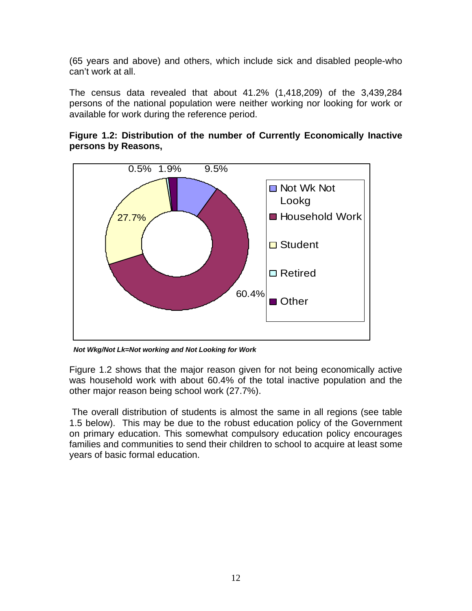(65 years and above) and others, which include sick and disabled people-who can't work at all.

The census data revealed that about 41.2% (1,418,209) of the 3,439,284 persons of the national population were neither working nor looking for work or available for work during the reference period.



**Figure 1.2: Distribution of the number of Currently Economically Inactive persons by Reasons,** 

*Not Wkg/Not Lk=Not working and Not Looking for Work* 

Figure 1.2 shows that the major reason given for not being economically active was household work with about 60.4% of the total inactive population and the other major reason being school work (27.7%).

 The overall distribution of students is almost the same in all regions (see table 1.5 below). This may be due to the robust education policy of the Government on primary education. This somewhat compulsory education policy encourages families and communities to send their children to school to acquire at least some years of basic formal education.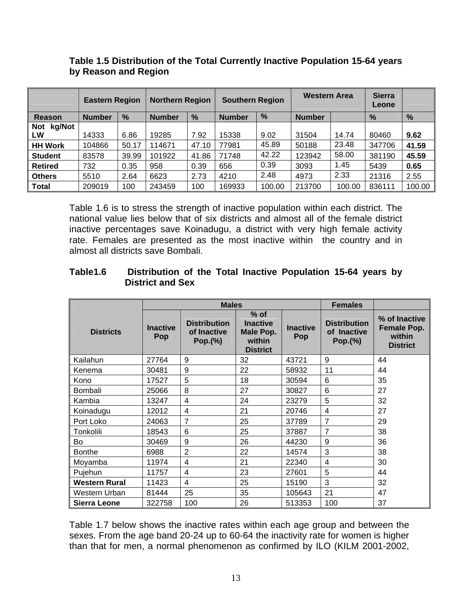|                            | <b>Eastern Region</b> |       | <b>Northern Region</b> |       | <b>Southern Region</b> |        | <b>Western Area</b> |        | <b>Sierra</b><br>Leone |        |
|----------------------------|-----------------------|-------|------------------------|-------|------------------------|--------|---------------------|--------|------------------------|--------|
| <b>Reason</b>              | <b>Number</b>         | %     | <b>Number</b>          | %     | <b>Number</b>          | %      | <b>Number</b>       |        | %                      | %      |
| kg/Not<br><b>Not</b><br>LW | 14333                 | 6.86  | 19285                  | 7.92  | 15338                  | 9.02   | 31504               | 14.74  | 80460                  | 9.62   |
| <b>HH Work</b>             | 104866                | 50.17 | 114671                 | 47.10 | 77981                  | 45.89  | 50188               | 23.48  | 347706                 | 41.59  |
| <b>Student</b>             | 83578                 | 39.99 | 101922                 | 41.86 | 71748                  | 42.22  | 123942              | 58.00  | 381190                 | 45.59  |
| <b>Retired</b>             | 732                   | 0.35  | 958                    | 0.39  | 656                    | 0.39   | 3093                | 1.45   | 5439                   | 0.65   |
| <b>Others</b>              | 5510                  | 2.64  | 6623                   | 2.73  | 4210                   | 2.48   | 4973                | 2.33   | 21316                  | 2.55   |
| <b>Total</b>               | 209019                | 100   | 243459                 | 100   | 169933                 | 100.00 | 213700              | 100.00 | 836111                 | 100.00 |

#### **Table 1.5 Distribution of the Total Currently Inactive Population 15-64 years by Reason and Region**

Table 1.6 is to stress the strength of inactive population within each district. The national value lies below that of six districts and almost all of the female district inactive percentages save Koinadugu, a district with very high female activity rate. Females are presented as the most inactive within the country and in almost all districts save Bombali.

#### **Table1.6 Distribution of the Total Inactive Population 15-64 years by District and Sex**

|                      |                        | <b>Males</b>                                  |                                                                     | <b>Females</b>         |                                               |                                                           |
|----------------------|------------------------|-----------------------------------------------|---------------------------------------------------------------------|------------------------|-----------------------------------------------|-----------------------------------------------------------|
| <b>Districts</b>     | <b>Inactive</b><br>Pop | <b>Distribution</b><br>of Inactive<br>Pop.(%) | $%$ of<br><b>Inactive</b><br>Male Pop.<br>within<br><b>District</b> | <b>Inactive</b><br>Pop | <b>Distribution</b><br>of Inactive<br>Pop.(%) | % of Inactive<br>Female Pop.<br>within<br><b>District</b> |
| Kailahun             | 27764                  | 9                                             | 32                                                                  | 43721                  | 9                                             | 44                                                        |
| Kenema               | 30481                  | 9                                             | 22                                                                  | 58932                  | 11                                            | 44                                                        |
| Kono                 | 17527                  | 5                                             | 18                                                                  | 30594                  | 6                                             | 35                                                        |
| Bombali              | 25066                  | 8                                             | 27                                                                  | 30827                  | 6                                             | 27                                                        |
| Kambia               | 13247                  | 4                                             | 24                                                                  | 23279                  | 5                                             | 32                                                        |
| Koinadugu            | 12012                  | 4                                             | 21                                                                  | 20746                  | 4                                             | 27                                                        |
| Port Loko            | 24063                  | 7                                             | 25                                                                  | 37789                  | 7                                             | 29                                                        |
| Tonkolili            | 18543                  | 6                                             | 25                                                                  | 37887                  | 7                                             | 38                                                        |
| <b>Bo</b>            | 30469                  | 9                                             | 26                                                                  | 44230                  | 9                                             | 36                                                        |
| <b>Bonthe</b>        | 6988                   | $\overline{2}$                                | 22                                                                  | 14574                  | 3                                             | 38                                                        |
| Moyamba              | 11974                  | 4                                             | 21                                                                  | 22340                  | $\overline{4}$                                | 30                                                        |
| Pujehun              | 11757                  | 4                                             | 23                                                                  | 27601                  | 5                                             | 44                                                        |
| <b>Western Rural</b> | 11423                  | 4                                             | 25                                                                  | 15190                  | 3                                             | 32                                                        |
| Western Urban        | 81444                  | 25                                            | 35                                                                  | 105643                 | 21                                            | 47                                                        |
| <b>Sierra Leone</b>  | 322758                 | 100                                           | 26                                                                  | 513353                 | 100                                           | 37                                                        |

Table 1.7 below shows the inactive rates within each age group and between the sexes. From the age band 20-24 up to 60-64 the inactivity rate for women is higher than that for men, a normal phenomenon as confirmed by ILO (KILM 2001-2002,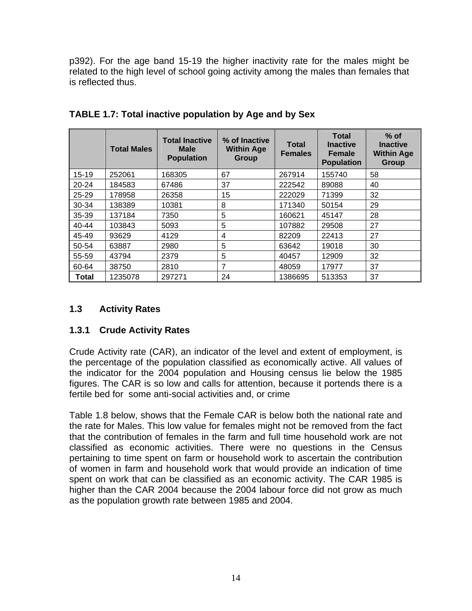p392). For the age band 15-19 the higher inactivity rate for the males might be related to the high level of school going activity among the males than females that is reflected thus.

|           | <b>Total Males</b> | <b>Total Inactive</b><br><b>Male</b><br><b>Population</b> | % of Inactive<br><b>Within Age</b><br>Group | <b>Total</b><br><b>Females</b> | <b>Total</b><br><b>Inactive</b><br><b>Female</b><br><b>Population</b> | $%$ of<br><b>Inactive</b><br><b>Within Age</b><br>Group |
|-----------|--------------------|-----------------------------------------------------------|---------------------------------------------|--------------------------------|-----------------------------------------------------------------------|---------------------------------------------------------|
| $15 - 19$ | 252061             | 168305                                                    | 67                                          | 267914                         | 155740                                                                | 58                                                      |
| $20 - 24$ | 184583             | 67486                                                     | 37                                          | 222542                         | 89088                                                                 | 40                                                      |
| $25 - 29$ | 178958             | 26358                                                     | 15                                          | 222029                         | 71399                                                                 | 32                                                      |
| 30-34     | 138389             | 10381                                                     | 8                                           | 171340                         | 50154                                                                 | 29                                                      |
| 35-39     | 137184             | 7350                                                      | 5                                           | 160621                         | 45147                                                                 | 28                                                      |
| $40 - 44$ | 103843             | 5093                                                      | 5                                           | 107882                         | 29508                                                                 | 27                                                      |
| 45-49     | 93629              | 4129                                                      | 4                                           | 82209                          | 22413                                                                 | 27                                                      |
| 50-54     | 63887              | 2980                                                      | 5                                           | 63642                          | 19018                                                                 | 30                                                      |
| 55-59     | 43794              | 2379                                                      | 5                                           | 40457                          | 12909                                                                 | 32                                                      |
| 60-64     | 38750              | 2810                                                      | 7                                           | 48059                          | 17977                                                                 | 37                                                      |
| Total     | 1235078            | 297271                                                    | 24                                          | 1386695                        | 513353                                                                | 37                                                      |

**TABLE 1.7: Total inactive population by Age and by Sex** 

# **1.3 Activity Rates**

#### **1.3.1 Crude Activity Rates**

Crude Activity rate (CAR), an indicator of the level and extent of employment, is the percentage of the population classified as economically active. All values of the indicator for the 2004 population and Housing census lie below the 1985 figures. The CAR is so low and calls for attention, because it portends there is a fertile bed for some anti-social activities and, or crime

Table 1.8 below, shows that the Female CAR is below both the national rate and the rate for Males. This low value for females might not be removed from the fact that the contribution of females in the farm and full time household work are not classified as economic activities. There were no questions in the Census pertaining to time spent on farm or household work to ascertain the contribution of women in farm and household work that would provide an indication of time spent on work that can be classified as an economic activity. The CAR 1985 is higher than the CAR 2004 because the 2004 labour force did not grow as much as the population growth rate between 1985 and 2004.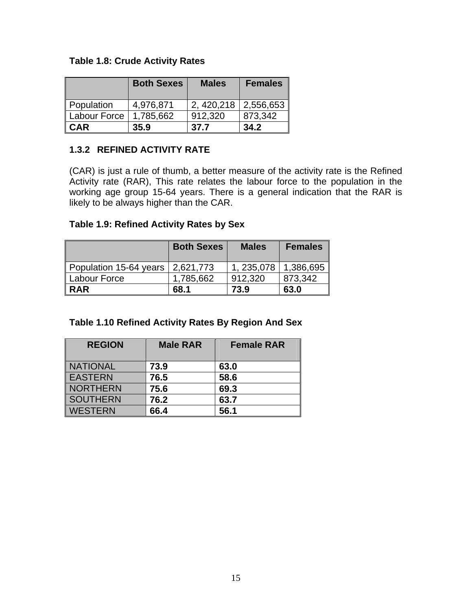#### **Table 1.8: Crude Activity Rates**

|              | <b>Both Sexes</b> | <b>Males</b> | <b>Females</b> |
|--------------|-------------------|--------------|----------------|
| Population   | 4,976,871         | 2, 420, 218  | 2,556,653      |
| Labour Force | 1,785,662         | 912.320      | 873,342        |
| <b>CAR</b>   | 35.9              | 37.7         | 34.2           |

#### **1.3.2 REFINED ACTIVITY RATE**

(CAR) is just a rule of thumb, a better measure of the activity rate is the Refined Activity rate (RAR), This rate relates the labour force to the population in the working age group 15-64 years. There is a general indication that the RAR is likely to be always higher than the CAR.

#### **Table 1.9: Refined Activity Rates by Sex**

|                        | <b>Both Sexes</b> | <b>Males</b> | <b>Females</b> |
|------------------------|-------------------|--------------|----------------|
| Population 15-64 years | 2,621,773         | 1, 235,078   | 1,386,695      |
| Labour Force           | 1,785,662         | 912,320      | 873,342        |
| <b>RAR</b>             | 68.1              | 73.9         | 63.0           |

#### **Table 1.10 Refined Activity Rates By Region And Sex**

| <b>REGION</b>   | <b>Male RAR</b> | <b>Female RAR</b> |
|-----------------|-----------------|-------------------|
|                 |                 |                   |
| <b>NATIONAL</b> | 73.9            | 63.0              |
| <b>EASTERN</b>  | 76.5            | 58.6              |
| <b>NORTHERN</b> | 75.6            | 69.3              |
| <b>SOUTHERN</b> | 76.2            | 63.7              |
| <b>WESTERN</b>  | 66.4            | 56.1              |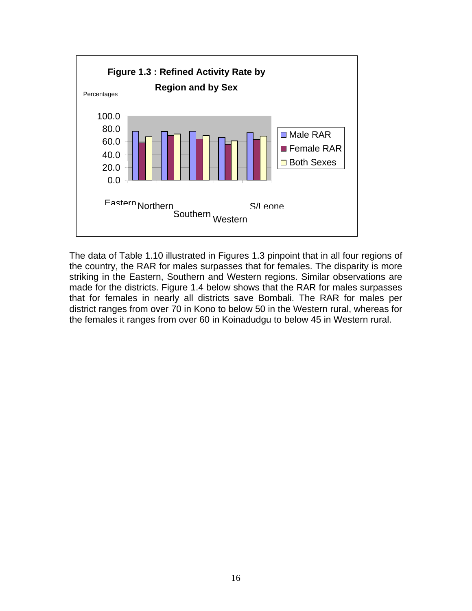

The data of Table 1.10 illustrated in Figures 1.3 pinpoint that in all four regions of the country, the RAR for males surpasses that for females. The disparity is more striking in the Eastern, Southern and Western regions. Similar observations are made for the districts. Figure 1.4 below shows that the RAR for males surpasses that for females in nearly all districts save Bombali. The RAR for males per district ranges from over 70 in Kono to below 50 in the Western rural, whereas for the females it ranges from over 60 in Koinadudgu to below 45 in Western rural.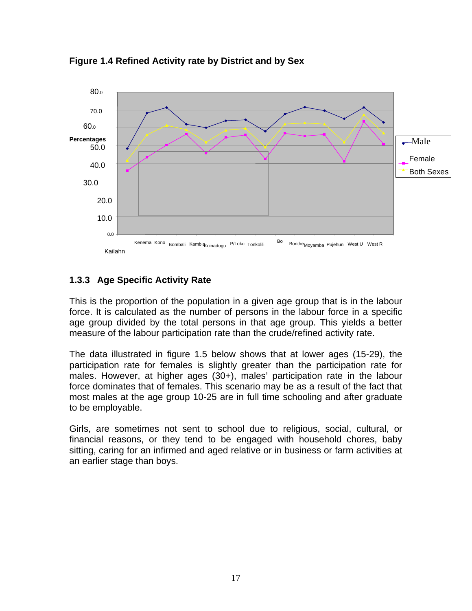

**Figure 1.4 Refined Activity rate by District and by Sex**

#### **1.3.3 Age Specific Activity Rate**

This is the proportion of the population in a given age group that is in the labour force. It is calculated as the number of persons in the labour force in a specific age group divided by the total persons in that age group. This yields a better measure of the labour participation rate than the crude/refined activity rate.

The data illustrated in figure 1.5 below shows that at lower ages (15-29), the participation rate for females is slightly greater than the participation rate for males. However, at higher ages (30+), males' participation rate in the labour force dominates that of females. This scenario may be as a result of the fact that most males at the age group 10-25 are in full time schooling and after graduate to be employable.

Girls, are sometimes not sent to school due to religious, social, cultural, or financial reasons, or they tend to be engaged with household chores, baby sitting, caring for an infirmed and aged relative or in business or farm activities at an earlier stage than boys.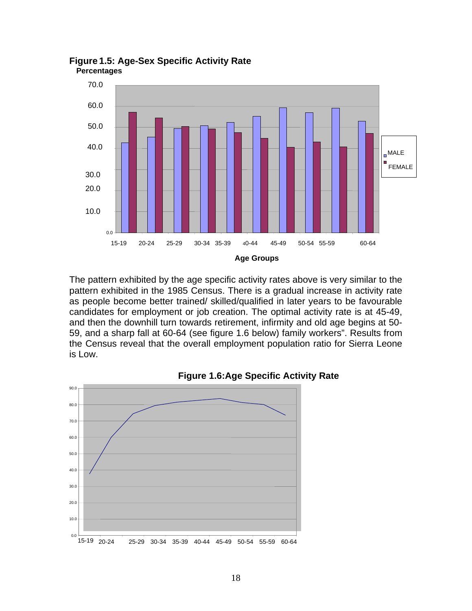

**Figure 1.5: Age-Sex Specific Activity Rate Percentages**

The pattern exhibited by the age specific activity rates above is very similar to the pattern exhibited in the 1985 Census. There is a gradual increase in activity rate as people become better trained/ skilled/qualified in later years to be favourable candidates for employment or job creation. The optimal activity rate is at 45-49, and then the downhill turn towards retirement, infirmity and old age begins at 50- 59, and a sharp fall at 60-64 (see figure 1.6 below) family workers". Results from the Census reveal that the overall employment population ratio for Sierra Leone is Low.



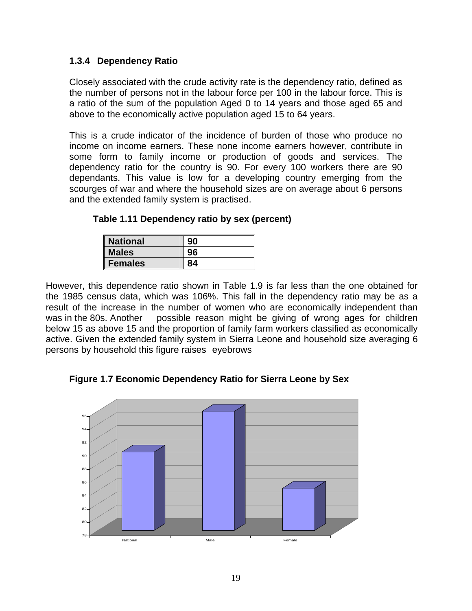#### **1.3.4 Dependency Ratio**

Closely associated with the crude activity rate is the dependency ratio, defined as the number of persons not in the labour force per 100 in the labour force. This is a ratio of the sum of the population Aged 0 to 14 years and those aged 65 and above to the economically active population aged 15 to 64 years.

This is a crude indicator of the incidence of burden of those who produce no income on income earners. These none income earners however, contribute in some form to family income or production of goods and services. The dependency ratio for the country is 90. For every 100 workers there are 90 dependants. This value is low for a developing country emerging from the scourges of war and where the household sizes are on average about 6 persons and the extended family system is practised.

| Table 1.11 Dependency ratio by sex (percent) |  |  |  |
|----------------------------------------------|--|--|--|
|----------------------------------------------|--|--|--|

| <b>National</b> |    |
|-----------------|----|
| <b>Males</b>    |    |
| <b>Females</b>  | ΩA |

However, this dependence ratio shown in Table 1.9 is far less than the one obtained for the 1985 census data, which was 106%. This fall in the dependency ratio may be as a result of the increase in the number of women who are economically independent than was in the 80s. Another possible reason might be giving of wrong ages for children below 15 as above 15 and the proportion of family farm workers classified as economically active. Given the extended family system in Sierra Leone and household size averaging 6 persons by household this figure raises eyebrows

**Figure 1.7 Economic Dependency Ratio for Sierra Leone by Sex** 

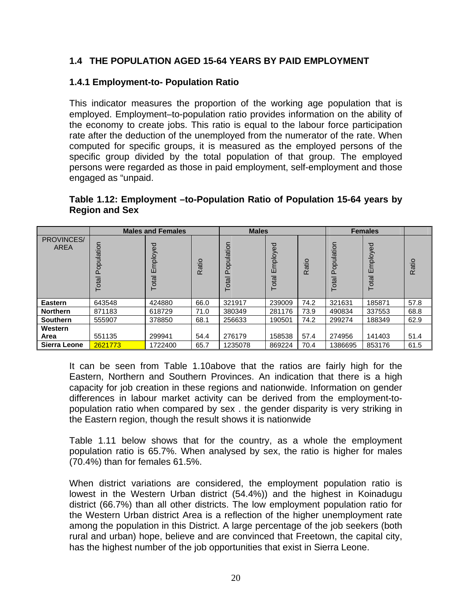#### **1.4 THE POPULATION AGED 15-64 YEARS BY PAID EMPLOYMENT**

#### **1.4.1 Employment-to- Population Ratio**

This indicator measures the proportion of the working age population that is employed. Employment–to-population ratio provides information on the ability of the economy to create jobs. This ratio is equal to the labour force participation rate after the deduction of the unemployed from the numerator of the rate. When computed for specific groups, it is measured as the employed persons of the specific group divided by the total population of that group. The employed persons were regarded as those in paid employment, self-employment and those engaged as "unpaid.

#### **Table 1.12: Employment –to-Population Ratio of Population 15-64 years by Region and Sex**

|                     |                    | <b>Males and Females</b> |       | <b>Males</b>        |                       |       |                     | <b>Females</b>        |       |
|---------------------|--------------------|--------------------------|-------|---------------------|-----------------------|-------|---------------------|-----------------------|-------|
| PROVINCES/<br>AREA  | opulation<br>Total | Employed<br>Total        | Ratio | Population<br>Total | mployed<br>ш<br>Total | Ratio | Population<br>Total | mployed<br>ш<br>Total | Ratio |
| Eastern             | 643548             | 424880                   | 66.0  | 321917              | 239009                | 74.2  | 321631              | 185871                | 57.8  |
| <b>Northern</b>     | 871183             | 618729                   | 71.0  | 380349              | 281176                | 73.9  | 490834              | 337553                | 68.8  |
| <b>Southern</b>     | 555907             | 378850                   | 68.1  | 256633              | 190501                | 74.2  | 299274              | 188349                | 62.9  |
| Western<br>Area     | 551135             | 299941                   | 54.4  | 276179              | 158538                | 57.4  | 274956              | 141403                | 51.4  |
| <b>Sierra Leone</b> | 2621773            | 1722400                  | 65.7  | 1235078             | 869224                | 70.4  | 1386695             | 853176                | 61.5  |

It can be seen from Table 1.10above that the ratios are fairly high for the Eastern, Northern and Southern Provinces. An indication that there is a high capacity for job creation in these regions and nationwide. Information on gender differences in labour market activity can be derived from the employment-topopulation ratio when compared by sex . the gender disparity is very striking in the Eastern region, though the result shows it is nationwide

Table 1.11 below shows that for the country, as a whole the employment population ratio is 65.7%. When analysed by sex, the ratio is higher for males (70.4%) than for females 61.5%.

When district variations are considered, the employment population ratio is lowest in the Western Urban district (54.4%)) and the highest in Koinadugu district (66.7%) than all other districts. The low employment population ratio for the Western Urban district Area is a reflection of the higher unemployment rate among the population in this District. A large percentage of the job seekers (both rural and urban) hope, believe and are convinced that Freetown, the capital city, has the highest number of the job opportunities that exist in Sierra Leone.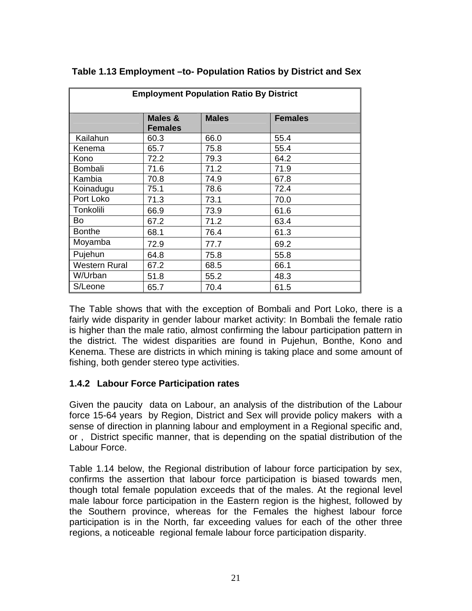| <b>Employment Population Ratio By District</b> |                           |              |                |  |  |  |  |  |
|------------------------------------------------|---------------------------|--------------|----------------|--|--|--|--|--|
|                                                | Males &<br><b>Females</b> | <b>Males</b> | <b>Females</b> |  |  |  |  |  |
| Kailahun                                       | 60.3                      | 66.0         | 55.4           |  |  |  |  |  |
| Kenema                                         | 65.7                      | 75.8         | 55.4           |  |  |  |  |  |
| Kono                                           | 72.2                      | 79.3         | 64.2           |  |  |  |  |  |
| <b>Bombali</b>                                 | 71.6                      | 71.2         | 71.9           |  |  |  |  |  |
| Kambia                                         | 70.8                      | 74.9         | 67.8           |  |  |  |  |  |
| Koinadugu                                      | 75.1                      | 78.6         | 72.4           |  |  |  |  |  |
| Port Loko                                      | 71.3                      | 73.1         | 70.0           |  |  |  |  |  |
| Tonkolili                                      | 66.9                      | 73.9         | 61.6           |  |  |  |  |  |
| Bo                                             | 67.2                      | 71.2         | 63.4           |  |  |  |  |  |
| <b>Bonthe</b>                                  | 68.1                      | 76.4         | 61.3           |  |  |  |  |  |
| Moyamba                                        | 72.9                      | 77.7         | 69.2           |  |  |  |  |  |
| Pujehun                                        | 64.8                      | 75.8         | 55.8           |  |  |  |  |  |
| <b>Western Rural</b>                           | 67.2                      | 68.5         | 66.1           |  |  |  |  |  |
| W/Urban                                        | 51.8                      | 55.2         | 48.3           |  |  |  |  |  |
| S/Leone                                        | 65.7                      | 70.4         | 61.5           |  |  |  |  |  |

#### **Table 1.13 Employment –to- Population Ratios by District and Sex**

The Table shows that with the exception of Bombali and Port Loko, there is a fairly wide disparity in gender labour market activity: In Bombali the female ratio is higher than the male ratio, almost confirming the labour participation pattern in the district. The widest disparities are found in Pujehun, Bonthe, Kono and Kenema. These are districts in which mining is taking place and some amount of fishing, both gender stereo type activities.

#### **1.4.2 Labour Force Participation rates**

Given the paucity data on Labour, an analysis of the distribution of the Labour force 15-64 years by Region, District and Sex will provide policy makers with a sense of direction in planning labour and employment in a Regional specific and, or , District specific manner, that is depending on the spatial distribution of the Labour Force.

Table 1.14 below, the Regional distribution of labour force participation by sex, confirms the assertion that labour force participation is biased towards men, though total female population exceeds that of the males. At the regional level male labour force participation in the Eastern region is the highest, followed by the Southern province, whereas for the Females the highest labour force participation is in the North, far exceeding values for each of the other three regions, a noticeable regional female labour force participation disparity.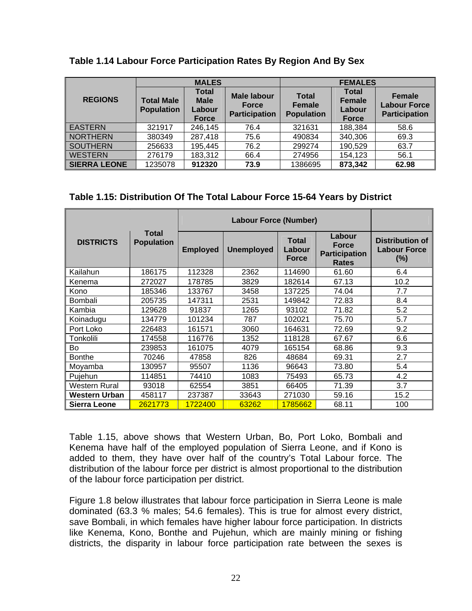|                     |                                        | <b>MALES</b>                                          |                                                     | <b>FEMALES</b>                                     |                                                         |                                                       |  |
|---------------------|----------------------------------------|-------------------------------------------------------|-----------------------------------------------------|----------------------------------------------------|---------------------------------------------------------|-------------------------------------------------------|--|
| <b>REGIONS</b>      | <b>Total Male</b><br><b>Population</b> | <b>Total</b><br><b>Male</b><br>Labour<br><b>Force</b> | Male labour<br><b>Force</b><br><b>Participation</b> | <b>Total</b><br><b>Female</b><br><b>Population</b> | <b>Total</b><br><b>Female</b><br>Labour<br><b>Force</b> | Female<br><b>Labour Force</b><br><b>Participation</b> |  |
| <b>EASTERN</b>      | 321917                                 | 246,145                                               | 76.4                                                | 321631                                             | 188,384                                                 | 58.6                                                  |  |
| <b>NORTHERN</b>     | 380349                                 | 287,418                                               | 75.6                                                | 490834                                             | 340,306                                                 | 69.3                                                  |  |
| <b>SOUTHERN</b>     | 256633                                 | 195,445                                               | 76.2                                                | 299274                                             | 190,529                                                 | 63.7                                                  |  |
| <b>WESTERN</b>      | 276179                                 | 183,312                                               | 66.4                                                | 274956                                             | 154,123                                                 | 56.1                                                  |  |
| <b>SIERRA LEONE</b> | 1235078                                | 912320                                                | 73.9                                                | 1386695                                            | 873,342                                                 | 62.98                                                 |  |

### **Table 1.14 Labour Force Participation Rates By Region And By Sex**

### **Table 1.15: Distribution Of The Total Labour Force 15-64 Years by District**

|                      |                                   |                 | <b>Labour Force (Number)</b> |                                        |                                                                |                                                  |  |  |  |  |
|----------------------|-----------------------------------|-----------------|------------------------------|----------------------------------------|----------------------------------------------------------------|--------------------------------------------------|--|--|--|--|
| <b>DISTRICTS</b>     | <b>Total</b><br><b>Population</b> | <b>Employed</b> | <b>Unemployed</b>            | <b>Total</b><br>Labour<br><b>Force</b> | Labour<br><b>Force</b><br><b>Participation</b><br><b>Rates</b> | Distribution of<br><b>Labour Force</b><br>$(\%)$ |  |  |  |  |
| Kailahun             | 186175                            | 112328          | 2362                         | 114690                                 | 61.60                                                          | 6.4                                              |  |  |  |  |
| Kenema               | 272027                            | 178785          | 3829                         | 182614                                 | 67.13                                                          | 10.2                                             |  |  |  |  |
| Kono                 | 185346                            | 133767          | 3458                         | 137225                                 | 74.04                                                          | 7.7                                              |  |  |  |  |
| <b>Bombali</b>       | 205735                            | 147311          | 2531                         | 149842                                 | 72.83                                                          | 8.4                                              |  |  |  |  |
| Kambia               | 129628                            | 91837           | 1265                         | 93102                                  | 71.82                                                          | 5.2                                              |  |  |  |  |
| Koinadugu            | 134779                            | 101234          | 787                          | 102021                                 | 75.70                                                          | 5.7                                              |  |  |  |  |
| Port Loko            | 226483                            | 161571          | 3060                         | 164631                                 | 72.69                                                          | 9.2                                              |  |  |  |  |
| Tonkolili            | 174558                            | 116776          | 1352                         | 118128                                 | 67.67                                                          | 6.6                                              |  |  |  |  |
| Bo                   | 239853                            | 161075          | 4079                         | 165154                                 | 68.86                                                          | 9.3                                              |  |  |  |  |
| <b>Bonthe</b>        | 70246                             | 47858           | 826                          | 48684                                  | 69.31                                                          | 2.7                                              |  |  |  |  |
| Moyamba              | 130957                            | 95507           | 1136                         | 96643                                  | 73.80                                                          | 5.4                                              |  |  |  |  |
| Pujehun              | 114851                            | 74410           | 1083                         | 75493                                  | 65.73                                                          | 4.2                                              |  |  |  |  |
| <b>Western Rural</b> | 93018                             | 62554           | 3851                         | 66405                                  | 71.39                                                          | 3.7                                              |  |  |  |  |
| Western Urban        | 458117                            | 237387          | 33643                        | 271030                                 | 59.16                                                          | 15.2                                             |  |  |  |  |
| Sierra Leone         | 2621773                           | 1722400         | 63262                        | 1785662                                | 68.11                                                          | 100                                              |  |  |  |  |

Table 1.15, above shows that Western Urban, Bo, Port Loko, Bombali and Kenema have half of the employed population of Sierra Leone, and if Kono is added to them, they have over half of the country's Total Labour force. The distribution of the labour force per district is almost proportional to the distribution of the labour force participation per district.

Figure 1.8 below illustrates that labour force participation in Sierra Leone is male dominated (63.3 % males; 54.6 females). This is true for almost every district, save Bombali, in which females have higher labour force participation. In districts like Kenema, Kono, Bonthe and Pujehun, which are mainly mining or fishing districts, the disparity in labour force participation rate between the sexes is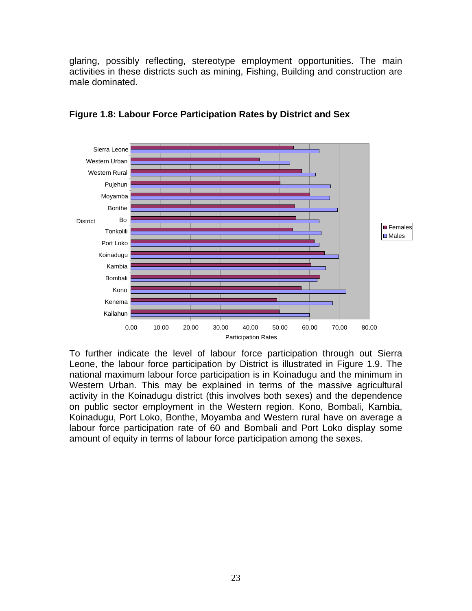glaring, possibly reflecting, stereotype employment opportunities. The main activities in these districts such as mining, Fishing, Building and construction are male dominated.



**Figure 1.8: Labour Force Participation Rates by District and Sex**

To further indicate the level of labour force participation through out Sierra Leone, the labour force participation by District is illustrated in Figure 1.9. The national maximum labour force participation is in Koinadugu and the minimum in Western Urban. This may be explained in terms of the massive agricultural activity in the Koinadugu district (this involves both sexes) and the dependence on public sector employment in the Western region. Kono, Bombali, Kambia, Koinadugu, Port Loko, Bonthe, Moyamba and Western rural have on average a labour force participation rate of 60 and Bombali and Port Loko display some amount of equity in terms of labour force participation among the sexes.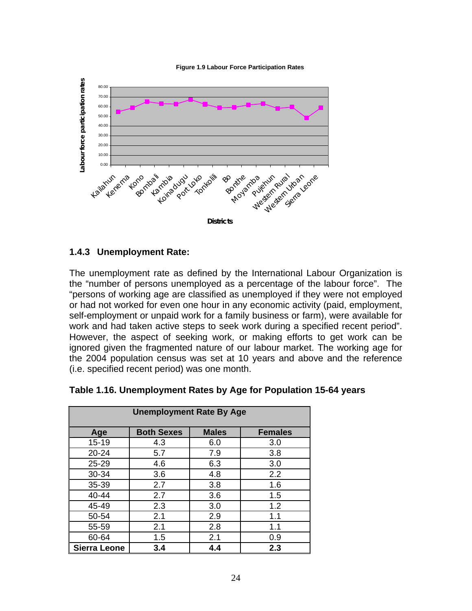



#### **1.4.3 Unemployment Rate:**

The unemployment rate as defined by the International Labour Organization is the "number of persons unemployed as a percentage of the labour force". The "persons of working age are classified as unemployed if they were not employed or had not worked for even one hour in any economic activity (paid, employment, self-employment or unpaid work for a family business or farm), were available for work and had taken active steps to seek work during a specified recent period". However, the aspect of seeking work, or making efforts to get work can be ignored given the fragmented nature of our labour market. The working age for the 2004 population census was set at 10 years and above and the reference (i.e. specified recent period) was one month.

| <b>Unemployment Rate By Age</b> |                   |              |                |  |  |  |  |  |
|---------------------------------|-------------------|--------------|----------------|--|--|--|--|--|
| Age                             | <b>Both Sexes</b> | <b>Males</b> | <b>Females</b> |  |  |  |  |  |
| $15 - 19$                       | 4.3               | 6.0          | 3.0            |  |  |  |  |  |
| 20-24                           | 5.7               | 7.9          | 3.8            |  |  |  |  |  |
| 25-29                           | 4.6               | 6.3          | 3.0            |  |  |  |  |  |
| 30-34                           | 3.6               | 4.8          | 2.2            |  |  |  |  |  |
| 35-39                           | 2.7               | 3.8          | 1.6            |  |  |  |  |  |
| 40-44                           | 2.7               | 3.6          | 1.5            |  |  |  |  |  |
| 45-49                           | 2.3               | 3.0          | 1.2            |  |  |  |  |  |
| 50-54                           | 2.1               | 2.9          | 1.1            |  |  |  |  |  |
| 55-59                           | 2.1               | 2.8          | 1.1            |  |  |  |  |  |
| 60-64                           | 1.5               | 2.1          | 0.9            |  |  |  |  |  |
| <b>Sierra Leone</b>             | 3.4               | 4.4          | 2.3            |  |  |  |  |  |

**Table 1.16. Unemployment Rates by Age for Population 15-64 years**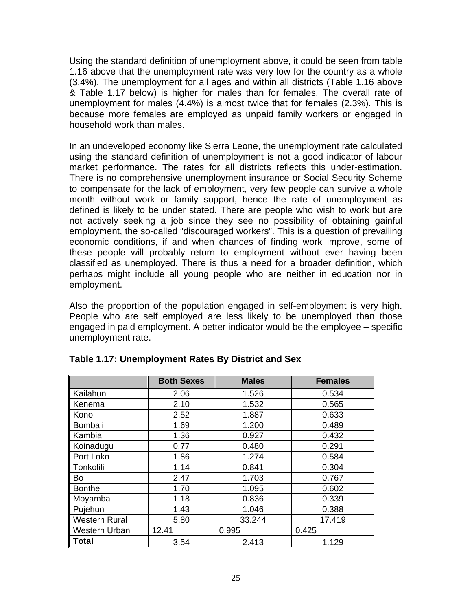Using the standard definition of unemployment above, it could be seen from table 1.16 above that the unemployment rate was very low for the country as a whole (3.4%). The unemployment for all ages and within all districts (Table 1.16 above & Table 1.17 below) is higher for males than for females. The overall rate of unemployment for males (4.4%) is almost twice that for females (2.3%). This is because more females are employed as unpaid family workers or engaged in household work than males.

In an undeveloped economy like Sierra Leone, the unemployment rate calculated using the standard definition of unemployment is not a good indicator of labour market performance. The rates for all districts reflects this under-estimation. There is no comprehensive unemployment insurance or Social Security Scheme to compensate for the lack of employment, very few people can survive a whole month without work or family support, hence the rate of unemployment as defined is likely to be under stated. There are people who wish to work but are not actively seeking a job since they see no possibility of obtaining gainful employment, the so-called "discouraged workers". This is a question of prevailing economic conditions, if and when chances of finding work improve, some of these people will probably return to employment without ever having been classified as unemployed. There is thus a need for a broader definition, which perhaps might include all young people who are neither in education nor in employment.

Also the proportion of the population engaged in self-employment is very high. People who are self employed are less likely to be unemployed than those engaged in paid employment. A better indicator would be the employee – specific unemployment rate.

|                      | <b>Both Sexes</b> | <b>Males</b> | <b>Females</b> |
|----------------------|-------------------|--------------|----------------|
| Kailahun             | 2.06              | 1.526        | 0.534          |
| Kenema               | 2.10              | 1.532        | 0.565          |
| Kono                 | 2.52              | 1.887        | 0.633          |
| <b>Bombali</b>       | 1.69              | 1.200        | 0.489          |
| Kambia               | 1.36              | 0.927        | 0.432          |
| Koinadugu            | 0.77              | 0.480        | 0.291          |
| Port Loko            | 1.86              | 1.274        | 0.584          |
| Tonkolili            | 1.14              | 0.841        | 0.304          |
| Bo                   | 2.47              | 1.703        | 0.767          |
| <b>Bonthe</b>        | 1.70              | 1.095        | 0.602          |
| Moyamba              | 1.18              | 0.836        | 0.339          |
| Pujehun              | 1.43              | 1.046        | 0.388          |
| <b>Western Rural</b> | 5.80              | 33.244       | 17.419         |
| <b>Western Urban</b> | 12.41             | 0.995        | 0.425          |
| Total                | 3.54              | 2.413        | 1.129          |

### **Table 1.17: Unemployment Rates By District and Sex**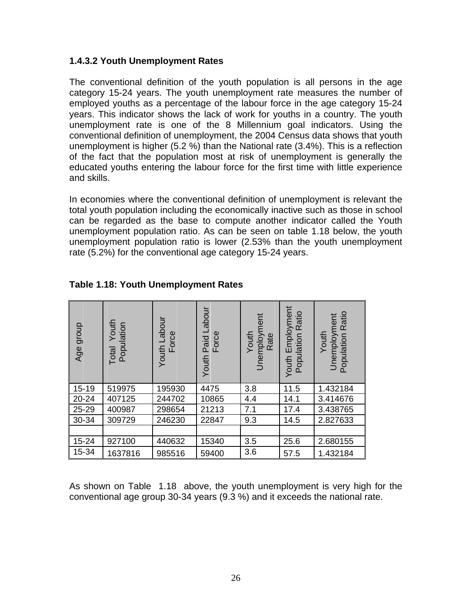### **1.4.3.2 Youth Unemployment Rates**

The conventional definition of the youth population is all persons in the age category 15-24 years. The youth unemployment rate measures the number of employed youths as a percentage of the labour force in the age category 15-24 years. This indicator shows the lack of work for youths in a country. The youth unemployment rate is one of the 8 Millennium goal indicators. Using the conventional definition of unemployment, the 2004 Census data shows that youth unemployment is higher (5.2 %) than the National rate (3.4%). This is a reflection of the fact that the population most at risk of unemployment is generally the educated youths entering the labour force for the first time with little experience and skills.

In economies where the conventional definition of unemployment is relevant the total youth population including the economically inactive such as those in school can be regarded as the base to compute another indicator called the Youth unemployment population ratio. As can be seen on table 1.18 below, the youth unemployment population ratio is lower (2.53% than the youth unemployment rate (5.2%) for the conventional age category 15-24 years.

| dronb<br>Age | Youth<br>Population<br>Total | Youth Labour<br>Force | Paid Labour<br>Force<br>Youth | Unemployment<br>Youth<br>Rate | Employment<br>Ratio<br>Population<br>Youth | Ratio<br>Unemployment<br>Population<br>Youth |
|--------------|------------------------------|-----------------------|-------------------------------|-------------------------------|--------------------------------------------|----------------------------------------------|
| $15 - 19$    | 519975                       | 195930                | 4475                          | 3.8                           | 11.5                                       | 1.432184                                     |
| 20-24        | 407125                       | 244702                | 10865                         | 4.4                           | 14.1                                       | 3.414676                                     |
| 25-29        | 400987                       | 298654                | 21213                         | 7.1                           | 17.4                                       | 3.438765                                     |
| 30-34        | 309729                       | 246230                | 22847                         | 9.3                           | 14.5                                       | 2.827633                                     |
|              |                              |                       |                               |                               |                                            |                                              |
| 15-24        | 927100                       | 440632                | 15340                         | 3.5                           | 25.6                                       | 2.680155                                     |
| 15-34        | 1637816                      | 985516                | 59400                         | 3.6                           | 57.5                                       | 1.432184                                     |

### **Table 1.18: Youth Unemployment Rates**

As shown on Table 1.18 above, the youth unemployment is very high for the conventional age group 30-34 years (9.3 %) and it exceeds the national rate.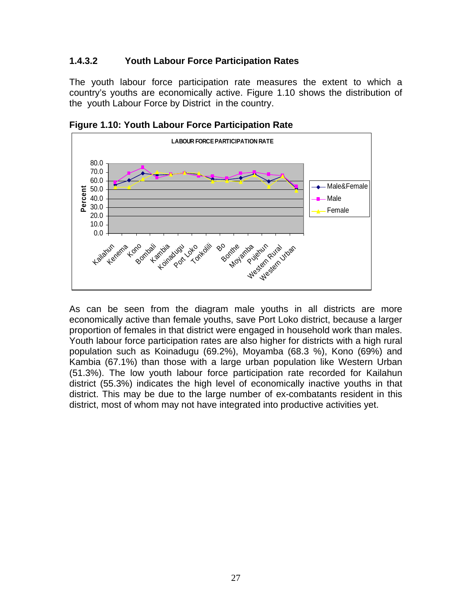### **1.4.3.2 Youth Labour Force Participation Rates**

The youth labour force participation rate measures the extent to which a country's youths are economically active. Figure 1.10 shows the distribution of the youth Labour Force by District in the country.



**Figure 1.10: Youth Labour Force Participation Rate** 

As can be seen from the diagram male youths in all districts are more economically active than female youths, save Port Loko district, because a larger proportion of females in that district were engaged in household work than males. Youth labour force participation rates are also higher for districts with a high rural population such as Koinadugu (69.2%), Moyamba (68.3 %), Kono (69%) and Kambia (67.1%) than those with a large urban population like Western Urban (51.3%). The low youth labour force participation rate recorded for Kailahun district (55.3%) indicates the high level of economically inactive youths in that district. This may be due to the large number of ex-combatants resident in this district, most of whom may not have integrated into productive activities yet.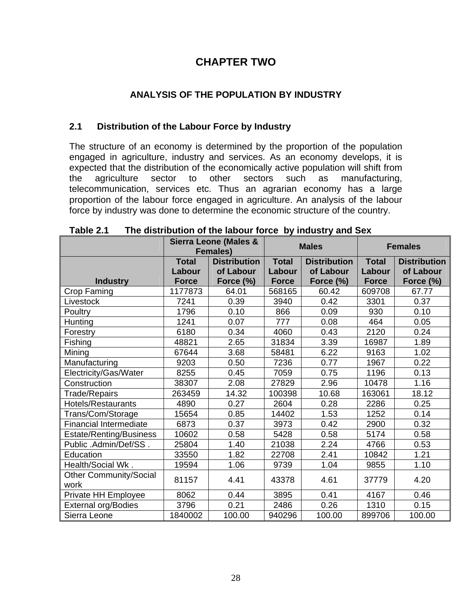# **CHAPTER TWO**

## **ANALYSIS OF THE POPULATION BY INDUSTRY**

### **2.1 Distribution of the Labour Force by Industry**

The structure of an economy is determined by the proportion of the population engaged in agriculture, industry and services. As an economy develops, it is expected that the distribution of the economically active population will shift from the agriculture sector to other sectors such as manufacturing, telecommunication, services etc. Thus an agrarian economy has a large proportion of the labour force engaged in agriculture. An analysis of the labour force by industry was done to determine the economic structure of the country.

|                               |              | Sierra Leone (Males &<br><b>Females)</b> |              | <b>Males</b>        |              | <b>Females</b>      |
|-------------------------------|--------------|------------------------------------------|--------------|---------------------|--------------|---------------------|
|                               | <b>Total</b> | <b>Distribution</b>                      | <b>Total</b> | <b>Distribution</b> | <b>Total</b> | <b>Distribution</b> |
|                               | Labour       | of Labour                                | Labour       | of Labour           | Labour       | of Labour           |
| <b>Industry</b>               | <b>Force</b> | Force (%)                                | <b>Force</b> | Force (%)           | <b>Force</b> | Force (%)           |
| Crop Faming                   | 1177873      | 64.01                                    | 568165       | 60.42               | 609708       | 67.77               |
| Livestock                     | 7241         | 0.39                                     | 3940         | 0.42                | 3301         | 0.37                |
| Poultry                       | 1796         | 0.10                                     | 866          | 0.09                | 930          | 0.10                |
| Hunting                       | 1241         | 0.07                                     | 777          | 0.08                | 464          | 0.05                |
| Forestry                      | 6180         | 0.34                                     | 4060         | 0.43                | 2120         | 0.24                |
| Fishing                       | 48821        | 2.65                                     | 31834        | 3.39                | 16987        | 1.89                |
| Mining                        | 67644        | 3.68                                     | 58481        | 6.22                | 9163         | 1.02                |
| Manufacturing                 | 9203         | 0.50                                     | 7236         | 0.77                | 1967         | 0.22                |
| Electricity/Gas/Water         | 8255         | 0.45                                     | 7059         | 0.75                | 1196         | 0.13                |
| Construction                  | 38307        | 2.08                                     | 27829        | 2.96                | 10478        | 1.16                |
| Trade/Repairs                 | 263459       | 14.32                                    | 100398       | 10.68               | 163061       | 18.12               |
| Hotels/Restaurants            | 4890         | 0.27                                     | 2604         | 0.28                | 2286         | 0.25                |
| Trans/Com/Storage             | 15654        | 0.85                                     | 14402        | 1.53                | 1252         | 0.14                |
| <b>Financial Intermediate</b> | 6873         | 0.37                                     | 3973         | 0.42                | 2900         | 0.32                |
| Estate/Renting/Business       | 10602        | 0.58                                     | 5428         | 0.58                | 5174         | 0.58                |
| Public .Admin/Def/SS.         | 25804        | 1.40                                     | 21038        | 2.24                | 4766         | 0.53                |
| Education                     | 33550        | 1.82                                     | 22708        | 2.41                | 10842        | 1.21                |
| Health/Social Wk.             | 19594        | 1.06                                     | 9739         | 1.04                | 9855         | 1.10                |
| Other Community/Social        | 81157        | 4.41                                     | 43378        | 4.61                | 37779        | 4.20                |
| work                          |              |                                          |              |                     |              |                     |
| Private HH Employee           | 8062         | 0.44                                     | 3895         | 0.41                | 4167         | 0.46                |
| <b>External org/Bodies</b>    | 3796         | 0.21                                     | 2486         | 0.26                | 1310         | 0.15                |
| Sierra Leone                  | 1840002      | 100.00                                   | 940296       | 100.00              | 899706       | 100.00              |

**Table 2.1 The distribution of the labour force by industry and Sex**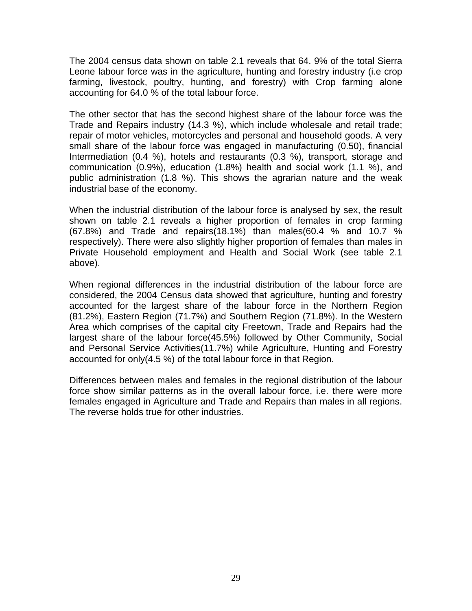The 2004 census data shown on table 2.1 reveals that 64. 9% of the total Sierra Leone labour force was in the agriculture, hunting and forestry industry (i.e crop farming, livestock, poultry, hunting, and forestry) with Crop farming alone accounting for 64.0 % of the total labour force.

The other sector that has the second highest share of the labour force was the Trade and Repairs industry (14.3 %), which include wholesale and retail trade; repair of motor vehicles, motorcycles and personal and household goods. A very small share of the labour force was engaged in manufacturing (0.50), financial Intermediation (0.4 %), hotels and restaurants (0.3 %), transport, storage and communication (0.9%), education (1.8%) health and social work (1.1 %), and public administration (1.8 %). This shows the agrarian nature and the weak industrial base of the economy.

When the industrial distribution of the labour force is analysed by sex, the result shown on table 2.1 reveals a higher proportion of females in crop farming (67.8%) and Trade and repairs(18.1%) than males(60.4 % and 10.7 % respectively). There were also slightly higher proportion of females than males in Private Household employment and Health and Social Work (see table 2.1 above).

When regional differences in the industrial distribution of the labour force are considered, the 2004 Census data showed that agriculture, hunting and forestry accounted for the largest share of the labour force in the Northern Region (81.2%), Eastern Region (71.7%) and Southern Region (71.8%). In the Western Area which comprises of the capital city Freetown, Trade and Repairs had the largest share of the labour force(45.5%) followed by Other Community, Social and Personal Service Activities(11.7%) while Agriculture, Hunting and Forestry accounted for only(4.5 %) of the total labour force in that Region.

Differences between males and females in the regional distribution of the labour force show similar patterns as in the overall labour force, i.e. there were more females engaged in Agriculture and Trade and Repairs than males in all regions. The reverse holds true for other industries.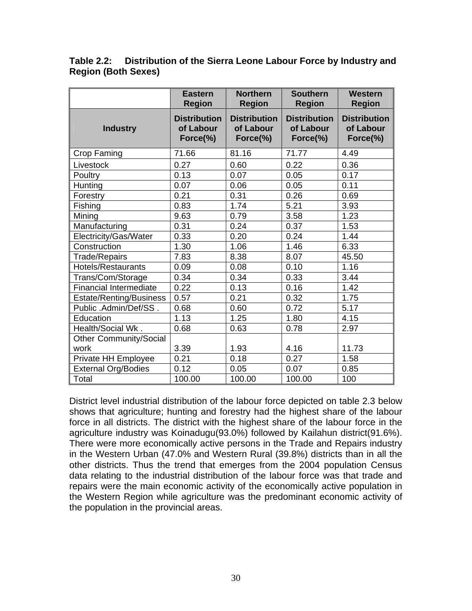**Table 2.2: Distribution of the Sierra Leone Labour Force by Industry and Region (Both Sexes)** 

|                               | <b>Eastern</b><br><b>Region</b>              | <b>Northern</b><br><b>Region</b>             | <b>Southern</b><br><b>Region</b>             | <b>Western</b><br><b>Region</b>              |
|-------------------------------|----------------------------------------------|----------------------------------------------|----------------------------------------------|----------------------------------------------|
| <b>Industry</b>               | <b>Distribution</b><br>of Labour<br>Force(%) | <b>Distribution</b><br>of Labour<br>Force(%) | <b>Distribution</b><br>of Labour<br>Force(%) | <b>Distribution</b><br>of Labour<br>Force(%) |
| Crop Faming                   | 71.66                                        | 81.16                                        | 71.77                                        | 4.49                                         |
| Livestock                     | 0.27                                         | 0.60                                         | 0.22                                         | 0.36                                         |
| Poultry                       | 0.13                                         | 0.07                                         | 0.05                                         | 0.17                                         |
| Hunting                       | 0.07                                         | 0.06                                         | 0.05                                         | 0.11                                         |
| Forestry                      | 0.21                                         | 0.31                                         | 0.26                                         | 0.69                                         |
| Fishing                       | 0.83                                         | 1.74                                         | 5.21                                         | 3.93                                         |
| Mining                        | 9.63                                         | 0.79                                         | 3.58                                         | 1.23                                         |
| Manufacturing                 | 0.31                                         | 0.24                                         | 0.37                                         | 1.53                                         |
| Electricity/Gas/Water         | 0.33                                         | 0.20                                         | 0.24                                         | 1.44                                         |
| Construction                  | 1.30                                         | 1.06                                         | 1.46                                         | 6.33                                         |
| <b>Trade/Repairs</b>          | 7.83                                         | 8.38                                         | 8.07                                         | 45.50                                        |
| <b>Hotels/Restaurants</b>     | 0.09                                         | 0.08                                         | 0.10                                         | 1.16                                         |
| Trans/Com/Storage             | 0.34                                         | 0.34                                         | 0.33                                         | 3.44                                         |
| <b>Financial Intermediate</b> | 0.22                                         | 0.13                                         | 0.16                                         | 1.42                                         |
| Estate/Renting/Business       | 0.57                                         | 0.21                                         | 0.32                                         | 1.75                                         |
| Public .Admin/Def/SS.         | 0.68                                         | 0.60                                         | 0.72                                         | 5.17                                         |
| Education                     | 1.13                                         | 1.25                                         | 1.80                                         | 4.15                                         |
| Health/Social Wk.             | 0.68                                         | 0.63                                         | 0.78                                         | 2.97                                         |
| <b>Other Community/Social</b> |                                              |                                              |                                              |                                              |
| work                          | 3.39                                         | 1.93                                         | 4.16                                         | 11.73                                        |
| Private HH Employee           | 0.21                                         | 0.18                                         | 0.27                                         | 1.58                                         |
| <b>External Org/Bodies</b>    | 0.12                                         | 0.05                                         | 0.07                                         | 0.85                                         |
| Total                         | 100.00                                       | 100.00                                       | 100.00                                       | 100                                          |

District level industrial distribution of the labour force depicted on table 2.3 below shows that agriculture; hunting and forestry had the highest share of the labour force in all districts. The district with the highest share of the labour force in the agriculture industry was Koinadugu(93.0%) followed by Kailahun district(91.6%). There were more economically active persons in the Trade and Repairs industry in the Western Urban (47.0% and Western Rural (39.8%) districts than in all the other districts. Thus the trend that emerges from the 2004 population Census data relating to the industrial distribution of the labour force was that trade and repairs were the main economic activity of the economically active population in the Western Region while agriculture was the predominant economic activity of the population in the provincial areas.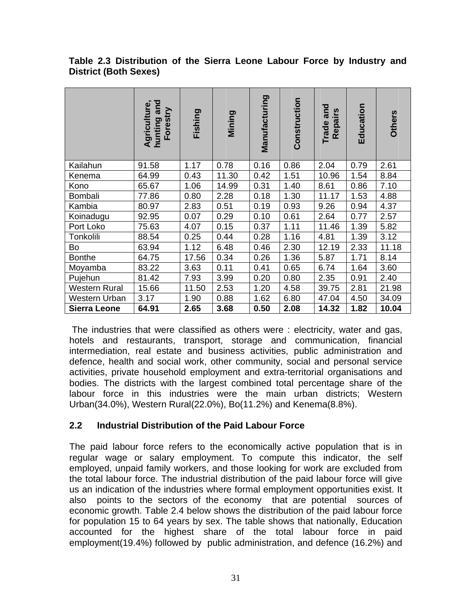|                      | and<br>Agriculture<br>Foresti<br>hunting | Fishing | Mining | Manufacturing | Construction | and<br>Repairs<br>Trade | Education | <b>Others</b> |
|----------------------|------------------------------------------|---------|--------|---------------|--------------|-------------------------|-----------|---------------|
| Kailahun             | 91.58                                    | 1.17    | 0.78   | 0.16          | 0.86         | 2.04                    | 0.79      | 2.61          |
| Kenema               | 64.99                                    | 0.43    | 11.30  | 0.42          | 1.51         | 10.96                   | 1.54      | 8.84          |
| Kono                 | 65.67                                    | 1.06    | 14.99  | 0.31          | 1.40         | 8.61                    | 0.86      | 7.10          |
| Bombali              | 77.86                                    | 0.80    | 2.28   | 0.18          | 1.30         | 11.17                   | 1.53      | 4.88          |
| Kambia               | 80.97                                    | 2.83    | 0.51   | 0.19          | 0.93         | 9.26                    | 0.94      | 4.37          |
| Koinadugu            | 92.95                                    | 0.07    | 0.29   | 0.10          | 0.61         | 2.64                    | 0.77      | 2.57          |
| Port Loko            | 75.63                                    | 4.07    | 0.15   | 0.37          | 1.11         | 11.46                   | 1.39      | 5.82          |
| Tonkolili            | 88.54                                    | 0.25    | 0.44   | 0.28          | 1.16         | 4.81                    | 1.39      | 3.12          |
| Bo                   | 63.94                                    | 1.12    | 6.48   | 0.46          | 2.30         | 12.19                   | 2.33      | 11.18         |
| <b>Bonthe</b>        | 64.75                                    | 17.56   | 0.34   | 0.26          | 1.36         | 5.87                    | 1.71      | 8.14          |
| Moyamba              | 83.22                                    | 3.63    | 0.11   | 0.41          | 0.65         | 6.74                    | 1.64      | 3.60          |
| Pujehun              | 81.42                                    | 7.93    | 3.99   | 0.20          | 0.80         | 2.35                    | 0.91      | 2.40          |
| <b>Western Rural</b> | 15.66                                    | 11.50   | 2.53   | 1.20          | 4.58         | 39.75                   | 2.81      | 21.98         |
| Western Urban        | 3.17                                     | 1.90    | 0.88   | 1.62          | 6.80         | 47.04                   | 4.50      | 34.09         |
| <b>Sierra Leone</b>  | 64.91                                    | 2.65    | 3.68   | 0.50          | 2.08         | 14.32                   | 1.82      | 10.04         |

### **Table 2.3 Distribution of the Sierra Leone Labour Force by Industry and District (Both Sexes)**

The industries that were classified as others were : electricity, water and gas, hotels and restaurants, transport, storage and communication, financial intermediation, real estate and business activities, public administration and defence, health and social work, other community, social and personal service activities, private household employment and extra-territorial organisations and bodies. The districts with the largest combined total percentage share of the labour force in this industries were the main urban districts; Western Urban(34.0%), Western Rural(22.0%), Bo(11.2%) and Kenema(8.8%).

### **2.2 Industrial Distribution of the Paid Labour Force**

The paid labour force refers to the economically active population that is in regular wage or salary employment. To compute this indicator, the self employed, unpaid family workers, and those looking for work are excluded from the total labour force. The industrial distribution of the paid labour force will give us an indication of the industries where formal employment opportunities exist. It also points to the sectors of the economy that are potential sources of economic growth. Table 2.4 below shows the distribution of the paid labour force for population 15 to 64 years by sex. The table shows that nationally, Education accounted for the highest share of the total labour force in paid employment(19.4%) followed by public administration, and defence (16.2%) and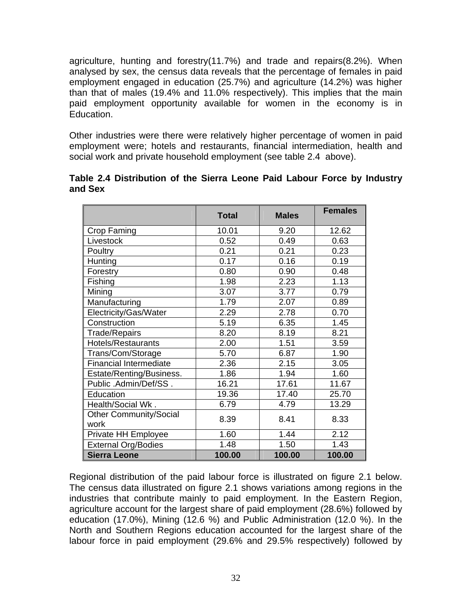agriculture, hunting and forestry(11.7%) and trade and repairs(8.2%). When analysed by sex, the census data reveals that the percentage of females in paid employment engaged in education (25.7%) and agriculture (14.2%) was higher than that of males (19.4% and 11.0% respectively). This implies that the main paid employment opportunity available for women in the economy is in Education.

Other industries were there were relatively higher percentage of women in paid employment were; hotels and restaurants, financial intermediation, health and social work and private household employment (see table 2.4 above).

|         | Table 2.4 Distribution of the Sierra Leone Paid Labour Force by Industry |  |  |  |  |
|---------|--------------------------------------------------------------------------|--|--|--|--|
| and Sex |                                                                          |  |  |  |  |

|                               | <b>Total</b> | <b>Males</b> | <b>Females</b> |
|-------------------------------|--------------|--------------|----------------|
| Crop Faming                   | 10.01        | 9.20         | 12.62          |
| Livestock                     | 0.52         | 0.49         | 0.63           |
| Poultry                       | 0.21         | 0.21         | 0.23           |
| Hunting                       | 0.17         | 0.16         | 0.19           |
| Forestry                      | 0.80         | 0.90         | 0.48           |
| Fishing                       | 1.98         | 2.23         | 1.13           |
| Mining                        | 3.07         | 3.77         | 0.79           |
| Manufacturing                 | 1.79         | 2.07         | 0.89           |
| Electricity/Gas/Water         | 2.29         | 2.78         | 0.70           |
| Construction                  | 5.19         | 6.35         | 1.45           |
| <b>Trade/Repairs</b>          | 8.20         | 8.19         | 8.21           |
| <b>Hotels/Restaurants</b>     | 2.00         | 1.51         | 3.59           |
| Trans/Com/Storage             | 5.70         | 6.87         | 1.90           |
| <b>Financial Intermediate</b> | 2.36         | 2.15         | 3.05           |
| Estate/Renting/Business.      | 1.86         | 1.94         | 1.60           |
| Public .Admin/Def/SS.         | 16.21        | 17.61        | 11.67          |
| Education                     | 19.36        | 17.40        | 25.70          |
| Health/Social Wk.             | 6.79         | 4.79         | 13.29          |
| <b>Other Community/Social</b> | 8.39         | 8.41         | 8.33           |
| work                          |              |              |                |
| Private HH Employee           | 1.60         | 1.44         | 2.12           |
| <b>External Org/Bodies</b>    | 1.48         | 1.50         | 1.43           |
| <b>Sierra Leone</b>           | 100.00       | 100.00       | 100.00         |

Regional distribution of the paid labour force is illustrated on figure 2.1 below. The census data illustrated on figure 2.1 shows variations among regions in the industries that contribute mainly to paid employment. In the Eastern Region, agriculture account for the largest share of paid employment (28.6%) followed by education (17.0%), Mining (12.6 %) and Public Administration (12.0 %). In the North and Southern Regions education accounted for the largest share of the labour force in paid employment (29.6% and 29.5% respectively) followed by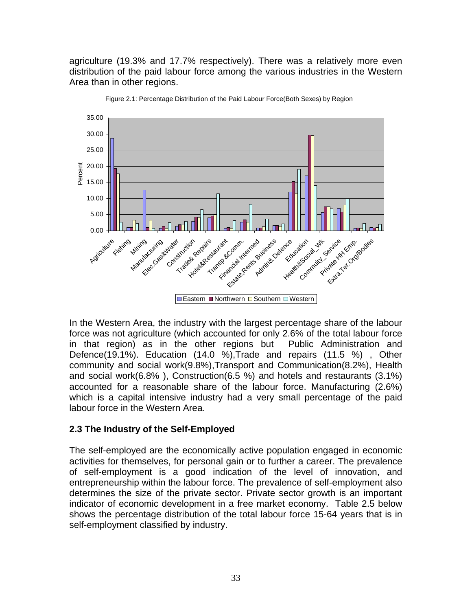agriculture (19.3% and 17.7% respectively). There was a relatively more even distribution of the paid labour force among the various industries in the Western Area than in other regions.



Figure 2.1: Percentage Distribution of the Paid Labour Force(Both Sexes) by Region

In the Western Area, the industry with the largest percentage share of the labour force was not agriculture (which accounted for only 2.6% of the total labour force in that region) as in the other regions but Public Administration and Defence(19.1%). Education (14.0 %),Trade and repairs (11.5 %) , Other community and social work(9.8%),Transport and Communication(8.2%), Health and social work(6.8% ), Construction(6.5 %) and hotels and restaurants (3.1%) accounted for a reasonable share of the labour force. Manufacturing (2.6%) which is a capital intensive industry had a very small percentage of the paid labour force in the Western Area.

### **2.3 The Industry of the Self-Employed**

The self-employed are the economically active population engaged in economic activities for themselves, for personal gain or to further a career. The prevalence of self-employment is a good indication of the level of innovation, and entrepreneurship within the labour force. The prevalence of self-employment also determines the size of the private sector. Private sector growth is an important indicator of economic development in a free market economy. Table 2.5 below shows the percentage distribution of the total labour force 15-64 years that is in self-employment classified by industry.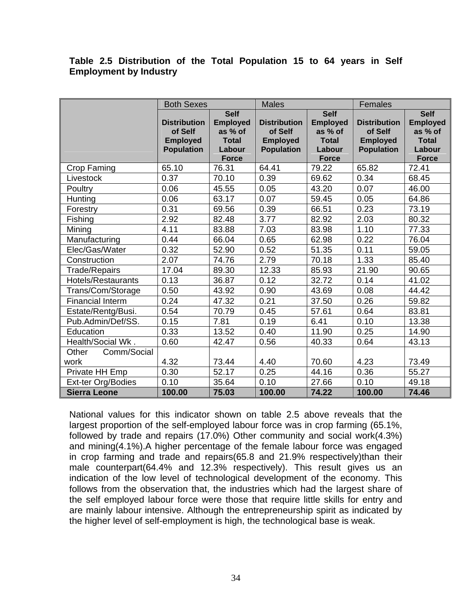### **Table 2.5 Distribution of the Total Population 15 to 64 years in Self Employment by Industry**

|                           | <b>Both Sexes</b>                                                      |                                                                      | <b>Males</b>                                                           |                                                                      | Females                                                                |                                                                      |
|---------------------------|------------------------------------------------------------------------|----------------------------------------------------------------------|------------------------------------------------------------------------|----------------------------------------------------------------------|------------------------------------------------------------------------|----------------------------------------------------------------------|
|                           |                                                                        | <b>Self</b>                                                          |                                                                        | <b>Self</b>                                                          |                                                                        | <b>Self</b>                                                          |
|                           | <b>Distribution</b><br>of Self<br><b>Employed</b><br><b>Population</b> | <b>Employed</b><br>as % of<br><b>Total</b><br>Labour<br><b>Force</b> | <b>Distribution</b><br>of Self<br><b>Employed</b><br><b>Population</b> | <b>Employed</b><br>as % of<br><b>Total</b><br>Labour<br><b>Force</b> | <b>Distribution</b><br>of Self<br><b>Employed</b><br><b>Population</b> | <b>Employed</b><br>as % of<br><b>Total</b><br>Labour<br><b>Force</b> |
| Crop Faming               | 65.10                                                                  | 76.31                                                                | 64.41                                                                  | 79.22                                                                | 65.82                                                                  | 72.41                                                                |
| Livestock                 | 0.37                                                                   | 70.10                                                                | 0.39                                                                   | 69.62                                                                | 0.34                                                                   | 68.45                                                                |
| Poultry                   | 0.06                                                                   | 45.55                                                                | 0.05                                                                   | 43.20                                                                | 0.07                                                                   | 46.00                                                                |
| Hunting                   | 0.06                                                                   | 63.17                                                                | 0.07                                                                   | 59.45                                                                | 0.05                                                                   | 64.86                                                                |
| Forestry                  | 0.31                                                                   | 69.56                                                                | 0.39                                                                   | 66.51                                                                | 0.23                                                                   | 73.19                                                                |
| Fishing                   | 2.92                                                                   | 82.48                                                                | 3.77                                                                   | 82.92                                                                | 2.03                                                                   | 80.32                                                                |
| Mining                    | 4.11                                                                   | 83.88                                                                | 7.03                                                                   | 83.98                                                                | 1.10                                                                   | 77.33                                                                |
| Manufacturing             | 0.44                                                                   | 66.04                                                                | 0.65                                                                   | 62.98                                                                | 0.22                                                                   | 76.04                                                                |
| Elec/Gas/Water            | 0.32                                                                   | 52.90                                                                | 0.52                                                                   | 51.35                                                                | 0.11                                                                   | 59.05                                                                |
| Construction              | 2.07                                                                   | 74.76                                                                | 2.79                                                                   | 70.18                                                                | 1.33                                                                   | 85.40                                                                |
| <b>Trade/Repairs</b>      | 17.04                                                                  | 89.30                                                                | 12.33                                                                  | 85.93                                                                | 21.90                                                                  | 90.65                                                                |
| <b>Hotels/Restaurants</b> | 0.13                                                                   | 36.87                                                                | 0.12                                                                   | 32.72                                                                | 0.14                                                                   | 41.02                                                                |
| Trans/Com/Storage         | 0.50                                                                   | 43.92                                                                | 0.90                                                                   | 43.69                                                                | 0.08                                                                   | 44.42                                                                |
| <b>Financial Interm</b>   | 0.24                                                                   | 47.32                                                                | 0.21                                                                   | 37.50                                                                | 0.26                                                                   | 59.82                                                                |
| Estate/Rentg/Busi.        | 0.54                                                                   | 70.79                                                                | 0.45                                                                   | 57.61                                                                | 0.64                                                                   | 83.81                                                                |
| Pub.Admin/Def/SS.         | 0.15                                                                   | 7.81                                                                 | 0.19                                                                   | 6.41                                                                 | 0.10                                                                   | 13.38                                                                |
| Education                 | 0.33                                                                   | 13.52                                                                | 0.40                                                                   | 11.90                                                                | 0.25                                                                   | 14.90                                                                |
| Health/Social Wk.         | 0.60                                                                   | 42.47                                                                | 0.56                                                                   | 40.33                                                                | 0.64                                                                   | 43.13                                                                |
| Comm/Social<br>Other      |                                                                        |                                                                      |                                                                        |                                                                      |                                                                        |                                                                      |
| work                      | 4.32                                                                   | 73.44                                                                | 4.40                                                                   | 70.60                                                                | 4.23                                                                   | 73.49                                                                |
| Private HH Emp            | 0.30                                                                   | 52.17                                                                | 0.25                                                                   | 44.16                                                                | 0.36                                                                   | 55.27                                                                |
| Ext-ter Org/Bodies        | 0.10                                                                   | 35.64                                                                | 0.10                                                                   | 27.66                                                                | 0.10                                                                   | 49.18                                                                |
| <b>Sierra Leone</b>       | 100.00                                                                 | 75.03                                                                | 100.00                                                                 | 74.22                                                                | 100.00                                                                 | 74.46                                                                |

National values for this indicator shown on table 2.5 above reveals that the largest proportion of the self-employed labour force was in crop farming (65.1%, followed by trade and repairs (17.0%) Other community and social work(4.3%) and mining(4.1%).A higher percentage of the female labour force was engaged in crop farming and trade and repairs(65.8 and 21.9% respectively)than their male counterpart(64.4% and 12.3% respectively). This result gives us an indication of the low level of technological development of the economy. This follows from the observation that, the industries which had the largest share of the self employed labour force were those that require little skills for entry and are mainly labour intensive. Although the entrepreneurship spirit as indicated by the higher level of self-employment is high, the technological base is weak.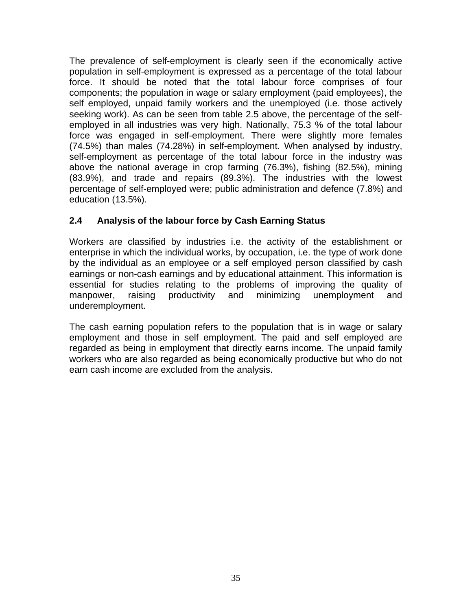The prevalence of self-employment is clearly seen if the economically active population in self-employment is expressed as a percentage of the total labour force. It should be noted that the total labour force comprises of four components; the population in wage or salary employment (paid employees), the self employed, unpaid family workers and the unemployed (i.e. those actively seeking work). As can be seen from table 2.5 above, the percentage of the selfemployed in all industries was very high. Nationally, 75.3 % of the total labour force was engaged in self-employment. There were slightly more females (74.5%) than males (74.28%) in self-employment. When analysed by industry, self-employment as percentage of the total labour force in the industry was above the national average in crop farming (76.3%), fishing (82.5%), mining (83.9%), and trade and repairs (89.3%). The industries with the lowest percentage of self-employed were; public administration and defence (7.8%) and education (13.5%).

## **2.4 Analysis of the labour force by Cash Earning Status**

Workers are classified by industries i.e. the activity of the establishment or enterprise in which the individual works, by occupation, i.e. the type of work done by the individual as an employee or a self employed person classified by cash earnings or non-cash earnings and by educational attainment. This information is essential for studies relating to the problems of improving the quality of manpower, raising productivity and minimizing unemployment and underemployment.

The cash earning population refers to the population that is in wage or salary employment and those in self employment. The paid and self employed are regarded as being in employment that directly earns income. The unpaid family workers who are also regarded as being economically productive but who do not earn cash income are excluded from the analysis.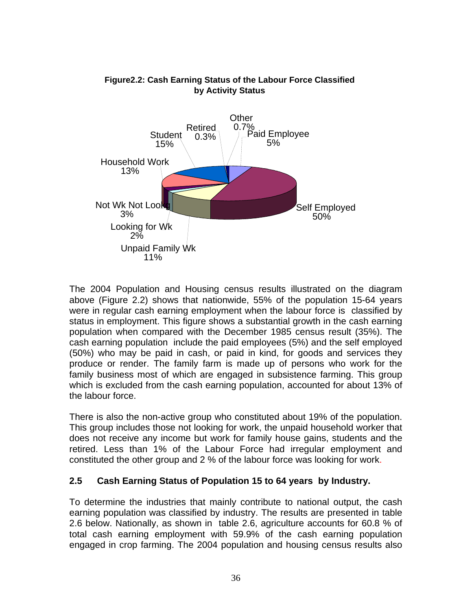

### **Figure2.2: Cash Earning Status of the Labour Force Classified by Activity Status**

The 2004 Population and Housing census results illustrated on the diagram above (Figure 2.2) shows that nationwide, 55% of the population 15-64 years were in regular cash earning employment when the labour force is classified by status in employment. This figure shows a substantial growth in the cash earning population when compared with the December 1985 census result (35%). The cash earning population include the paid employees (5%) and the self employed (50%) who may be paid in cash, or paid in kind, for goods and services they produce or render. The family farm is made up of persons who work for the family business most of which are engaged in subsistence farming. This group which is excluded from the cash earning population, accounted for about 13% of the labour force.

There is also the non-active group who constituted about 19% of the population. This group includes those not looking for work, the unpaid household worker that does not receive any income but work for family house gains, students and the retired. Less than 1% of the Labour Force had irregular employment and constituted the other group and 2 % of the labour force was looking for work.

## **2.5 Cash Earning Status of Population 15 to 64 years by Industry.**

To determine the industries that mainly contribute to national output, the cash earning population was classified by industry. The results are presented in table 2.6 below. Nationally, as shown in table 2.6, agriculture accounts for 60.8 % of total cash earning employment with 59.9% of the cash earning population engaged in crop farming. The 2004 population and housing census results also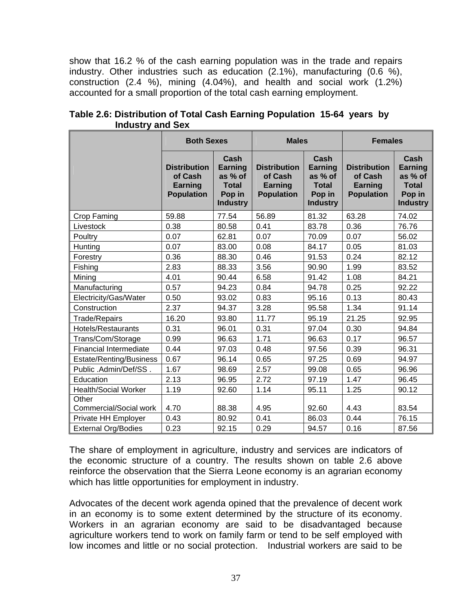show that 16.2 % of the cash earning population was in the trade and repairs industry. Other industries such as education (2.1%), manufacturing (0.6 %), construction (2.4 %), mining (4.04%), and health and social work (1.2%) accounted for a small proportion of the total cash earning employment.

|                               | <b>Both Sexes</b>                                                     |                                                                         | <b>Males</b>                                                          |                                                                                | <b>Females</b>                                                 |                                                                         |
|-------------------------------|-----------------------------------------------------------------------|-------------------------------------------------------------------------|-----------------------------------------------------------------------|--------------------------------------------------------------------------------|----------------------------------------------------------------|-------------------------------------------------------------------------|
|                               | <b>Distribution</b><br>of Cash<br><b>Earning</b><br><b>Population</b> | Cash<br>Earning<br>as % of<br><b>Total</b><br>Pop in<br><b>Industry</b> | <b>Distribution</b><br>of Cash<br><b>Earning</b><br><b>Population</b> | Cash<br><b>Earning</b><br>as % of<br><b>Total</b><br>Pop in<br><b>Industry</b> | <b>Distribution</b><br>of Cash<br>Earning<br><b>Population</b> | Cash<br>Earning<br>as % of<br><b>Total</b><br>Pop in<br><b>Industry</b> |
| Crop Faming                   | 59.88                                                                 | 77.54                                                                   | 56.89                                                                 | 81.32                                                                          | 63.28                                                          | 74.02                                                                   |
| Livestock                     | 0.38                                                                  | 80.58                                                                   | 0.41                                                                  | 83.78                                                                          | 0.36                                                           | 76.76                                                                   |
| Poultry                       | 0.07                                                                  | 62.81                                                                   | 0.07                                                                  | 70.09                                                                          | 0.07                                                           | 56.02                                                                   |
| Hunting                       | 0.07                                                                  | 83.00                                                                   | 0.08                                                                  | 84.17                                                                          | 0.05                                                           | 81.03                                                                   |
| Forestry                      | 0.36                                                                  | 88.30                                                                   | 0.46                                                                  | 91.53                                                                          | 0.24                                                           | 82.12                                                                   |
| Fishing                       | 2.83                                                                  | 88.33                                                                   | 3.56                                                                  | 90.90                                                                          | 1.99                                                           | 83.52                                                                   |
| Mining                        | 4.01                                                                  | 90.44                                                                   | 6.58                                                                  | 91.42                                                                          | 1.08                                                           | 84.21                                                                   |
| Manufacturing                 | 0.57                                                                  | 94.23                                                                   | 0.84                                                                  | 94.78                                                                          | 0.25                                                           | 92.22                                                                   |
| Electricity/Gas/Water         | 0.50                                                                  | 93.02                                                                   | 0.83                                                                  | 95.16                                                                          | 0.13                                                           | 80.43                                                                   |
| Construction                  | 2.37                                                                  | 94.37                                                                   | 3.28                                                                  | 95.58                                                                          | 1.34                                                           | 91.14                                                                   |
| <b>Trade/Repairs</b>          | 16.20                                                                 | 93.80                                                                   | 11.77                                                                 | 95.19                                                                          | 21.25                                                          | 92.95                                                                   |
| Hotels/Restaurants            | 0.31                                                                  | 96.01                                                                   | 0.31                                                                  | 97.04                                                                          | 0.30                                                           | 94.84                                                                   |
| Trans/Com/Storage             | 0.99                                                                  | 96.63                                                                   | 1.71                                                                  | 96.63                                                                          | 0.17                                                           | 96.57                                                                   |
| <b>Financial Intermediate</b> | 0.44                                                                  | 97.03                                                                   | 0.48                                                                  | 97.56                                                                          | 0.39                                                           | 96.31                                                                   |
| Estate/Renting/Business       | 0.67                                                                  | 96.14                                                                   | 0.65                                                                  | 97.25                                                                          | 0.69                                                           | 94.97                                                                   |
| Public .Admin/Def/SS.         | 1.67                                                                  | 98.69                                                                   | 2.57                                                                  | 99.08                                                                          | 0.65                                                           | 96.96                                                                   |
| Education                     | 2.13                                                                  | 96.95                                                                   | 2.72                                                                  | 97.19                                                                          | 1.47                                                           | 96.45                                                                   |
| <b>Health/Social Worker</b>   | 1.19                                                                  | 92.60                                                                   | 1.14                                                                  | 95.11                                                                          | 1.25                                                           | 90.12                                                                   |
| Other                         |                                                                       |                                                                         |                                                                       |                                                                                |                                                                |                                                                         |
| Commercial/Social work        | 4.70                                                                  | 88.38                                                                   | 4.95                                                                  | 92.60                                                                          | 4.43                                                           | 83.54                                                                   |
| Private HH Employer           | 0.43                                                                  | 80.92                                                                   | 0.41                                                                  | 86.03                                                                          | 0.44                                                           | 76.15                                                                   |
| <b>External Org/Bodies</b>    | 0.23                                                                  | 92.15                                                                   | 0.29                                                                  | 94.57                                                                          | 0.16                                                           | 87.56                                                                   |

**Table 2.6: Distribution of Total Cash Earning Population 15-64 years by Industry and Sex**

The share of employment in agriculture, industry and services are indicators of the economic structure of a country. The results shown on table 2.6 above reinforce the observation that the Sierra Leone economy is an agrarian economy which has little opportunities for employment in industry.

Advocates of the decent work agenda opined that the prevalence of decent work in an economy is to some extent determined by the structure of its economy. Workers in an agrarian economy are said to be disadvantaged because agriculture workers tend to work on family farm or tend to be self employed with low incomes and little or no social protection. Industrial workers are said to be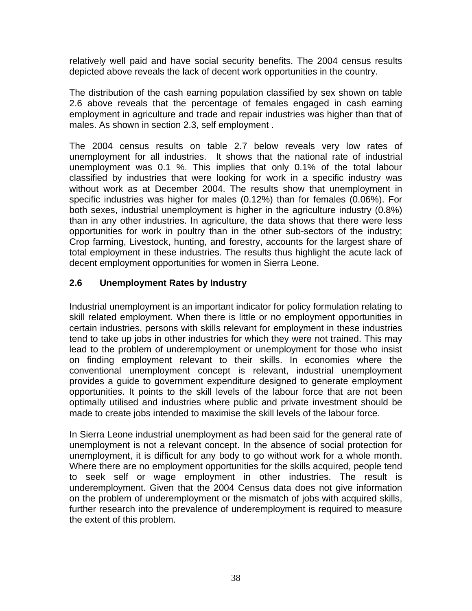relatively well paid and have social security benefits. The 2004 census results depicted above reveals the lack of decent work opportunities in the country.

The distribution of the cash earning population classified by sex shown on table 2.6 above reveals that the percentage of females engaged in cash earning employment in agriculture and trade and repair industries was higher than that of males. As shown in section 2.3, self employment .

The 2004 census results on table 2.7 below reveals very low rates of unemployment for all industries. It shows that the national rate of industrial unemployment was 0.1 %. This implies that only 0.1% of the total labour classified by industries that were looking for work in a specific industry was without work as at December 2004. The results show that unemployment in specific industries was higher for males (0.12%) than for females (0.06%). For both sexes, industrial unemployment is higher in the agriculture industry (0.8%) than in any other industries. In agriculture, the data shows that there were less opportunities for work in poultry than in the other sub-sectors of the industry; Crop farming, Livestock, hunting, and forestry, accounts for the largest share of total employment in these industries. The results thus highlight the acute lack of decent employment opportunities for women in Sierra Leone.

## **2.6 Unemployment Rates by Industry**

Industrial unemployment is an important indicator for policy formulation relating to skill related employment. When there is little or no employment opportunities in certain industries, persons with skills relevant for employment in these industries tend to take up jobs in other industries for which they were not trained. This may lead to the problem of underemployment or unemployment for those who insist on finding employment relevant to their skills. In economies where the conventional unemployment concept is relevant, industrial unemployment provides a guide to government expenditure designed to generate employment opportunities. It points to the skill levels of the labour force that are not been optimally utilised and industries where public and private investment should be made to create jobs intended to maximise the skill levels of the labour force.

In Sierra Leone industrial unemployment as had been said for the general rate of unemployment is not a relevant concept. In the absence of social protection for unemployment, it is difficult for any body to go without work for a whole month. Where there are no employment opportunities for the skills acquired, people tend to seek self or wage employment in other industries. The result is underemployment. Given that the 2004 Census data does not give information on the problem of underemployment or the mismatch of jobs with acquired skills, further research into the prevalence of underemployment is required to measure the extent of this problem.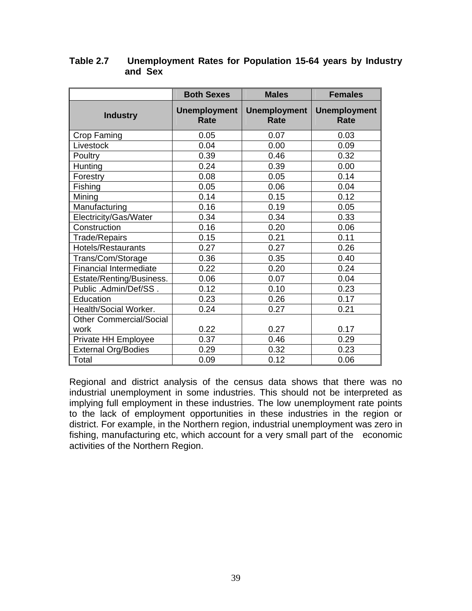|                                | <b>Both Sexes</b>                  | <b>Males</b>                | <b>Females</b>              |
|--------------------------------|------------------------------------|-----------------------------|-----------------------------|
| <b>Industry</b>                | <b>Unemployment</b><br><b>Rate</b> | <b>Unemployment</b><br>Rate | <b>Unemployment</b><br>Rate |
| <b>Crop Faming</b>             | 0.05                               | 0.07                        | 0.03                        |
| Livestock                      | 0.04                               | 0.00                        | 0.09                        |
| Poultry                        | 0.39                               | 0.46                        | 0.32                        |
| Hunting                        | 0.24                               | 0.39                        | 0.00                        |
| Forestry                       | 0.08                               | 0.05                        | 0.14                        |
| Fishing                        | 0.05                               | 0.06                        | 0.04                        |
| Mining                         | 0.14                               | 0.15                        | 0.12                        |
| Manufacturing                  | 0.16                               | 0.19                        | 0.05                        |
| Electricity/Gas/Water          | 0.34                               | 0.34                        | 0.33                        |
| Construction                   | 0.16                               | 0.20                        | 0.06                        |
| <b>Trade/Repairs</b>           | 0.15                               | 0.21                        | 0.11                        |
| <b>Hotels/Restaurants</b>      | 0.27                               | 0.27                        | 0.26                        |
| Trans/Com/Storage              | 0.36                               | 0.35                        | 0.40                        |
| <b>Financial Intermediate</b>  | 0.22                               | 0.20                        | 0.24                        |
| Estate/Renting/Business.       | 0.06                               | 0.07                        | 0.04                        |
| Public .Admin/Def/SS.          | 0.12                               | 0.10                        | 0.23                        |
| Education                      | 0.23                               | 0.26                        | 0.17                        |
| Health/Social Worker.          | 0.24                               | 0.27                        | 0.21                        |
| <b>Other Commercial/Social</b> |                                    |                             |                             |
| work                           | 0.22                               | 0.27                        | 0.17                        |
| Private HH Employee            | 0.37                               | 0.46                        | 0.29                        |
| <b>External Org/Bodies</b>     | 0.29                               | 0.32                        | 0.23                        |
| Total                          | 0.09                               | 0.12                        | 0.06                        |

### **Table 2.7 Unemployment Rates for Population 15-64 years by Industry and Sex**

Regional and district analysis of the census data shows that there was no industrial unemployment in some industries. This should not be interpreted as implying full employment in these industries. The low unemployment rate points to the lack of employment opportunities in these industries in the region or district. For example, in the Northern region, industrial unemployment was zero in fishing, manufacturing etc, which account for a very small part of the economic activities of the Northern Region.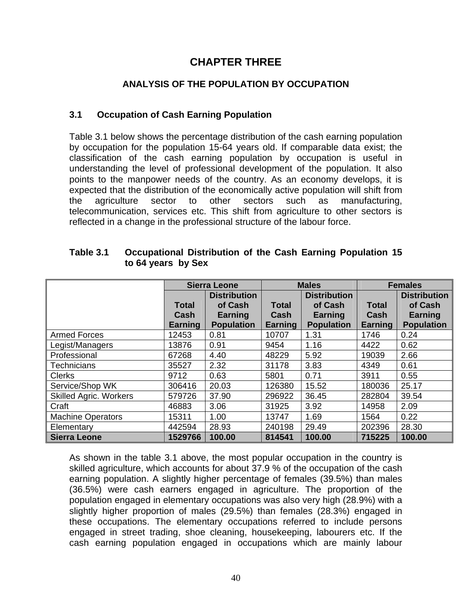# **CHAPTER THREE**

### **ANALYSIS OF THE POPULATION BY OCCUPATION**

### **3.1 Occupation of Cash Earning Population**

Table 3.1 below shows the percentage distribution of the cash earning population by occupation for the population 15-64 years old. If comparable data exist; the classification of the cash earning population by occupation is useful in understanding the level of professional development of the population. It also points to the manpower needs of the country. As an economy develops, it is expected that the distribution of the economically active population will shift from the agriculture sector to other sectors such as manufacturing, telecommunication, services etc. This shift from agriculture to other sectors is reflected in a change in the professional structure of the labour force.

|                               |                      | <b>Sierra Leone</b> |                      | <b>Males</b>        |                      | <b>Females</b>      |
|-------------------------------|----------------------|---------------------|----------------------|---------------------|----------------------|---------------------|
|                               |                      | <b>Distribution</b> |                      | <b>Distribution</b> |                      | <b>Distribution</b> |
|                               | <b>Total</b><br>Cash | of Cash<br>Earning  | <b>Total</b><br>Cash | of Cash<br>Earning  | <b>Total</b><br>Cash | of Cash<br>Earning  |
|                               | Earning              | <b>Population</b>   | Earning              | <b>Population</b>   | Earning              | <b>Population</b>   |
| <b>Armed Forces</b>           | 12453                | 0.81                | 10707                | 1.31                | 1746                 | 0.24                |
| Legist/Managers               | 13876                | 0.91                | 9454                 | 1.16                | 4422                 | 0.62                |
| Professional                  | 67268                | 4.40                | 48229                | 5.92                | 19039                | 2.66                |
| <b>Technicians</b>            | 35527                | 2.32                | 31178                | 3.83                | 4349                 | 0.61                |
| <b>Clerks</b>                 | 9712                 | 0.63                | 5801                 | 0.71                | 3911                 | 0.55                |
| Service/Shop WK               | 306416               | 20.03               | 126380               | 15.52               | 180036               | 25.17               |
| <b>Skilled Agric. Workers</b> | 579726               | 37.90               | 296922               | 36.45               | 282804               | 39.54               |
| Craft                         | 46883                | 3.06                | 31925                | 3.92                | 14958                | 2.09                |
| <b>Machine Operators</b>      | 15311                | 1.00                | 13747                | 1.69                | 1564                 | 0.22                |
| Elementary                    | 442594               | 28.93               | 240198               | 29.49               | 202396               | 28.30               |
| <b>Sierra Leone</b>           | 1529766              | 100.00              | 814541               | 100.00              | 715225               | 100.00              |

### **Table 3.1 Occupational Distribution of the Cash Earning Population 15 to 64 years by Sex**

As shown in the table 3.1 above, the most popular occupation in the country is skilled agriculture, which accounts for about 37.9 % of the occupation of the cash earning population. A slightly higher percentage of females (39.5%) than males (36.5%) were cash earners engaged in agriculture. The proportion of the population engaged in elementary occupations was also very high (28.9%) with a slightly higher proportion of males (29.5%) than females (28.3%) engaged in these occupations. The elementary occupations referred to include persons engaged in street trading, shoe cleaning, housekeeping, labourers etc. If the cash earning population engaged in occupations which are mainly labour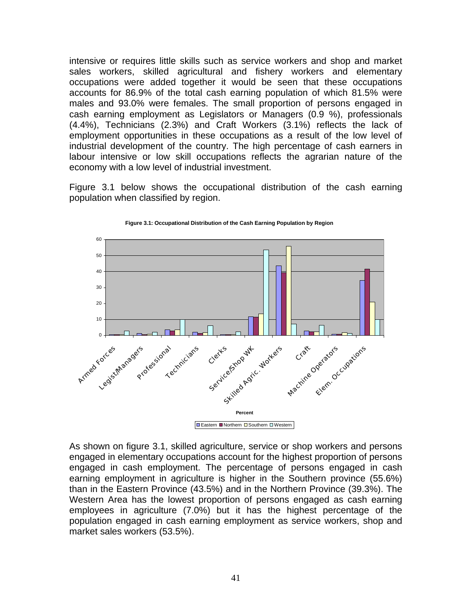intensive or requires little skills such as service workers and shop and market sales workers, skilled agricultural and fishery workers and elementary occupations were added together it would be seen that these occupations accounts for 86.9% of the total cash earning population of which 81.5% were males and 93.0% were females. The small proportion of persons engaged in cash earning employment as Legislators or Managers (0.9 %), professionals (4.4%), Technicians (2.3%) and Craft Workers (3.1%) reflects the lack of employment opportunities in these occupations as a result of the low level of industrial development of the country. The high percentage of cash earners in labour intensive or low skill occupations reflects the agrarian nature of the economy with a low level of industrial investment.

Figure 3.1 below shows the occupational distribution of the cash earning population when classified by region.



**Figure 3.1: Occupational Distribution of the Cash Earning Population by Region**

As shown on figure 3.1, skilled agriculture, service or shop workers and persons engaged in elementary occupations account for the highest proportion of persons engaged in cash employment. The percentage of persons engaged in cash earning employment in agriculture is higher in the Southern province (55.6%) than in the Eastern Province (43.5%) and in the Northern Province (39.3%). The Western Area has the lowest proportion of persons engaged as cash earning employees in agriculture (7.0%) but it has the highest percentage of the population engaged in cash earning employment as service workers, shop and market sales workers (53.5%).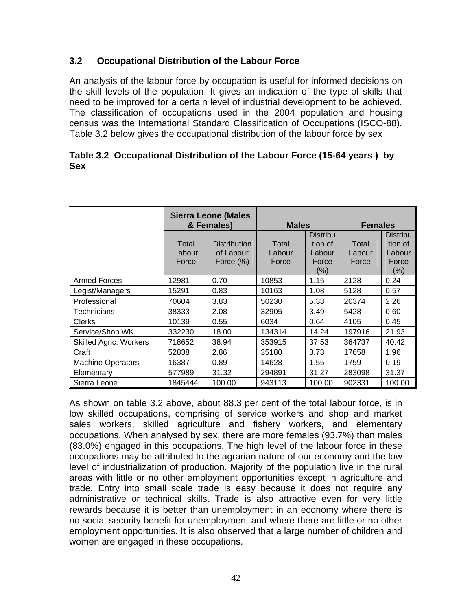### **3.2 Occupational Distribution of the Labour Force**

An analysis of the labour force by occupation is useful for informed decisions on the skill levels of the population. It gives an indication of the type of skills that need to be improved for a certain level of industrial development to be achieved. The classification of occupations used in the 2004 population and housing census was the International Standard Classification of Occupations (ISCO-88). Table 3.2 below gives the occupational distribution of the labour force by sex

|            | Table 3.2 Occupational Distribution of the Labour Force (15-64 years) by |  |
|------------|--------------------------------------------------------------------------|--|
| <b>Sex</b> |                                                                          |  |

|                               | <b>Sierra Leone (Males</b><br>& Females) |                                               | <b>Males</b>             |                                                      | <b>Females</b>           |                                                          |  |
|-------------------------------|------------------------------------------|-----------------------------------------------|--------------------------|------------------------------------------------------|--------------------------|----------------------------------------------------------|--|
|                               | Total<br>Labour<br>Force                 | <b>Distribution</b><br>of Labour<br>Force (%) | Total<br>Labour<br>Force | <b>Distribu</b><br>tion of<br>Labour<br>Force<br>(%) | Total<br>Labour<br>Force | <b>Distribu</b><br>tion of<br>Labour<br>Force<br>$(\% )$ |  |
| <b>Armed Forces</b>           | 12981                                    | 0.70                                          | 10853                    | 1.15                                                 | 2128                     | 0.24                                                     |  |
| Legist/Managers               | 15291                                    | 0.83                                          | 10163                    | 1.08                                                 | 5128                     | 0.57                                                     |  |
| Professional                  | 70604                                    | 3.83                                          | 50230                    | 5.33                                                 | 20374                    | 2.26                                                     |  |
| Technicians                   | 38333                                    | 2.08                                          | 32905                    | 3.49                                                 | 5428                     | 0.60                                                     |  |
| <b>Clerks</b>                 | 10139                                    | 0.55                                          | 6034                     | 0.64                                                 | 4105                     | 0.45                                                     |  |
| Service/Shop WK               | 332230                                   | 18.00                                         | 134314                   | 14.24                                                | 197916                   | 21.93                                                    |  |
| <b>Skilled Agric. Workers</b> | 718652                                   | 38.94                                         | 353915                   | 37.53                                                | 364737                   | 40.42                                                    |  |
| Craft                         | 52838                                    | 2.86                                          | 35180                    | 3.73                                                 | 17658                    | 1.96                                                     |  |
| <b>Machine Operators</b>      | 16387                                    | 0.89                                          | 14628                    | 1.55                                                 | 1759                     | 0.19                                                     |  |
| Elementary                    | 577989                                   | 31.32                                         | 294891                   | 31.27                                                | 283098                   | 31.37                                                    |  |
| Sierra Leone                  | 1845444                                  | 100.00                                        | 943113                   | 100.00                                               | 902331                   | 100.00                                                   |  |

As shown on table 3.2 above, about 88.3 per cent of the total labour force, is in low skilled occupations, comprising of service workers and shop and market sales workers, skilled agriculture and fishery workers, and elementary occupations. When analysed by sex, there are more females (93.7%) than males (83.0%) engaged in this occupations. The high level of the labour force in these occupations may be attributed to the agrarian nature of our economy and the low level of industrialization of production. Majority of the population live in the rural areas with little or no other employment opportunities except in agriculture and trade. Entry into small scale trade is easy because it does not require any administrative or technical skills. Trade is also attractive even for very little rewards because it is better than unemployment in an economy where there is no social security benefit for unemployment and where there are little or no other employment opportunities. It is also observed that a large number of children and women are engaged in these occupations.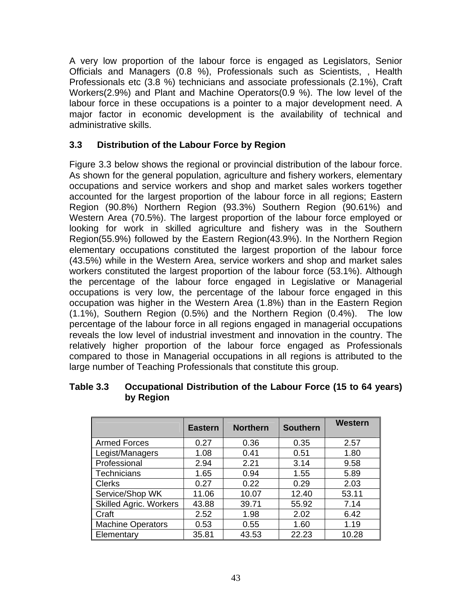A very low proportion of the labour force is engaged as Legislators, Senior Officials and Managers (0.8 %), Professionals such as Scientists, , Health Professionals etc (3.8 %) technicians and associate professionals (2.1%), Craft Workers(2.9%) and Plant and Machine Operators(0.9 %). The low level of the labour force in these occupations is a pointer to a major development need. A major factor in economic development is the availability of technical and administrative skills.

## **3.3 Distribution of the Labour Force by Region**

Figure 3.3 below shows the regional or provincial distribution of the labour force. As shown for the general population, agriculture and fishery workers, elementary occupations and service workers and shop and market sales workers together accounted for the largest proportion of the labour force in all regions; Eastern Region (90.8%) Northern Region (93.3%) Southern Region (90.61%) and Western Area (70.5%). The largest proportion of the labour force employed or looking for work in skilled agriculture and fishery was in the Southern Region(55.9%) followed by the Eastern Region(43.9%). In the Northern Region elementary occupations constituted the largest proportion of the labour force (43.5%) while in the Western Area, service workers and shop and market sales workers constituted the largest proportion of the labour force (53.1%). Although the percentage of the labour force engaged in Legislative or Managerial occupations is very low, the percentage of the labour force engaged in this occupation was higher in the Western Area (1.8%) than in the Eastern Region (1.1%), Southern Region (0.5%) and the Northern Region (0.4%). The low percentage of the labour force in all regions engaged in managerial occupations reveals the low level of industrial investment and innovation in the country. The relatively higher proportion of the labour force engaged as Professionals compared to those in Managerial occupations in all regions is attributed to the large number of Teaching Professionals that constitute this group.

|                               | <b>Eastern</b> | <b>Northern</b> | <b>Southern</b> | <b>Western</b> |
|-------------------------------|----------------|-----------------|-----------------|----------------|
| <b>Armed Forces</b>           | 0.27           | 0.36            | 0.35            | 2.57           |
| Legist/Managers               | 1.08           | 0.41            | 0.51            | 1.80           |
| Professional                  | 2.94           | 2.21            | 3.14            | 9.58           |
| <b>Technicians</b>            | 1.65           | 0.94            | 1.55            | 5.89           |
| <b>Clerks</b>                 | 0.27           | 0.22            | 0.29            | 2.03           |
| Service/Shop WK               | 11.06          | 10.07           | 12.40           | 53.11          |
| <b>Skilled Agric. Workers</b> | 43.88          | 39.71           | 55.92           | 7.14           |
| Craft                         | 2.52           | 1.98            | 2.02            | 6.42           |
| <b>Machine Operators</b>      | 0.53           | 0.55            | 1.60            | 1.19           |
| Elementary                    | 35.81          | 43.53           | 22.23           | 10.28          |

### **Table 3.3 Occupational Distribution of the Labour Force (15 to 64 years) by Region**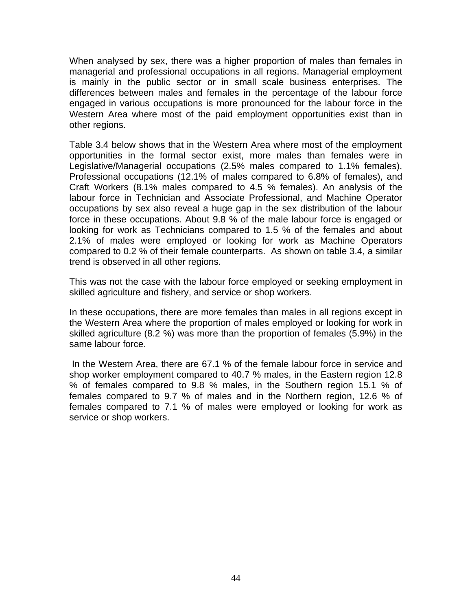When analysed by sex, there was a higher proportion of males than females in managerial and professional occupations in all regions. Managerial employment is mainly in the public sector or in small scale business enterprises. The differences between males and females in the percentage of the labour force engaged in various occupations is more pronounced for the labour force in the Western Area where most of the paid employment opportunities exist than in other regions.

Table 3.4 below shows that in the Western Area where most of the employment opportunities in the formal sector exist, more males than females were in Legislative/Managerial occupations (2.5% males compared to 1.1% females), Professional occupations (12.1% of males compared to 6.8% of females), and Craft Workers (8.1% males compared to 4.5 % females). An analysis of the labour force in Technician and Associate Professional, and Machine Operator occupations by sex also reveal a huge gap in the sex distribution of the labour force in these occupations. About 9.8 % of the male labour force is engaged or looking for work as Technicians compared to 1.5 % of the females and about 2.1% of males were employed or looking for work as Machine Operators compared to 0.2 % of their female counterparts. As shown on table 3.4, a similar trend is observed in all other regions.

This was not the case with the labour force employed or seeking employment in skilled agriculture and fishery, and service or shop workers.

In these occupations, there are more females than males in all regions except in the Western Area where the proportion of males employed or looking for work in skilled agriculture (8.2 %) was more than the proportion of females (5.9%) in the same labour force.

 In the Western Area, there are 67.1 % of the female labour force in service and shop worker employment compared to 40.7 % males, in the Eastern region 12.8 % of females compared to 9.8 % males, in the Southern region 15.1 % of females compared to 9.7 % of males and in the Northern region, 12.6 % of females compared to 7.1 % of males were employed or looking for work as service or shop workers.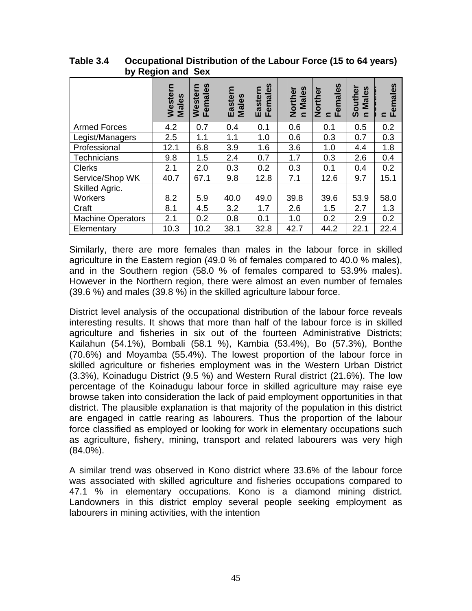| $\sim$ $\prime$<br>$11991911$ and |                      |                               |                  |                            |                               |                                         |                                                   |                                                      |  |
|-----------------------------------|----------------------|-------------------------------|------------------|----------------------------|-------------------------------|-----------------------------------------|---------------------------------------------------|------------------------------------------------------|--|
|                                   | ε<br>Wester<br>Males | <b>Females</b><br>⊆<br>Wester | Eastern<br>Males | emales<br>aste<br>ш<br>LĹ. | Males<br>Norther<br>$\subset$ | emales<br>Norther<br>Lĭ<br>$\mathbf{C}$ | <b>S</b><br>Southe<br><b>Male</b><br>$\mathbf{C}$ | <b>S</b><br>$\mathbf{\underline{\omega}}$<br>ma<br>ய |  |
| <b>Armed Forces</b>               | 4.2                  | 0.7                           | 0.4              | 0.1                        | 0.6                           | 0.1                                     | 0.5                                               | 0.2                                                  |  |
| Legist/Managers                   | 2.5                  | 1.1                           | 1.1              | 1.0                        | 0.6                           | 0.3                                     | 0.7                                               | 0.3                                                  |  |
| Professional                      | 12.1                 | 6.8                           | 3.9              | 1.6                        | 3.6                           | 1.0                                     | 4.4                                               | 1.8                                                  |  |
| Technicians                       | 9.8                  | 1.5                           | 2.4              | 0.7                        | 1.7                           | 0.3                                     | 2.6                                               | 0.4                                                  |  |
| <b>Clerks</b>                     | 2.1                  | 2.0                           | 0.3              | 0.2                        | 0.3                           | 0.1                                     | 0.4                                               | 0.2                                                  |  |
| Service/Shop WK                   | 40.7                 | 67.1                          | 9.8              | 12.8                       | 7.1                           | 12.6                                    | 9.7                                               | 15.1                                                 |  |
| Skilled Agric.                    |                      |                               |                  |                            |                               |                                         |                                                   |                                                      |  |
| Workers                           | 8.2                  | 5.9                           | 40.0             | 49.0                       | 39.8                          | 39.6                                    | 53.9                                              | 58.0                                                 |  |
| Craft                             | 8.1                  | 4.5                           | 3.2              | 1.7                        | 2.6                           | 1.5                                     | 2.7                                               | 1.3                                                  |  |
| <b>Machine Operators</b>          | 2.1                  | 0.2                           | 0.8              | 0.1                        | 1.0                           | 0.2                                     | 2.9                                               | 0.2                                                  |  |
| Elementary                        | 10.3                 | 10.2                          | 38.1             | 32.8                       | 42.7                          | 44.2                                    | 22.1                                              | 22.4                                                 |  |

**Table 3.4 Occupational Distribution of the Labour Force (15 to 64 years) by Region and Sex** 

Similarly, there are more females than males in the labour force in skilled agriculture in the Eastern region (49.0 % of females compared to 40.0 % males), and in the Southern region (58.0 % of females compared to 53.9% males). However in the Northern region, there were almost an even number of females (39.6 %) and males (39.8 %) in the skilled agriculture labour force.

District level analysis of the occupational distribution of the labour force reveals interesting results. It shows that more than half of the labour force is in skilled agriculture and fisheries in six out of the fourteen Administrative Districts; Kailahun (54.1%), Bombali (58.1 %), Kambia (53.4%), Bo (57.3%), Bonthe (70.6%) and Moyamba (55.4%). The lowest proportion of the labour force in skilled agriculture or fisheries employment was in the Western Urban District (3.3%), Koinadugu District (9.5 %) and Western Rural district (21.6%). The low percentage of the Koinadugu labour force in skilled agriculture may raise eye browse taken into consideration the lack of paid employment opportunities in that district. The plausible explanation is that majority of the population in this district are engaged in cattle rearing as labourers. Thus the proportion of the labour force classified as employed or looking for work in elementary occupations such as agriculture, fishery, mining, transport and related labourers was very high (84.0%).

A similar trend was observed in Kono district where 33.6% of the labour force was associated with skilled agriculture and fisheries occupations compared to 47.1 % in elementary occupations. Kono is a diamond mining district. Landowners in this district employ several people seeking employment as labourers in mining activities, with the intention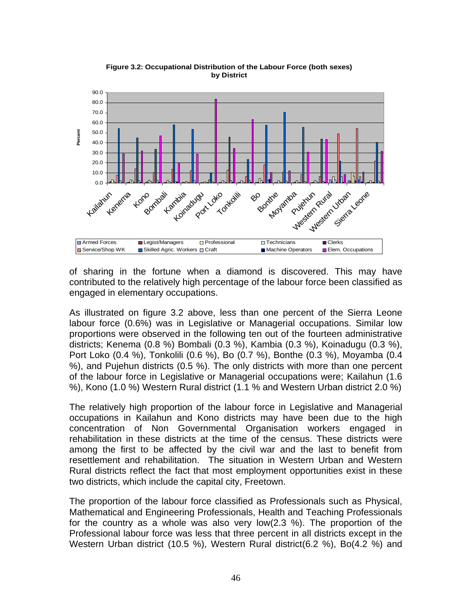

**Figure 3.2: Occupational Distribution of the Labour Force (both sexes) by District**

of sharing in the fortune when a diamond is discovered. This may have contributed to the relatively high percentage of the labour force been classified as engaged in elementary occupations.

As illustrated on figure 3.2 above, less than one percent of the Sierra Leone labour force (0.6%) was in Legislative or Managerial occupations. Similar low proportions were observed in the following ten out of the fourteen administrative districts; Kenema (0.8 %) Bombali (0.3 %), Kambia (0.3 %), Koinadugu (0.3 %), Port Loko (0.4 %), Tonkolili (0.6 %), Bo (0.7 %), Bonthe (0.3 %), Moyamba (0.4 %), and Pujehun districts (0.5 %). The only districts with more than one percent of the labour force in Legislative or Managerial occupations were; Kailahun (1.6 %), Kono (1.0 %) Western Rural district (1.1 % and Western Urban district 2.0 %)

The relatively high proportion of the labour force in Legislative and Managerial occupations in Kailahun and Kono districts may have been due to the high concentration of Non Governmental Organisation workers engaged in rehabilitation in these districts at the time of the census. These districts were among the first to be affected by the civil war and the last to benefit from resettlement and rehabilitation. The situation in Western Urban and Western Rural districts reflect the fact that most employment opportunities exist in these two districts, which include the capital city, Freetown.

The proportion of the labour force classified as Professionals such as Physical, Mathematical and Engineering Professionals, Health and Teaching Professionals for the country as a whole was also very low(2.3 %). The proportion of the Professional labour force was less that three percent in all districts except in the Western Urban district (10.5 %), Western Rural district(6.2 %), Bo(4.2 %) and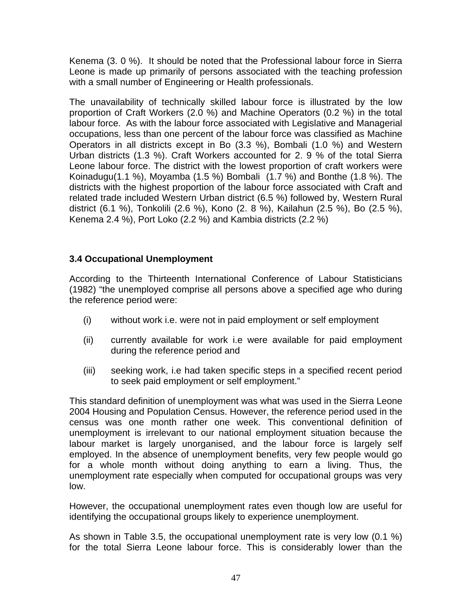Kenema (3. 0 %). It should be noted that the Professional labour force in Sierra Leone is made up primarily of persons associated with the teaching profession with a small number of Engineering or Health professionals.

The unavailability of technically skilled labour force is illustrated by the low proportion of Craft Workers (2.0 %) and Machine Operators (0.2 %) in the total labour force. As with the labour force associated with Legislative and Managerial occupations, less than one percent of the labour force was classified as Machine Operators in all districts except in Bo (3.3 %), Bombali (1.0 %) and Western Urban districts (1.3 %). Craft Workers accounted for 2. 9 % of the total Sierra Leone labour force. The district with the lowest proportion of craft workers were Koinadugu(1.1 %), Moyamba (1.5 %) Bombali (1.7 %) and Bonthe (1.8 %). The districts with the highest proportion of the labour force associated with Craft and related trade included Western Urban district (6.5 %) followed by, Western Rural district (6.1 %), Tonkolili (2.6 %), Kono (2. 8 %), Kailahun (2.5 %), Bo (2.5 %), Kenema 2.4 %), Port Loko (2.2 %) and Kambia districts (2.2 %)

## **3.4 Occupational Unemployment**

According to the Thirteenth International Conference of Labour Statisticians (1982) "the unemployed comprise all persons above a specified age who during the reference period were:

- (i) without work i.e. were not in paid employment or self employment
- (ii) currently available for work i.e were available for paid employment during the reference period and
- (iii) seeking work, i.e had taken specific steps in a specified recent period to seek paid employment or self employment."

This standard definition of unemployment was what was used in the Sierra Leone 2004 Housing and Population Census. However, the reference period used in the census was one month rather one week. This conventional definition of unemployment is irrelevant to our national employment situation because the labour market is largely unorganised, and the labour force is largely self employed. In the absence of unemployment benefits, very few people would go for a whole month without doing anything to earn a living. Thus, the unemployment rate especially when computed for occupational groups was very low.

However, the occupational unemployment rates even though low are useful for identifying the occupational groups likely to experience unemployment.

As shown in Table 3.5, the occupational unemployment rate is very low (0.1 %) for the total Sierra Leone labour force. This is considerably lower than the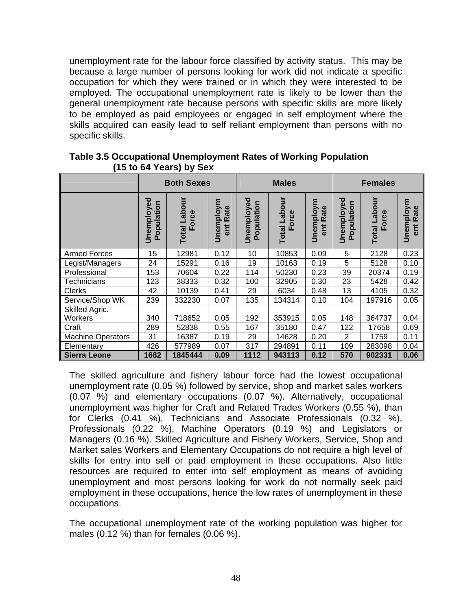unemployment rate for the labour force classified by activity status. This may be because a large number of persons looking for work did not indicate a specific occupation for which they were trained or in which they were interested to be employed. The occupational unemployment rate is likely to be lower than the general unemployment rate because persons with specific skills are more likely to be employed as paid employees or engaged in self employment where the skills acquired can easily lead to self reliant employment than persons with no specific skills.

|                           |                          | <b>Both Sexes</b>        |                          |                          | <b>Males</b>                 |                          |                              | <b>Females</b>        |                                |  |
|---------------------------|--------------------------|--------------------------|--------------------------|--------------------------|------------------------------|--------------------------|------------------------------|-----------------------|--------------------------------|--|
|                           | Jnemployed<br>Population | Labour<br>Force<br>Total | Unemploym<br>Rate<br>ent | Unemployed<br>Population | <b>Total Labour</b><br>Force | Unemploym<br>Rate<br>ent | Unemployed<br>⊆<br>Populatio | Total Labour<br>Force | Unemploym<br>Rate<br><b>Ti</b> |  |
| <b>Armed Forces</b>       | 15                       | 12981                    | 0.12                     | 10                       | 10853                        | 0.09                     | 5                            | 2128                  | 0.23                           |  |
| Legist/Managers           | 24                       | 15291                    | 0.16                     | 19                       | 10163                        | 0.19                     | 5                            | 5128                  | 0.10                           |  |
| Professional              | 153                      | 70604                    | 0.22                     | 114                      | 50230                        | 0.23                     | 39                           | 20374                 | 0.19                           |  |
| Technicians               | 123                      | 38333                    | 0.32                     | 100                      | 32905                        | 0.30                     | 23                           | 5428                  | 0.42                           |  |
| <b>Clerks</b>             | 42                       | 10139                    | 0.41                     | 29                       | 6034                         | 0.48                     | 13                           | 4105                  | 0.32                           |  |
| Service/Shop WK           | 239                      | 332230                   | 0.07                     | 135                      | 134314                       | 0.10                     | 104                          | 197916                | 0.05                           |  |
| Skilled Agric.<br>Workers | 340                      | 718652                   | 0.05                     | 192                      | 353915                       | 0.05                     | 148                          | 364737                | 0.04                           |  |
| Craft                     | 289                      | 52838                    | 0.55                     | 167                      | 35180                        | 0.47                     | 122                          | 17658                 | 0.69                           |  |
| <b>Machine Operators</b>  | 31                       | 16387                    | 0.19                     | 29                       | 14628                        | 0.20                     | $\overline{2}$               | 1759                  | 0.11                           |  |
| Elementary                | 426                      | 577989                   | 0.07                     | 317                      | 294891                       | 0.11                     | 109                          | 283098                | 0.04                           |  |
| <b>Sierra Leone</b>       | 1682                     | 1845444                  | 0.09                     | 1112                     | 943113                       | 0.12                     | 570                          | 902331                | 0.06                           |  |

**Table 3.5 Occupational Unemployment Rates of Working Population (15 to 64 Years) by Sex**

The skilled agriculture and fishery labour force had the lowest occupational unemployment rate (0.05 %) followed by service, shop and market sales workers (0.07 %) and elementary occupations (0.07 %). Alternatively, occupational unemployment was higher for Craft and Related Trades Workers (0.55 %), than for Clerks (0.41 %), Technicians and Associate Professionals (0.32 %), Professionals (0.22 %), Machine Operators (0.19 %) and Legislators or Managers (0.16 %). Skilled Agriculture and Fishery Workers, Service, Shop and Market sales Workers and Elementary Occupations do not require a high level of skills for entry into self or paid employment in these occupations. Also little resources are required to enter into self employment as means of avoiding unemployment and most persons looking for work do not normally seek paid employment in these occupations, hence the low rates of unemployment in these occupations.

The occupational unemployment rate of the working population was higher for males (0.12 %) than for females (0.06 %).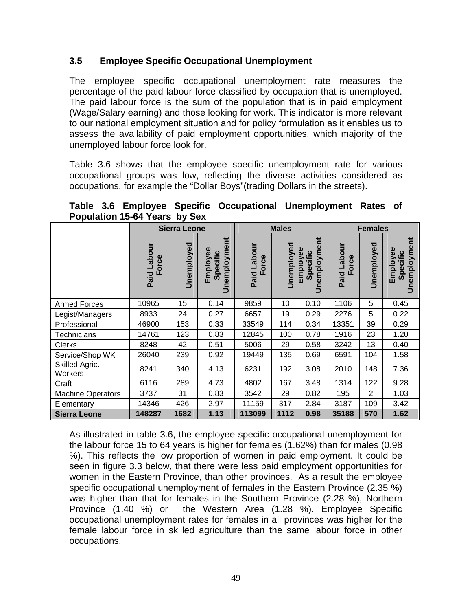### **3.5 Employee Specific Occupational Unemployment**

The employee specific occupational unemployment rate measures the percentage of the paid labour force classified by occupation that is unemployed. The paid labour force is the sum of the population that is in paid employment (Wage/Salary earning) and those looking for work. This indicator is more relevant to our national employment situation and for policy formulation as it enables us to assess the availability of paid employment opportunities, which majority of the unemployed labour force look for.

Table 3.6 shows that the employee specific unemployment rate for various occupational groups was low, reflecting the diverse activities considered as occupations, for example the "Dollar Boys"(trading Dollars in the streets).

**Table 3.6 Employee Specific Occupational Unemployment Rates of Population 15-64 Years by Sex**

|                           |                     | <b>Sierra Leone</b> |                                         | <b>Males</b>                 |            |                                       |                        | <b>Females</b> |                                      |  |  |
|---------------------------|---------------------|---------------------|-----------------------------------------|------------------------------|------------|---------------------------------------|------------------------|----------------|--------------------------------------|--|--|
|                           | Paid Labour<br>orce | Unemployed          | Ĕ<br>Unemployme<br>Employee<br>Specific | Labour<br>orce<br>Paid<br>ட் | Unemployed | Ĕ<br>Unemployme<br>mplove<br>Specific | unoqe-<br>orce<br>Paid | Unemployed     | Unemployment<br>Employee<br>Specific |  |  |
| <b>Armed Forces</b>       | 10965               | 15                  | 0.14                                    | 9859                         | 10         | 0.10                                  | 1106                   | 5              | 0.45                                 |  |  |
| Legist/Managers           | 8933                | 24                  | 0.27                                    | 6657                         | 19         | 0.29                                  | 2276                   | 5              | 0.22                                 |  |  |
| Professional              | 46900               | 153                 | 0.33                                    | 33549                        | 114        | 0.34                                  | 13351                  | 39             | 0.29                                 |  |  |
| <b>Technicians</b>        | 14761               | 123                 | 0.83                                    | 12845                        | 100        | 0.78                                  | 1916                   | 23             | 1.20                                 |  |  |
| Clerks                    | 8248                | 42                  | 0.51                                    | 5006                         | 29         | 0.58                                  | 3242                   | 13             | 0.40                                 |  |  |
| Service/Shop WK           | 26040               | 239                 | 0.92                                    | 19449                        | 135        | 0.69                                  | 6591                   | 104            | 1.58                                 |  |  |
| Skilled Agric.<br>Workers | 8241                | 340                 | 4.13                                    | 6231                         | 192        | 3.08                                  | 2010                   | 148            | 7.36                                 |  |  |
| Craft                     | 6116                | 289                 | 4.73                                    | 4802                         | 167        | 3.48                                  | 1314                   | 122            | 9.28                                 |  |  |
| <b>Machine Operators</b>  | 3737                | 31                  | 0.83                                    | 3542                         | 29         | 0.82                                  | 195                    | $\overline{2}$ | 1.03                                 |  |  |
| Elementary                | 14346               | 426                 | 2.97                                    | 11159                        | 317        | 2.84                                  | 3187                   | 109            | 3.42                                 |  |  |
| <b>Sierra Leone</b>       | 148287              | 1682                | 1.13                                    | 113099                       | 1112       | 0.98                                  | 35188                  | 570            | 1.62                                 |  |  |

As illustrated in table 3.6, the employee specific occupational unemployment for the labour force 15 to 64 years is higher for females (1.62%) than for males (0.98 %). This reflects the low proportion of women in paid employment. It could be seen in figure 3.3 below, that there were less paid employment opportunities for women in the Eastern Province, than other provinces. As a result the employee specific occupational unemployment of females in the Eastern Province (2.35 %) was higher than that for females in the Southern Province (2.28 %), Northern Province (1.40 %) or the Western Area (1.28 %). Employee Specific occupational unemployment rates for females in all provinces was higher for the female labour force in skilled agriculture than the same labour force in other occupations.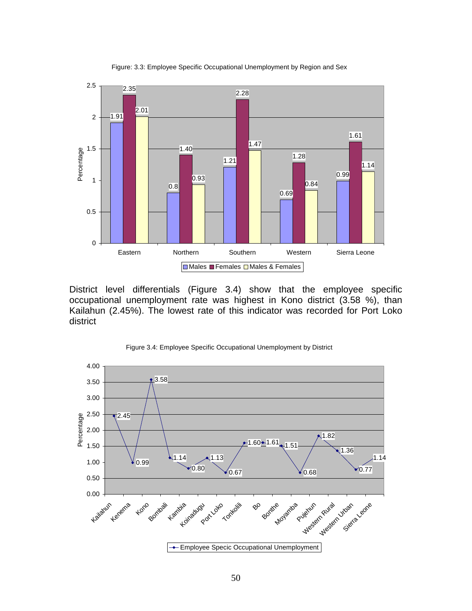

Figure: 3.3: Employee Specific Occupational Unemployment by Region and Sex

District level differentials (Figure 3.4) show that the employee specific occupational unemployment rate was highest in Kono district (3.58 %), than Kailahun (2.45%). The lowest rate of this indicator was recorded for Port Loko district



Figure 3.4: Employee Specific Occupational Unemployment by District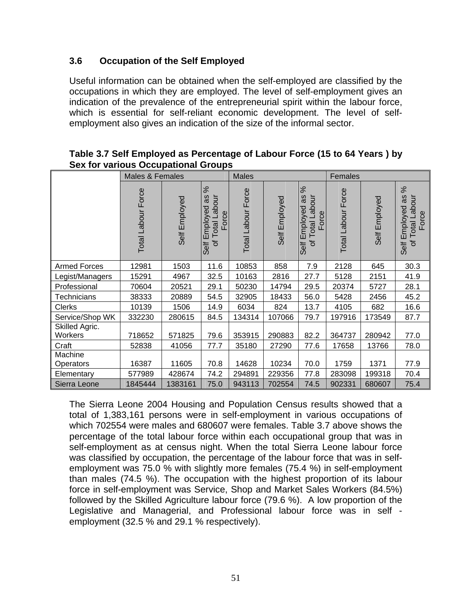### **3.6 Occupation of the Self Employed**

Useful information can be obtained when the self-employed are classified by the occupations in which they are employed. The level of self-employment gives an indication of the prevalence of the entrepreneurial spirit within the labour force, which is essential for self-reliant economic development. The level of selfemployment also gives an indication of the size of the informal sector.

|                             | Males & Females    |               |                                                                     | <b>Males</b>              |               |                                                              | Females            |               |                                                        |
|-----------------------------|--------------------|---------------|---------------------------------------------------------------------|---------------------------|---------------|--------------------------------------------------------------|--------------------|---------------|--------------------------------------------------------|
|                             | Total Labour Force | Self Employed | ৯ৎ<br>æ<br>Labour<br>Employed<br>Force<br><b>Total</b><br>৳<br>Self | <b>Total Labour Force</b> | Self Employed | ಸ<br>as<br>Labour<br>Employed<br>Force<br>Total<br>৳<br>Self | Total Labour Force | Self Employed | ಸ<br>æ<br>Labour<br>Self Employed<br>Force<br>of Total |
| <b>Armed Forces</b>         | 12981              | 1503          | 11.6                                                                | 10853                     | 858           | 7.9                                                          | 2128               | 645           | 30.3                                                   |
| Legist/Managers             | 15291              | 4967          | 32.5                                                                | 10163                     | 2816          | 27.7                                                         | 5128               | 2151          | 41.9                                                   |
| Professional                | 70604              | 20521         | 29.1                                                                | 50230                     | 14794         | 29.5                                                         | 20374              | 5727          | 28.1                                                   |
| <b>Technicians</b>          | 38333              | 20889         | 54.5                                                                | 32905                     | 18433         | 56.0                                                         | 5428               | 2456          | 45.2                                                   |
| <b>Clerks</b>               | 10139              | 1506          | 14.9                                                                | 6034                      | 824           | 13.7                                                         | 4105               | 682           | 16.6                                                   |
| Service/Shop WK             | 332230             | 280615        | 84.5                                                                | 134314                    | 107066        | 79.7                                                         | 197916             | 173549        | 87.7                                                   |
| Skilled Agric.<br>Workers   | 718652             | 571825        | 79.6                                                                | 353915                    | 290883        | 82.2                                                         | 364737             | 280942        | 77.0                                                   |
| Craft                       | 52838              | 41056         | 77.7                                                                | 35180                     | 27290         | 77.6                                                         | 17658              | 13766         | 78.0                                                   |
| Machine<br><b>Operators</b> | 16387              | 11605         | 70.8                                                                | 14628                     | 10234         | 70.0                                                         | 1759               | 1371          | 77.9                                                   |
| Elementary                  | 577989             | 428674        | 74.2                                                                | 294891                    | 229356        | 77.8                                                         | 283098             | 199318        | 70.4                                                   |
| Sierra Leone                | 1845444            | 1383161       | 75.0                                                                | 943113                    | 702554        | 74.5                                                         | 902331             | 680607        | 75.4                                                   |

#### **Table 3.7 Self Employed as Percentage of Labour Force (15 to 64 Years ) by Sex for various Occupational Groups**

The Sierra Leone 2004 Housing and Population Census results showed that a total of 1,383,161 persons were in self-employment in various occupations of which 702554 were males and 680607 were females. Table 3.7 above shows the percentage of the total labour force within each occupational group that was in self-employment as at census night. When the total Sierra Leone labour force was classified by occupation, the percentage of the labour force that was in selfemployment was 75.0 % with slightly more females (75.4 %) in self-employment than males (74.5 %). The occupation with the highest proportion of its labour force in self-employment was Service, Shop and Market Sales Workers (84.5%) followed by the Skilled Agriculture labour force (79.6 %). A low proportion of the Legislative and Managerial, and Professional labour force was in self employment (32.5 % and 29.1 % respectively).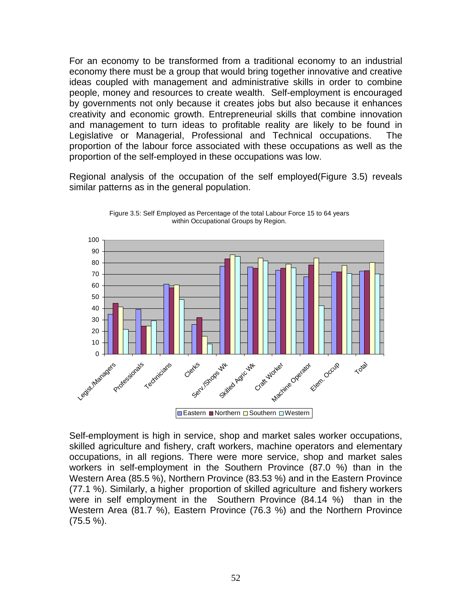For an economy to be transformed from a traditional economy to an industrial economy there must be a group that would bring together innovative and creative ideas coupled with management and administrative skills in order to combine people, money and resources to create wealth. Self-employment is encouraged by governments not only because it creates jobs but also because it enhances creativity and economic growth. Entrepreneurial skills that combine innovation and management to turn ideas to profitable reality are likely to be found in Legislative or Managerial, Professional and Technical occupations. The proportion of the labour force associated with these occupations as well as the proportion of the self-employed in these occupations was low.

Regional analysis of the occupation of the self employed(Figure 3.5) reveals similar patterns as in the general population.



Figure 3.5: Self Employed as Percentage of the total Labour Force 15 to 64 years within Occupational Groups by Region.

Self-employment is high in service, shop and market sales worker occupations, skilled agriculture and fishery, craft workers, machine operators and elementary occupations, in all regions. There were more service, shop and market sales workers in self-employment in the Southern Province (87.0 %) than in the Western Area (85.5 %), Northern Province (83.53 %) and in the Eastern Province (77.1 %). Similarly, a higher proportion of skilled agriculture and fishery workers were in self employment in the Southern Province (84.14 %) than in the Western Area (81.7 %), Eastern Province (76.3 %) and the Northern Province (75.5 %).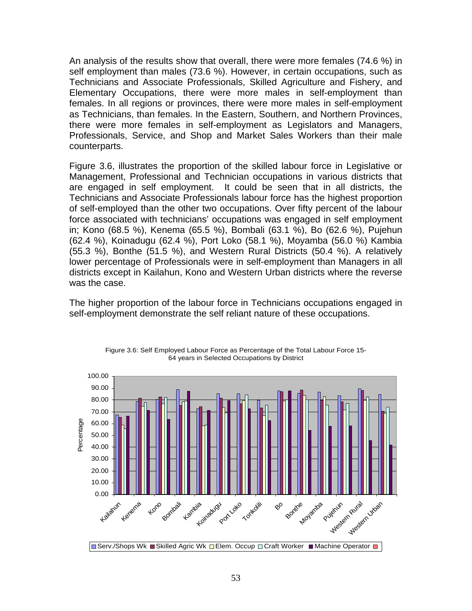An analysis of the results show that overall, there were more females (74.6 %) in self employment than males (73.6 %). However, in certain occupations, such as Technicians and Associate Professionals, Skilled Agriculture and Fishery, and Elementary Occupations, there were more males in self-employment than females. In all regions or provinces, there were more males in self-employment as Technicians, than females. In the Eastern, Southern, and Northern Provinces, there were more females in self-employment as Legislators and Managers, Professionals, Service, and Shop and Market Sales Workers than their male counterparts.

Figure 3.6, illustrates the proportion of the skilled labour force in Legislative or Management, Professional and Technician occupations in various districts that are engaged in self employment. It could be seen that in all districts, the Technicians and Associate Professionals labour force has the highest proportion of self-employed than the other two occupations. Over fifty percent of the labour force associated with technicians' occupations was engaged in self employment in; Kono (68.5 %), Kenema (65.5 %), Bombali (63.1 %), Bo (62.6 %), Pujehun (62.4 %), Koinadugu (62.4 %), Port Loko (58.1 %), Moyamba (56.0 %) Kambia (55.3 %), Bonthe (51.5 %), and Western Rural Districts (50.4 %). A relatively lower percentage of Professionals were in self-employment than Managers in all districts except in Kailahun, Kono and Western Urban districts where the reverse was the case.

The higher proportion of the labour force in Technicians occupations engaged in self-employment demonstrate the self reliant nature of these occupations.



Figure 3.6: Self Employed Labour Force as Percentage of the Total Labour Force 15- 64 years in Selected Occupations by District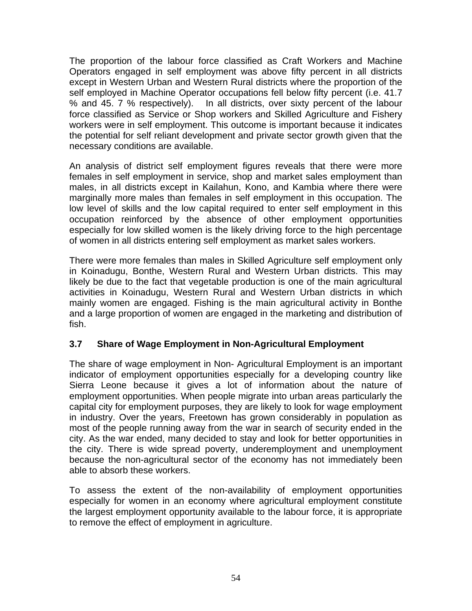The proportion of the labour force classified as Craft Workers and Machine Operators engaged in self employment was above fifty percent in all districts except in Western Urban and Western Rural districts where the proportion of the self employed in Machine Operator occupations fell below fifty percent (i.e. 41.7 % and 45. 7 % respectively). In all districts, over sixty percent of the labour force classified as Service or Shop workers and Skilled Agriculture and Fishery workers were in self employment. This outcome is important because it indicates the potential for self reliant development and private sector growth given that the necessary conditions are available.

An analysis of district self employment figures reveals that there were more females in self employment in service, shop and market sales employment than males, in all districts except in Kailahun, Kono, and Kambia where there were marginally more males than females in self employment in this occupation. The low level of skills and the low capital required to enter self employment in this occupation reinforced by the absence of other employment opportunities especially for low skilled women is the likely driving force to the high percentage of women in all districts entering self employment as market sales workers.

There were more females than males in Skilled Agriculture self employment only in Koinadugu, Bonthe, Western Rural and Western Urban districts. This may likely be due to the fact that vegetable production is one of the main agricultural activities in Koinadugu, Western Rural and Western Urban districts in which mainly women are engaged. Fishing is the main agricultural activity in Bonthe and a large proportion of women are engaged in the marketing and distribution of fish.

### **3.7 Share of Wage Employment in Non-Agricultural Employment**

The share of wage employment in Non- Agricultural Employment is an important indicator of employment opportunities especially for a developing country like Sierra Leone because it gives a lot of information about the nature of employment opportunities. When people migrate into urban areas particularly the capital city for employment purposes, they are likely to look for wage employment in industry. Over the years, Freetown has grown considerably in population as most of the people running away from the war in search of security ended in the city. As the war ended, many decided to stay and look for better opportunities in the city. There is wide spread poverty, underemployment and unemployment because the non-agricultural sector of the economy has not immediately been able to absorb these workers.

To assess the extent of the non-availability of employment opportunities especially for women in an economy where agricultural employment constitute the largest employment opportunity available to the labour force, it is appropriate to remove the effect of employment in agriculture.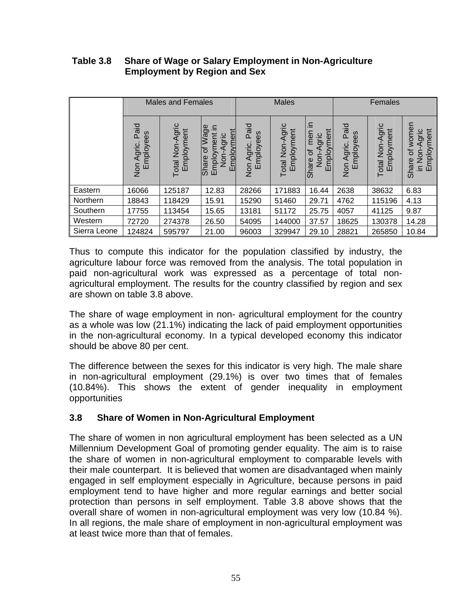|              | <b>Males and Females</b>                     |                               |                                                                          |                                              | <b>Males</b>                  |                                                                             | Females                            |                              |                                                                                  |
|--------------|----------------------------------------------|-------------------------------|--------------------------------------------------------------------------|----------------------------------------------|-------------------------------|-----------------------------------------------------------------------------|------------------------------------|------------------------------|----------------------------------------------------------------------------------|
|              | Paid<br>Employees<br>Agric.<br>$\frac{5}{2}$ | Total Non-Agric<br>Employment | Wage<br>≘.<br>Employment<br>Employment<br>Non-Agric<br>ㅎ<br><b>Share</b> | Paid<br>Employees<br>Agric.<br>$\frac{5}{2}$ | Total Non-Agric<br>Employment | ≘.<br>Employment<br>men<br>gric<br>৳<br>Non-<br>hare<br>$\overline{\omega}$ | Paid<br>Employees<br>Agric.<br>mon | otal Non-Agric<br>Employment | women<br>mployment<br>vgric<br>⋖<br>đ<br>$\frac{5}{2}$<br>Share<br>$\equiv$<br>Ш |
| Eastern      | 16066                                        | 125187                        | 12.83                                                                    | 28266                                        | 171883                        | 16.44                                                                       | 2638                               | 38632                        | 6.83                                                                             |
| Northern     | 18843                                        | 118429                        | 15.91                                                                    | 15290                                        | 51460                         | 29.71                                                                       | 4762                               | 115196                       | 4.13                                                                             |
| Southern     | 17755                                        | 113454                        | 15.65                                                                    | 13181                                        | 51172                         | 25.75                                                                       | 4057                               | 41125                        | 9.87                                                                             |
| Western      | 72720                                        | 274378                        | 26.50                                                                    | 54095                                        | 144000                        | 37.57                                                                       | 18625                              | 130378                       | 14.28                                                                            |
| Sierra Leone | 124824                                       | 595797                        | 21.00                                                                    | 96003                                        | 329947                        | 29.10                                                                       | 28821                              | 265850                       | 10.84                                                                            |

### **Table 3.8 Share of Wage or Salary Employment in Non-Agriculture Employment by Region and Sex**

Thus to compute this indicator for the population classified by industry, the agriculture labour force was removed from the analysis. The total population in paid non-agricultural work was expressed as a percentage of total nonagricultural employment. The results for the country classified by region and sex are shown on table 3.8 above.

The share of wage employment in non- agricultural employment for the country as a whole was low (21.1%) indicating the lack of paid employment opportunities in the non-agricultural economy. In a typical developed economy this indicator should be above 80 per cent.

The difference between the sexes for this indicator is very high. The male share in non-agricultural employment (29.1%) is over two times that of females (10.84%). This shows the extent of gender inequality in employment opportunities

## **3.8 Share of Women in Non-Agricultural Employment**

The share of women in non agricultural employment has been selected as a UN Millennium Development Goal of promoting gender equality. The aim is to raise the share of women in non-agricultural employment to comparable levels with their male counterpart. It is believed that women are disadvantaged when mainly engaged in self employment especially in Agriculture, because persons in paid employment tend to have higher and more regular earnings and better social protection than persons in self employment. Table 3.8 above shows that the overall share of women in non-agricultural employment was very low (10.84 %). In all regions, the male share of employment in non-agricultural employment was at least twice more than that of females.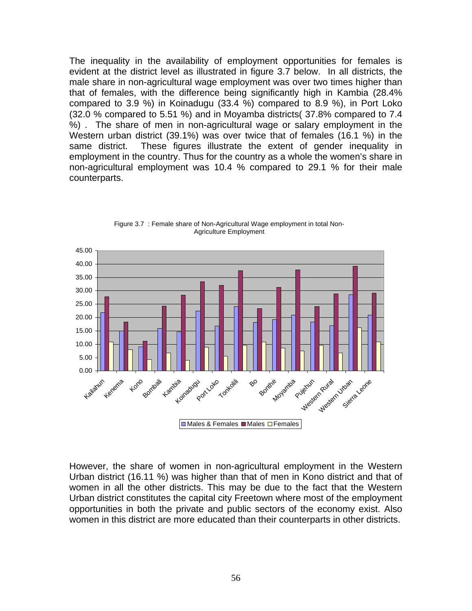The inequality in the availability of employment opportunities for females is evident at the district level as illustrated in figure 3.7 below. In all districts, the male share in non-agricultural wage employment was over two times higher than that of females, with the difference being significantly high in Kambia (28.4% compared to 3.9 %) in Koinadugu (33.4 %) compared to 8.9 %), in Port Loko (32.0 % compared to 5.51 %) and in Moyamba districts( 37.8% compared to 7.4 %) . The share of men in non-agricultural wage or salary employment in the Western urban district (39.1%) was over twice that of females (16.1 %) in the same district. These figures illustrate the extent of gender inequality in employment in the country. Thus for the country as a whole the women's share in non-agricultural employment was 10.4 % compared to 29.1 % for their male counterparts.



Figure 3.7 : Female share of Non-Agricultural Wage employment in total Non-Agriculture Employment

However, the share of women in non-agricultural employment in the Western Urban district (16.11 %) was higher than that of men in Kono district and that of women in all the other districts. This may be due to the fact that the Western Urban district constitutes the capital city Freetown where most of the employment opportunities in both the private and public sectors of the economy exist. Also women in this district are more educated than their counterparts in other districts.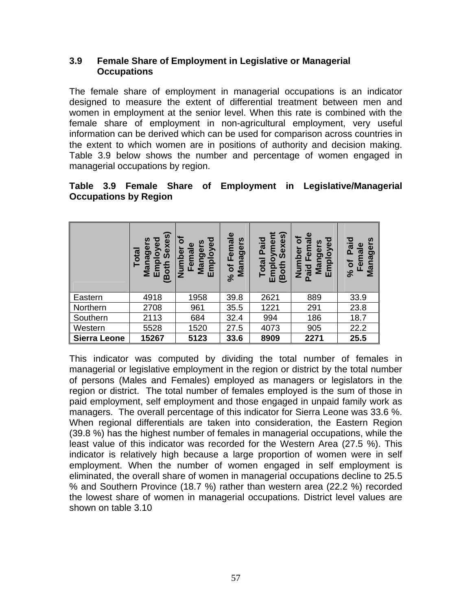### **3.9 Female Share of Employment in Legislative or Managerial Occupations**

The female share of employment in managerial occupations is an indicator designed to measure the extent of differential treatment between men and women in employment at the senior level. When this rate is combined with the female share of employment in non-agricultural employment, very useful information can be derived which can be used for comparison across countries in the extent to which women are in positions of authority and decision making. Table 3.9 below shows the number and percentage of women engaged in managerial occupations by region.

### **Table 3.9 Female Share of Employment in Legislative/Managerial Occupations by Region**

|                     | Sexes)<br>ъ<br>loye<br>ager<br>Total<br>$\mathbf{P}$<br>(Both<br>밑<br>Βg | Employed<br>Ó<br>ω<br>Manger<br>Femal<br>umbe<br>z | Female<br>Managers<br>ð<br>$\mathcal{S}_{\mathbf{0}}$ | Sexes)<br>oyment<br>Paid<br>Total<br>(Both<br>Empl | $\mathbf{\omega}$<br>mployed<br>O<br>ಗ<br>Mangers<br>Eem<br>E<br>mber<br>bie,<br><u> 글</u><br>ш<br>௨ | Paid<br>n<br>Female<br>$\boldsymbol{\omega}$<br>ರಾ<br>Mana<br>৳<br>$\mathcal{S}_{\mathbf{0}}$ |
|---------------------|--------------------------------------------------------------------------|----------------------------------------------------|-------------------------------------------------------|----------------------------------------------------|------------------------------------------------------------------------------------------------------|-----------------------------------------------------------------------------------------------|
| Eastern             | 4918                                                                     | 1958                                               | 39.8                                                  | 2621                                               | 889                                                                                                  | 33.9                                                                                          |
| Northern            | 2708                                                                     | 961                                                | 35.5                                                  | 1221                                               | 291                                                                                                  | 23.8                                                                                          |
| Southern            | 2113                                                                     | 684                                                | 32.4                                                  | 994                                                | 186                                                                                                  | 18.7                                                                                          |
| Western             | 5528                                                                     | 1520                                               | 27.5                                                  | 4073                                               | 905                                                                                                  | 22.2                                                                                          |
| <b>Sierra Leone</b> | 15267                                                                    | 5123                                               | 33.6                                                  | 8909                                               | 2271                                                                                                 | 25.5                                                                                          |

This indicator was computed by dividing the total number of females in managerial or legislative employment in the region or district by the total number of persons (Males and Females) employed as managers or legislators in the region or district. The total number of females employed is the sum of those in paid employment, self employment and those engaged in unpaid family work as managers. The overall percentage of this indicator for Sierra Leone was 33.6 %. When regional differentials are taken into consideration, the Eastern Region (39.8 %) has the highest number of females in managerial occupations, while the least value of this indicator was recorded for the Western Area (27.5 %). This indicator is relatively high because a large proportion of women were in self employment. When the number of women engaged in self employment is eliminated, the overall share of women in managerial occupations decline to 25.5 % and Southern Province (18.7 %) rather than western area (22.2 %) recorded the lowest share of women in managerial occupations. District level values are shown on table 3.10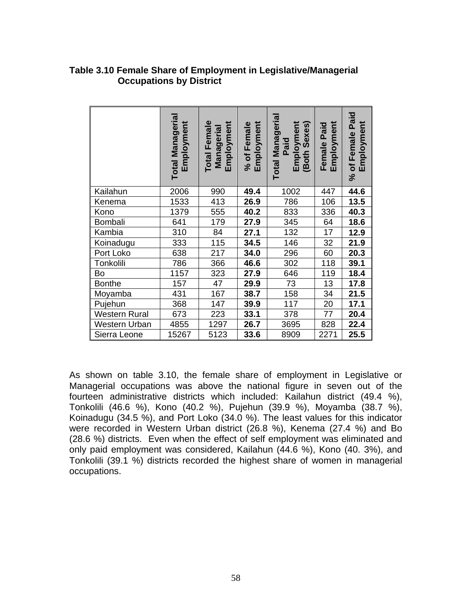#### **Table 3.10 Female Share of Employment in Legislative/Managerial Occupations by District**

|                      | <b>Total Managerial</b><br>Employment | <b>Total Female</b><br>Employment<br>Managerial | Employment<br>% of Female | Total Manageria<br>Employment<br>Sexes)<br>Paid<br>(Both | Employment<br>Female Paid | Paid<br>Employment<br>Female<br>% of |
|----------------------|---------------------------------------|-------------------------------------------------|---------------------------|----------------------------------------------------------|---------------------------|--------------------------------------|
| Kailahun             | 2006                                  | 990                                             | 49.4                      | 1002                                                     | 447                       | 44.6                                 |
| Kenema               | 1533                                  | 413                                             | 26.9                      | 786                                                      | 106                       | 13.5                                 |
| Kono                 | 1379                                  | 555                                             | 40.2                      | 833                                                      | 336                       | 40.3                                 |
| Bombali              | 641                                   | 179                                             | 27.9                      | 345                                                      | 64                        | 18.6                                 |
| Kambia               | 310                                   | 84                                              | 27.1                      | 132                                                      | 17                        | 12.9                                 |
| Koinadugu            | 333                                   | 115                                             | 34.5                      | 146                                                      | 32                        | 21.9                                 |
| Port Loko            | 638                                   | 217                                             | 34.0                      | 296                                                      | 60                        | 20.3                                 |
| Tonkolili            | 786                                   | 366                                             | 46.6                      | 302                                                      | 118                       | 39.1                                 |
| Bo                   | 1157                                  | 323                                             | 27.9                      | 646                                                      | 119                       | 18.4                                 |
| <b>Bonthe</b>        | 157                                   | 47                                              | 29.9                      | 73                                                       | 13                        | 17.8                                 |
| Moyamba              | 431                                   | 167                                             | 38.7                      | 158                                                      | 34                        | 21.5                                 |
| Pujehun              | 368                                   | 147                                             | 39.9                      | 117                                                      | 20                        | 17.1                                 |
| <b>Western Rural</b> | 673                                   | 223                                             | 33.1                      | 378                                                      | 77                        | 20.4                                 |
| Western Urban        | 4855                                  | 1297                                            | 26.7                      | 3695                                                     | 828                       | 22.4                                 |
| Sierra Leone         | 15267                                 | 5123                                            | 33.6                      | 8909                                                     | 2271                      | 25.5                                 |

As shown on table 3.10, the female share of employment in Legislative or Managerial occupations was above the national figure in seven out of the fourteen administrative districts which included: Kailahun district (49.4 %), Tonkolili (46.6 %), Kono (40.2 %), Pujehun (39.9 %), Moyamba (38.7 %), Koinadugu (34.5 %), and Port Loko (34.0 %). The least values for this indicator were recorded in Western Urban district (26.8 %), Kenema (27.4 %) and Bo (28.6 %) districts. Even when the effect of self employment was eliminated and only paid employment was considered, Kailahun (44.6 %), Kono (40. 3%), and Tonkolili (39.1 %) districts recorded the highest share of women in managerial occupations.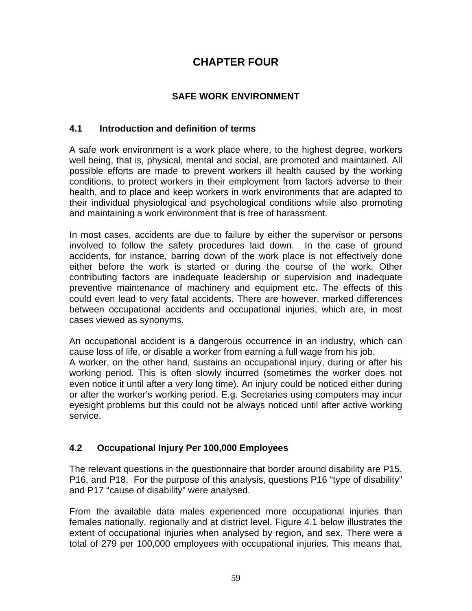# **CHAPTER FOUR**

## **SAFE WORK ENVIRONMENT**

#### **4.1 Introduction and definition of terms**

A safe work environment is a work place where, to the highest degree, workers well being, that is, physical, mental and social, are promoted and maintained. All possible efforts are made to prevent workers ill health caused by the working conditions, to protect workers in their employment from factors adverse to their health, and to place and keep workers in work environments that are adapted to their individual physiological and psychological conditions while also promoting and maintaining a work environment that is free of harassment.

In most cases, accidents are due to failure by either the supervisor or persons involved to follow the safety procedures laid down. In the case of ground accidents, for instance, barring down of the work place is not effectively done either before the work is started or during the course of the work. Other contributing factors are inadequate leadership or supervision and inadequate preventive maintenance of machinery and equipment etc. The effects of this could even lead to very fatal accidents. There are however, marked differences between occupational accidents and occupational injuries, which are, in most cases viewed as synonyms.

An occupational accident is a dangerous occurrence in an industry, which can cause loss of life, or disable a worker from earning a full wage from his job. A worker, on the other hand, sustains an occupational injury, during or after his working period. This is often slowly incurred (sometimes the worker does not even notice it until after a very long time). An injury could be noticed either during or after the worker's working period. E.g. Secretaries using computers may incur eyesight problems but this could not be always noticed until after active working service.

## **4.2 Occupational Injury Per 100,000 Employees**

The relevant questions in the questionnaire that border around disability are P15, P16, and P18. For the purpose of this analysis, questions P16 "type of disability" and P17 "cause of disability" were analysed.

From the available data males experienced more occupational injuries than females nationally, regionally and at district level. Figure 4.1 below illustrates the extent of occupational injuries when analysed by region, and sex. There were a total of 279 per 100,000 employees with occupational injuries. This means that,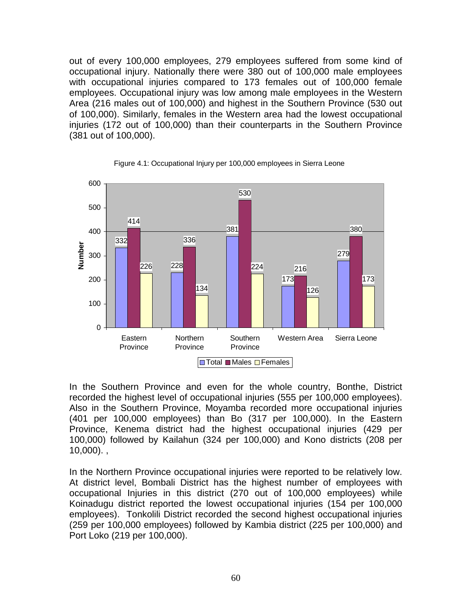out of every 100,000 employees, 279 employees suffered from some kind of occupational injury. Nationally there were 380 out of 100,000 male employees with occupational injuries compared to 173 females out of 100,000 female employees. Occupational injury was low among male employees in the Western Area (216 males out of 100,000) and highest in the Southern Province (530 out of 100,000). Similarly, females in the Western area had the lowest occupational injuries (172 out of 100,000) than their counterparts in the Southern Province (381 out of 100,000).





In the Southern Province and even for the whole country, Bonthe, District recorded the highest level of occupational injuries (555 per 100,000 employees). Also in the Southern Province, Moyamba recorded more occupational injuries (401 per 100,000 employees) than Bo (317 per 100,000). In the Eastern Province, Kenema district had the highest occupational injuries (429 per 100,000) followed by Kailahun (324 per 100,000) and Kono districts (208 per  $10,000$ ).,

In the Northern Province occupational injuries were reported to be relatively low. At district level, Bombali District has the highest number of employees with occupational Injuries in this district (270 out of 100,000 employees) while Koinadugu district reported the lowest occupational injuries (154 per 100,000 employees). Tonkolili District recorded the second highest occupational injuries (259 per 100,000 employees) followed by Kambia district (225 per 100,000) and Port Loko (219 per 100,000).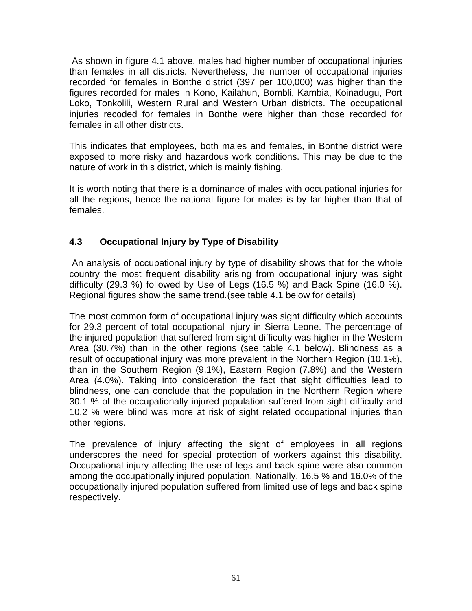As shown in figure 4.1 above, males had higher number of occupational injuries than females in all districts. Nevertheless, the number of occupational injuries recorded for females in Bonthe district (397 per 100,000) was higher than the figures recorded for males in Kono, Kailahun, Bombli, Kambia, Koinadugu, Port Loko, Tonkolili, Western Rural and Western Urban districts. The occupational injuries recoded for females in Bonthe were higher than those recorded for females in all other districts.

This indicates that employees, both males and females, in Bonthe district were exposed to more risky and hazardous work conditions. This may be due to the nature of work in this district, which is mainly fishing.

It is worth noting that there is a dominance of males with occupational injuries for all the regions, hence the national figure for males is by far higher than that of females.

# **4.3 Occupational Injury by Type of Disability**

 An analysis of occupational injury by type of disability shows that for the whole country the most frequent disability arising from occupational injury was sight difficulty (29.3 %) followed by Use of Legs (16.5 %) and Back Spine (16.0 %). Regional figures show the same trend.(see table 4.1 below for details)

The most common form of occupational injury was sight difficulty which accounts for 29.3 percent of total occupational injury in Sierra Leone. The percentage of the injured population that suffered from sight difficulty was higher in the Western Area (30.7%) than in the other regions (see table 4.1 below). Blindness as a result of occupational injury was more prevalent in the Northern Region (10.1%), than in the Southern Region (9.1%), Eastern Region (7.8%) and the Western Area (4.0%). Taking into consideration the fact that sight difficulties lead to blindness, one can conclude that the population in the Northern Region where 30.1 % of the occupationally injured population suffered from sight difficulty and 10.2 % were blind was more at risk of sight related occupational injuries than other regions.

The prevalence of injury affecting the sight of employees in all regions underscores the need for special protection of workers against this disability. Occupational injury affecting the use of legs and back spine were also common among the occupationally injured population. Nationally, 16.5 % and 16.0% of the occupationally injured population suffered from limited use of legs and back spine respectively.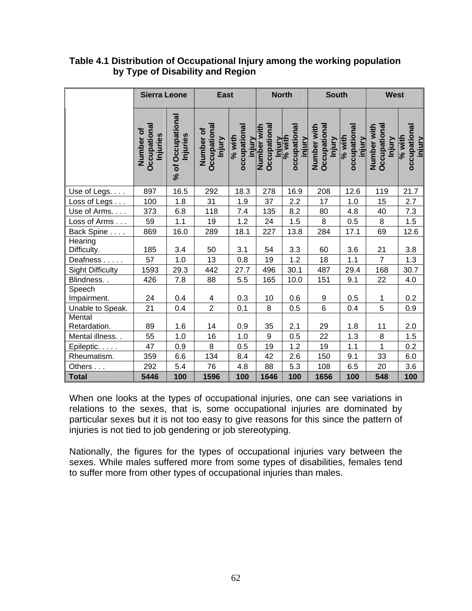|                         | <b>Sierra Leone</b>                  |                               | <b>East</b>                         |                                  |                             | <b>North</b>                               | <b>South</b>                                 |                                    | <b>West</b>                                 |                                    |
|-------------------------|--------------------------------------|-------------------------------|-------------------------------------|----------------------------------|-----------------------------|--------------------------------------------|----------------------------------------------|------------------------------------|---------------------------------------------|------------------------------------|
|                         | Occupationa<br>Number of<br>Injuries | % of Occupational<br>Injuries | Occupational<br>Number of<br>Injury | occupational<br>% with<br>injury | Occupational<br>Number with | occupational<br>Injury<br>% with<br>injury | Number with<br><b>Occupational</b><br>Injury | occupational<br>$%$ with<br>injury | Number with<br><b>Occupationa</b><br>Injury | occupational<br>$%$ with<br>iniury |
| Use of Legs.            | 897                                  | 16.5                          | 292                                 | 18.3                             | 278                         | 16.9                                       | 208                                          | 12.6                               | 119                                         | 21.7                               |
| Loss of Legs            | 100                                  | 1.8                           | 31                                  | 1.9                              | 37                          | 2.2                                        | 17                                           | 1.0                                | 15                                          | 2.7                                |
| Use of Arms.            | 373                                  | 6.8                           | 118                                 | 7.4                              | 135                         | 8.2                                        | 80                                           | 4.8                                | 40                                          | 7.3                                |
| Loss of Arms            | 59                                   | 1.1                           | 19                                  | 1.2                              | 24                          | 1.5                                        | 8                                            | 0.5                                | $\bf 8$                                     | 1.5                                |
| Back Spine              | 869                                  | 16.0                          | 289                                 | 18.1                             | 227                         | 13.8                                       | 284                                          | 17.1                               | 69                                          | 12.6                               |
| Hearing<br>Difficulty.  | 185                                  | 3.4                           | 50                                  | 3.1                              | 54                          | 3.3                                        | 60                                           | 3.6                                | 21                                          | 3.8                                |
| Deafness                | 57                                   | 1.0                           | 13                                  | 0.8                              | 19                          | 1.2                                        | 18                                           | 1.1                                | $\overline{7}$                              | 1.3                                |
| <b>Sight Difficulty</b> | 1593                                 | 29.3                          | 442                                 | 27.7                             | 496                         | 30.1                                       | 487                                          | 29.4                               | 168                                         | 30.7                               |
| Blindness               | 426                                  | 7.8                           | 88                                  | 5.5                              | 165                         | 10.0                                       | 151                                          | 9.1                                | 22                                          | $4.0$                              |
| Speech<br>Impairment.   | 24                                   | 0.4                           | 4                                   | 0.3                              | 10                          | 0.6                                        | 9                                            | 0.5                                | $\mathbf{1}$                                | 0.2                                |
| Unable to Speak.        | 21                                   | 0.4                           | $\overline{2}$                      | 0.1                              | 8                           | 0.5                                        | $6\phantom{1}$                               | 0.4                                | 5                                           | $0.9\,$                            |
| Mental<br>Retardation.  | 89                                   | 1.6                           | 14                                  | 0.9                              | 35                          | 2.1                                        | 29                                           | 1.8                                | 11                                          | 2.0                                |
| Mental illness. .       | 55                                   | 1.0                           | 16                                  | 1.0                              | 9                           | 0.5                                        | 22                                           | 1.3                                | 8                                           | 1.5                                |
| Epileptic.              | 47                                   | 0.9                           | 8                                   | 0.5                              | 19                          | 1.2                                        | 19                                           | 1.1                                | $\mathbf{1}$                                | 0.2                                |
| Rheumatism.             | 359                                  | 6.6                           | 134                                 | 8.4                              | 42                          | 2.6                                        | 150                                          | 9.1                                | 33                                          | 6.0                                |
| Others                  | 292                                  | 5.4                           | 76                                  | 4.8                              | 88                          | 5.3                                        | 108                                          | 6.5                                | 20                                          | 3.6                                |
| <b>Total</b>            | 5446                                 | 100                           | 1596                                | 100                              | 1646                        | 100                                        | 1656                                         | 100                                | 548                                         | 100                                |

#### **Table 4.1 Distribution of Occupational Injury among the working population by Type of Disability and Region**

When one looks at the types of occupational injuries, one can see variations in relations to the sexes, that is, some occupational injuries are dominated by particular sexes but it is not too easy to give reasons for this since the pattern of injuries is not tied to job gendering or job stereotyping.

Nationally, the figures for the types of occupational injuries vary between the sexes. While males suffered more from some types of disabilities, females tend to suffer more from other types of occupational injuries than males.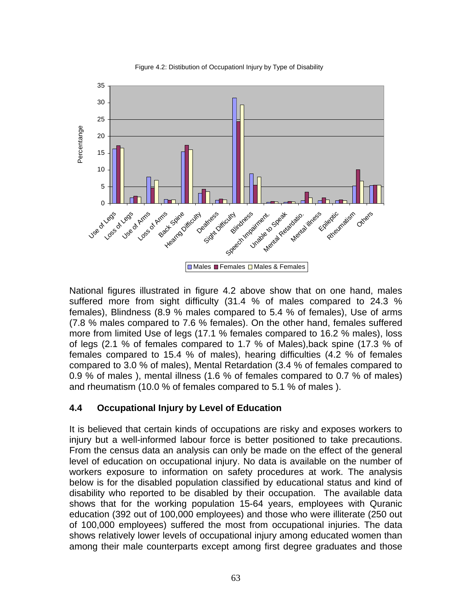

Figure 4.2: Distibution of Occupationl Injury by Type of Disability

National figures illustrated in figure 4.2 above show that on one hand, males suffered more from sight difficulty (31.4 % of males compared to 24.3 % females), Blindness (8.9 % males compared to 5.4 % of females), Use of arms (7.8 % males compared to 7.6 % females). On the other hand, females suffered more from limited Use of legs (17.1 % females compared to 16.2 % males), loss of legs (2.1 % of females compared to 1.7 % of Males),back spine (17.3 % of females compared to 15.4 % of males), hearing difficulties (4.2 % of females compared to 3.0 % of males), Mental Retardation (3.4 % of females compared to 0.9 % of males ), mental illness (1.6 % of females compared to 0.7 % of males) and rheumatism (10.0 % of females compared to 5.1 % of males ).

## **4.4 Occupational Injury by Level of Education**

It is believed that certain kinds of occupations are risky and exposes workers to injury but a well-informed labour force is better positioned to take precautions. From the census data an analysis can only be made on the effect of the general level of education on occupational injury. No data is available on the number of workers exposure to information on safety procedures at work. The analysis below is for the disabled population classified by educational status and kind of disability who reported to be disabled by their occupation. The available data shows that for the working population 15-64 years, employees with Quranic education (392 out of 100,000 employees) and those who were illiterate (250 out of 100,000 employees) suffered the most from occupational injuries. The data shows relatively lower levels of occupational injury among educated women than among their male counterparts except among first degree graduates and those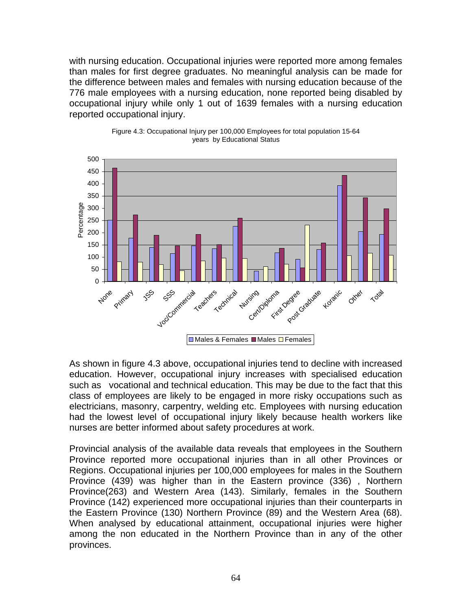with nursing education. Occupational injuries were reported more among females than males for first degree graduates. No meaningful analysis can be made for the difference between males and females with nursing education because of the 776 male employees with a nursing education, none reported being disabled by occupational injury while only 1 out of 1639 females with a nursing education reported occupational injury.





As shown in figure 4.3 above, occupational injuries tend to decline with increased education. However, occupational injury increases with specialised education such as vocational and technical education. This may be due to the fact that this class of employees are likely to be engaged in more risky occupations such as electricians, masonry, carpentry, welding etc. Employees with nursing education had the lowest level of occupational injury likely because health workers like nurses are better informed about safety procedures at work.

Provincial analysis of the available data reveals that employees in the Southern Province reported more occupational injuries than in all other Provinces or Regions. Occupational injuries per 100,000 employees for males in the Southern Province (439) was higher than in the Eastern province (336) , Northern Province(263) and Western Area (143). Similarly, females in the Southern Province (142) experienced more occupational injuries than their counterparts in the Eastern Province (130) Northern Province (89) and the Western Area (68). When analysed by educational attainment, occupational injuries were higher among the non educated in the Northern Province than in any of the other provinces.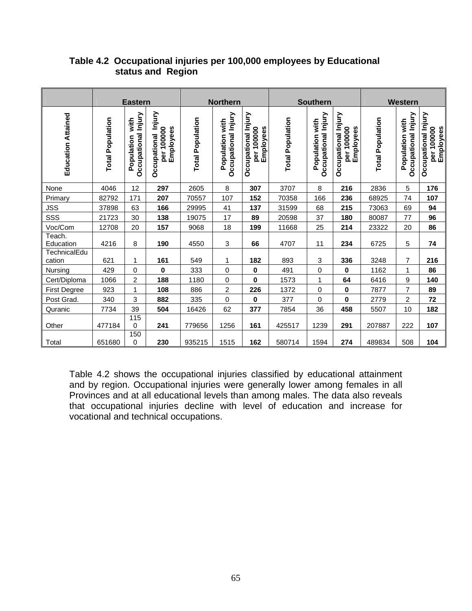|                           | <b>Eastern</b>          |                                           |                                                   | <b>Northern</b>         |                                        |                                                | <b>Southern</b>         |                                        |                                                | Western                 |                                        |                                                |
|---------------------------|-------------------------|-------------------------------------------|---------------------------------------------------|-------------------------|----------------------------------------|------------------------------------------------|-------------------------|----------------------------------------|------------------------------------------------|-------------------------|----------------------------------------|------------------------------------------------|
| <b>Education Attained</b> | <b>Total Population</b> | Occupational Injury<br>with<br>Population | Injury<br>Employees<br>per 100000<br>Occupational | <b>Total Population</b> | Occupational Injury<br>Population with | Occupational Injury<br>per 100000<br>Employees | <b>Total Population</b> | Occupational Injury<br>Population with | Occupational Injury<br>per 100000<br>Employees | <b>Total Population</b> | Occupational Injury<br>Population with | Occupational Injury<br>per 100000<br>Employees |
| None                      | 4046                    | 12                                        | 297                                               | 2605                    | 8                                      | 307                                            | 3707                    | 8                                      | 216                                            | 2836                    | 5                                      | 176                                            |
| Primary                   | 82792                   | 171                                       | 207                                               | 70557                   | 107                                    | 152                                            | 70358                   | 166                                    | 236                                            | 68925                   | 74                                     | 107                                            |
| <b>JSS</b>                | 37898                   | 63                                        | 166                                               | 29995                   | 41                                     | 137                                            | 31599                   | 68                                     | 215                                            | 73063                   | 69                                     | 94                                             |
| SSS                       | 21723                   | 30                                        | 138                                               | 19075                   | 17                                     | 89                                             | 20598                   | 37                                     | 180                                            | 80087                   | 77                                     | 96                                             |
| Voc/Com                   | 12708                   | 20                                        | 157                                               | 9068                    | 18                                     | 199                                            | 11668                   | 25                                     | 214                                            | 23322                   | 20                                     | 86                                             |
| Teach.<br>Education       | 4216                    | 8                                         | 190                                               | 4550                    | 3                                      | 66                                             | 4707                    | 11                                     | 234                                            | 6725                    | 5                                      | 74                                             |
| TechnicalEdu<br>cation    | 621                     | 1                                         | 161                                               | 549                     | 1                                      | 182                                            | 893                     | 3                                      | 336                                            | 3248                    | 7                                      | 216                                            |
| Nursing                   | 429                     | 0                                         | 0                                                 | 333                     | 0                                      | $\mathbf 0$                                    | 491                     | 0                                      | 0                                              | 1162                    | 1                                      | 86                                             |
| Cert/Diploma              | 1066                    | 2                                         | 188                                               | 1180                    | 0                                      | $\bf{0}$                                       | 1573                    | $\mathbf{1}$                           | 64                                             | 6416                    | 9                                      | 140                                            |
| First Degree              | 923                     | 1                                         | 108                                               | 886                     | 2                                      | 226                                            | 1372                    | 0                                      | 0                                              | 7877                    | 7                                      | 89                                             |
| Post Grad.                | 340                     | 3                                         | 882                                               | 335                     | 0                                      | $\bf{0}$                                       | 377                     | 0                                      | 0                                              | 2779                    | $\overline{c}$                         | 72                                             |
| Quranic                   | 7734                    | 39                                        | 504                                               | 16426                   | 62                                     | 377                                            | 7854                    | 36                                     | 458                                            | 5507                    | 10                                     | 182                                            |
| Other                     | 477184                  | 115<br>0                                  | 241                                               | 779656                  | 1256                                   | 161                                            | 425517                  | 1239                                   | 291                                            | 207887                  | 222                                    | 107                                            |
| Total                     | 651680                  | 150<br>0                                  | 230                                               | 935215                  | 1515                                   | 162                                            | 580714                  | 1594                                   | 274                                            | 489834                  | 508                                    | 104                                            |

## **Table 4.2 Occupational injuries per 100,000 employees by Educational status and Region**

Table 4.2 shows the occupational injuries classified by educational attainment and by region. Occupational injuries were generally lower among females in all Provinces and at all educational levels than among males. The data also reveals that occupational injuries decline with level of education and increase for vocational and technical occupations.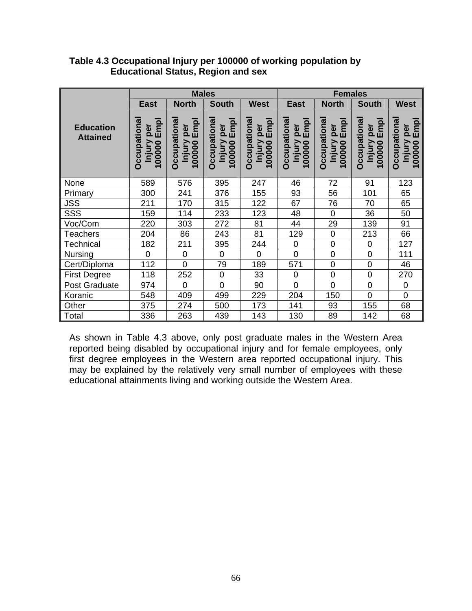|                                     |                                                       | <b>Males</b>                                                                     |                                                                                         |                                                                            | <b>Females</b>                                                            |                                               |                                                                                  |                                               |  |  |
|-------------------------------------|-------------------------------------------------------|----------------------------------------------------------------------------------|-----------------------------------------------------------------------------------------|----------------------------------------------------------------------------|---------------------------------------------------------------------------|-----------------------------------------------|----------------------------------------------------------------------------------|-----------------------------------------------|--|--|
|                                     | <b>East</b>                                           | <b>North</b>                                                                     | <b>South</b>                                                                            | <b>West</b>                                                                | <b>East</b>                                                               | <b>North</b>                                  | <b>South</b>                                                                     | <b>West</b>                                   |  |  |
| <b>Education</b><br><b>Attained</b> | <b>Occupationa</b><br>per<br>Empl<br>Injury<br>100000 | Occupationa<br>per<br>Empl<br><b>Injury</b><br>00000<br>$\overline{\phantom{0}}$ | per<br>Empl<br><b>Occupationa</b><br><b>Injury</b><br>00000<br>$\overline{\phantom{0}}$ | Occupationa<br>per<br>Empl<br>Injury<br>100000<br>$\overline{\phantom{0}}$ | Occupationa<br>per<br>Empl<br>Injury<br>00000<br>$\overline{\phantom{0}}$ | Occupationa<br>per<br>Empl<br>Injury<br>00000 | Occupationa<br>per<br>Empl<br><b>Injury</b><br>00000<br>$\overline{\phantom{0}}$ | Occupationa<br>per<br>Empl<br>Injury<br>00000 |  |  |
| None                                | 589                                                   | 576                                                                              | 395                                                                                     | 247                                                                        | 46                                                                        | 72                                            | 91                                                                               | 123                                           |  |  |
| Primary                             | 300                                                   | 241                                                                              | 376                                                                                     | 155                                                                        | 93                                                                        | 56                                            | 101                                                                              | 65                                            |  |  |
| <b>JSS</b>                          | 211                                                   | 170                                                                              | 315                                                                                     | 122                                                                        | 67                                                                        | 76                                            | 70                                                                               | 65                                            |  |  |
| SSS                                 | 159                                                   | 114                                                                              | 233                                                                                     | 123                                                                        | 48                                                                        | $\mathbf 0$                                   | 36                                                                               | 50                                            |  |  |
| Voc/Com                             | 220                                                   | 303                                                                              | 272                                                                                     | 81                                                                         | 44                                                                        | 29                                            | 139                                                                              | 91                                            |  |  |
| <b>Teachers</b>                     | 204                                                   | 86                                                                               | 243                                                                                     | 81                                                                         | 129                                                                       | $\boldsymbol{0}$                              | 213                                                                              | 66                                            |  |  |
| Technical                           | 182                                                   | 211                                                                              | 395                                                                                     | 244                                                                        | $\mathbf 0$                                                               | $\mathbf 0$                                   | $\mathbf 0$                                                                      | 127                                           |  |  |
| <b>Nursing</b>                      | $\overline{0}$                                        | $\mathsf 0$                                                                      | $\overline{0}$                                                                          | $\overline{0}$                                                             | $\overline{0}$                                                            | $\mathsf 0$                                   | $\mathbf 0$                                                                      | 111                                           |  |  |
| Cert/Diploma                        | 112                                                   | $\overline{0}$                                                                   | 79                                                                                      | 189                                                                        | 571                                                                       | $\mathsf 0$                                   | $\mathbf 0$                                                                      | 46                                            |  |  |
| <b>First Degree</b>                 | 118                                                   | 252                                                                              | 0                                                                                       | 33                                                                         | $\mathbf 0$                                                               | $\pmb{0}$                                     | $\mathbf 0$                                                                      | 270                                           |  |  |
| Post Graduate                       | 974                                                   | $\overline{0}$                                                                   | $\overline{0}$                                                                          | 90                                                                         | $\overline{0}$                                                            | $\overline{0}$                                | 0                                                                                | $\mathbf 0$                                   |  |  |
| Koranic                             | 548                                                   | 409                                                                              | 499                                                                                     | 229                                                                        | 204                                                                       | 150                                           | $\overline{0}$                                                                   | $\overline{0}$                                |  |  |
| Other                               | 375                                                   | 274                                                                              | 500                                                                                     | 173                                                                        | 141                                                                       | 93                                            | 155                                                                              | 68                                            |  |  |
| Total                               | 336                                                   | 263                                                                              | 439                                                                                     | 143                                                                        | 130                                                                       | 89                                            | 142                                                                              | 68                                            |  |  |

#### **Table 4.3 Occupational Injury per 100000 of working population by Educational Status, Region and sex**

As shown in Table 4.3 above, only post graduate males in the Western Area reported being disabled by occupational injury and for female employees, only first degree employees in the Western area reported occupational injury. This may be explained by the relatively very small number of employees with these educational attainments living and working outside the Western Area.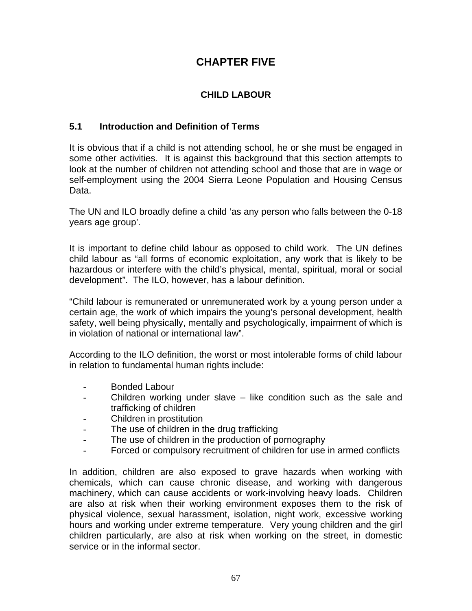# **CHAPTER FIVE**

# **CHILD LABOUR**

# **5.1 Introduction and Definition of Terms**

It is obvious that if a child is not attending school, he or she must be engaged in some other activities. It is against this background that this section attempts to look at the number of children not attending school and those that are in wage or self-employment using the 2004 Sierra Leone Population and Housing Census Data.

The UN and ILO broadly define a child 'as any person who falls between the 0-18 years age group'.

It is important to define child labour as opposed to child work. The UN defines child labour as "all forms of economic exploitation, any work that is likely to be hazardous or interfere with the child's physical, mental, spiritual, moral or social development". The ILO, however, has a labour definition.

"Child labour is remunerated or unremunerated work by a young person under a certain age, the work of which impairs the young's personal development, health safety, well being physically, mentally and psychologically, impairment of which is in violation of national or international law".

According to the ILO definition, the worst or most intolerable forms of child labour in relation to fundamental human rights include:

- Bonded Labour
- Children working under slave like condition such as the sale and trafficking of children
- Children in prostitution
- The use of children in the drug trafficking
- The use of children in the production of pornography
- Forced or compulsory recruitment of children for use in armed conflicts

In addition, children are also exposed to grave hazards when working with chemicals, which can cause chronic disease, and working with dangerous machinery, which can cause accidents or work-involving heavy loads. Children are also at risk when their working environment exposes them to the risk of physical violence, sexual harassment, isolation, night work, excessive working hours and working under extreme temperature. Very young children and the girl children particularly, are also at risk when working on the street, in domestic service or in the informal sector.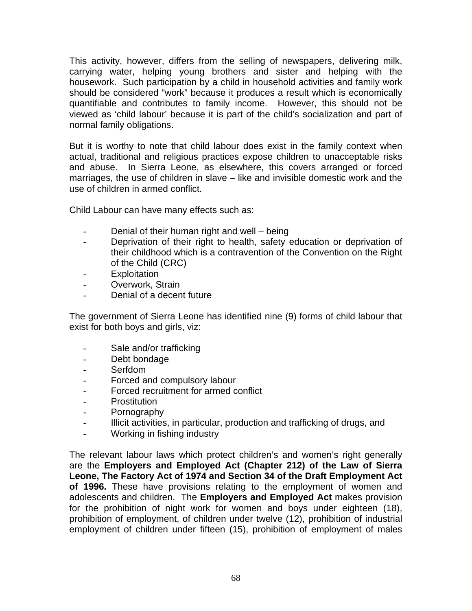This activity, however, differs from the selling of newspapers, delivering milk, carrying water, helping young brothers and sister and helping with the housework. Such participation by a child in household activities and family work should be considered "work" because it produces a result which is economically quantifiable and contributes to family income. However, this should not be viewed as 'child labour' because it is part of the child's socialization and part of normal family obligations.

But it is worthy to note that child labour does exist in the family context when actual, traditional and religious practices expose children to unacceptable risks and abuse. In Sierra Leone, as elsewhere, this covers arranged or forced marriages, the use of children in slave – like and invisible domestic work and the use of children in armed conflict.

Child Labour can have many effects such as:

- Denial of their human right and well being
- Deprivation of their right to health, safety education or deprivation of their childhood which is a contravention of the Convention on the Right of the Child (CRC)
- Exploitation
- Overwork, Strain
- Denial of a decent future

The government of Sierra Leone has identified nine (9) forms of child labour that exist for both boys and girls, viz:

- Sale and/or trafficking
- Debt bondage
- Serfdom
- Forced and compulsory labour
- Forced recruitment for armed conflict
- Prostitution
- Pornography
- Illicit activities, in particular, production and trafficking of drugs, and
- Working in fishing industry

The relevant labour laws which protect children's and women's right generally are the **Employers and Employed Act (Chapter 212) of the Law of Sierra Leone, The Factory Act of 1974 and Section 34 of the Draft Employment Act of 1996.** These have provisions relating to the employment of women and adolescents and children. The **Employers and Employed Act** makes provision for the prohibition of night work for women and boys under eighteen (18), prohibition of employment, of children under twelve (12), prohibition of industrial employment of children under fifteen (15), prohibition of employment of males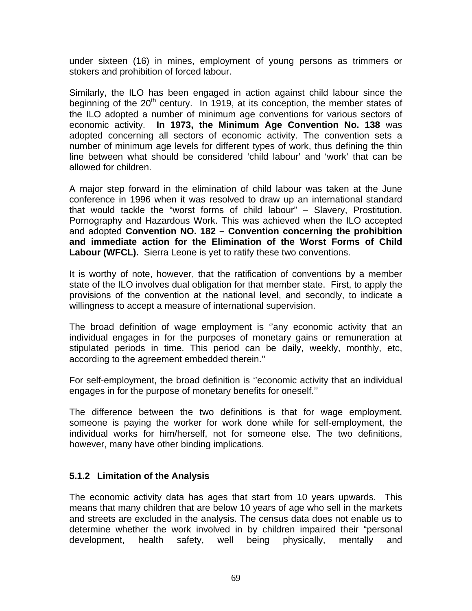under sixteen (16) in mines, employment of young persons as trimmers or stokers and prohibition of forced labour.

Similarly, the ILO has been engaged in action against child labour since the beginning of the  $20<sup>th</sup>$  century. In 1919, at its conception, the member states of the ILO adopted a number of minimum age conventions for various sectors of economic activity. **In 1973, the Minimum Age Convention No. 138** was adopted concerning all sectors of economic activity. The convention sets a number of minimum age levels for different types of work, thus defining the thin line between what should be considered 'child labour' and 'work' that can be allowed for children.

A major step forward in the elimination of child labour was taken at the June conference in 1996 when it was resolved to draw up an international standard that would tackle the "worst forms of child labour" – Slavery, Prostitution, Pornography and Hazardous Work. This was achieved when the ILO accepted and adopted **Convention NO. 182 – Convention concerning the prohibition and immediate action for the Elimination of the Worst Forms of Child Labour (WFCL).** Sierra Leone is yet to ratify these two conventions.

It is worthy of note, however, that the ratification of conventions by a member state of the ILO involves dual obligation for that member state. First, to apply the provisions of the convention at the national level, and secondly, to indicate a willingness to accept a measure of international supervision.

The broad definition of wage employment is ''any economic activity that an individual engages in for the purposes of monetary gains or remuneration at stipulated periods in time. This period can be daily, weekly, monthly, etc, according to the agreement embedded therein.''

For self-employment, the broad definition is ''economic activity that an individual engages in for the purpose of monetary benefits for oneself.''

The difference between the two definitions is that for wage employment, someone is paying the worker for work done while for self-employment, the individual works for him/herself, not for someone else. The two definitions, however, many have other binding implications.

#### **5.1.2 Limitation of the Analysis**

The economic activity data has ages that start from 10 years upwards. This means that many children that are below 10 years of age who sell in the markets and streets are excluded in the analysis. The census data does not enable us to determine whether the work involved in by children impaired their "personal development, health safety, well being physically, mentally and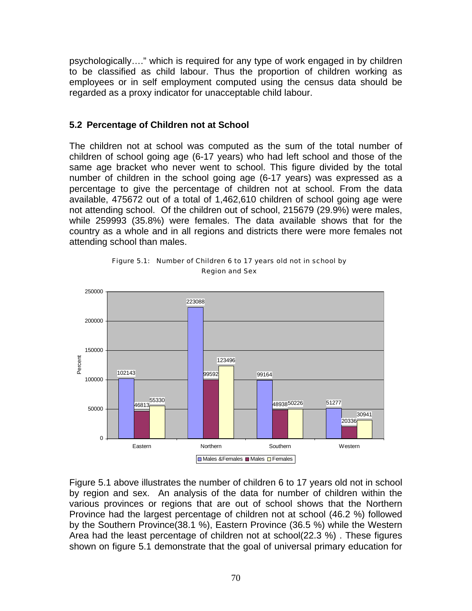psychologically…." which is required for any type of work engaged in by children to be classified as child labour. Thus the proportion of children working as employees or in self employment computed using the census data should be regarded as a proxy indicator for unacceptable child labour.

#### **5.2 Percentage of Children not at School**

The children not at school was computed as the sum of the total number of children of school going age (6-17 years) who had left school and those of the same age bracket who never went to school. This figure divided by the total number of children in the school going age (6-17 years) was expressed as a percentage to give the percentage of children not at school. From the data available, 475672 out of a total of 1,462,610 children of school going age were not attending school. Of the children out of school, 215679 (29.9%) were males, while 259993 (35.8%) were females. The data available shows that for the country as a whole and in all regions and districts there were more females not attending school than males.



Figure 5.1: Number of Children 6 to 17 years old not in school by Region and Sex

Figure 5.1 above illustrates the number of children 6 to 17 years old not in school by region and sex. An analysis of the data for number of children within the various provinces or regions that are out of school shows that the Northern Province had the largest percentage of children not at school (46.2 %) followed by the Southern Province(38.1 %), Eastern Province (36.5 %) while the Western Area had the least percentage of children not at school(22.3 %) . These figures shown on figure 5.1 demonstrate that the goal of universal primary education for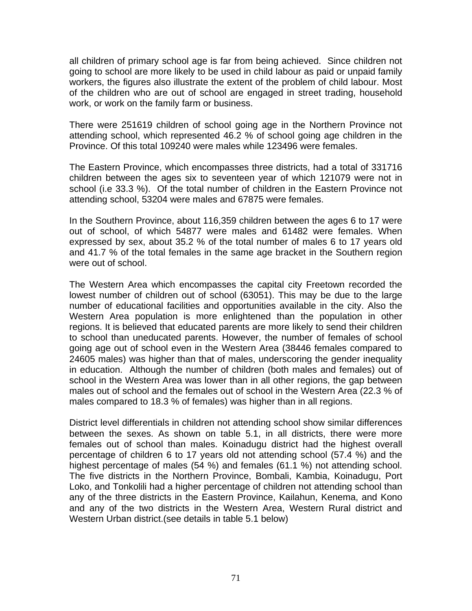all children of primary school age is far from being achieved. Since children not going to school are more likely to be used in child labour as paid or unpaid family workers, the figures also illustrate the extent of the problem of child labour. Most of the children who are out of school are engaged in street trading, household work, or work on the family farm or business.

There were 251619 children of school going age in the Northern Province not attending school, which represented 46.2 % of school going age children in the Province. Of this total 109240 were males while 123496 were females.

The Eastern Province, which encompasses three districts, had a total of 331716 children between the ages six to seventeen year of which 121079 were not in school (i.e 33.3 %). Of the total number of children in the Eastern Province not attending school, 53204 were males and 67875 were females.

In the Southern Province, about 116,359 children between the ages 6 to 17 were out of school, of which 54877 were males and 61482 were females. When expressed by sex, about 35.2 % of the total number of males 6 to 17 years old and 41.7 % of the total females in the same age bracket in the Southern region were out of school.

The Western Area which encompasses the capital city Freetown recorded the lowest number of children out of school (63051). This may be due to the large number of educational facilities and opportunities available in the city. Also the Western Area population is more enlightened than the population in other regions. It is believed that educated parents are more likely to send their children to school than uneducated parents. However, the number of females of school going age out of school even in the Western Area (38446 females compared to 24605 males) was higher than that of males, underscoring the gender inequality in education. Although the number of children (both males and females) out of school in the Western Area was lower than in all other regions, the gap between males out of school and the females out of school in the Western Area (22.3 % of males compared to 18.3 % of females) was higher than in all regions.

District level differentials in children not attending school show similar differences between the sexes. As shown on table 5.1, in all districts, there were more females out of school than males. Koinadugu district had the highest overall percentage of children 6 to 17 years old not attending school (57.4 %) and the highest percentage of males (54 %) and females (61.1 %) not attending school. The five districts in the Northern Province, Bombali, Kambia, Koinadugu, Port Loko, and Tonkolili had a higher percentage of children not attending school than any of the three districts in the Eastern Province, Kailahun, Kenema, and Kono and any of the two districts in the Western Area, Western Rural district and Western Urban district.(see details in table 5.1 below)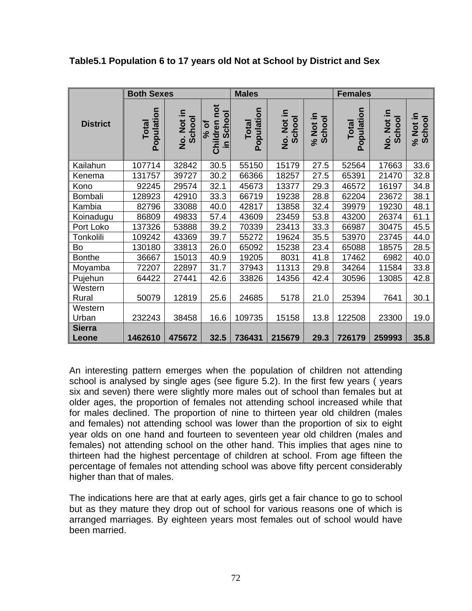|                        | <b>Both Sexes</b>   |                      |                                                           | <b>Males</b>               |                      |                    | <b>Females</b>      |                      |                    |  |
|------------------------|---------------------|----------------------|-----------------------------------------------------------|----------------------------|----------------------|--------------------|---------------------|----------------------|--------------------|--|
| <b>District</b>        | Population<br>Total | No. Not in<br>School | not<br><b>School</b><br>Children<br>$%$ of<br>ا <u>ء.</u> | Population<br><b>Total</b> | No. Not in<br>School | % Not in<br>School | Population<br>Total | No. Not in<br>School | % Not in<br>School |  |
| Kailahun               | 107714              | 32842                | 30.5                                                      | 55150                      | 15179                | 27.5               | 52564               | 17663                | 33.6               |  |
| Kenema                 | 131757              | 39727                | 30.2                                                      | 66366                      | 18257                | 27.5               | 65391               | 21470                | 32.8               |  |
| Kono                   | 92245               | 29574                | 32.1                                                      | 45673                      | 13377                | 29.3               | 46572               | 16197                | 34.8               |  |
| Bombali                | 128923              | 42910                | 33.3                                                      | 66719                      | 19238                | 28.8               | 62204               | 23672                | 38.1               |  |
| Kambia                 | 82796               | 33088                | 40.0                                                      | 42817                      | 13858                | 32.4               | 39979               | 19230                | 48.1               |  |
| Koinadugu              | 86809               | 49833                | 57.4                                                      | 43609                      | 23459                | 53.8               | 43200               | 26374                | 61.1               |  |
| Port Loko              | 137326              | 53888                | 39.2                                                      | 70339                      | 23413                | 33.3               | 66987               | 30475                | 45.5               |  |
| Tonkolili              | 109242              | 43369                | 39.7                                                      | 55272                      | 19624                | 35.5               | 53970               | 23745                | 44.0               |  |
| Bo                     | 130180              | 33813                | 26.0                                                      | 65092                      | 15238                | 23.4               | 65088               | 18575                | 28.5               |  |
| <b>Bonthe</b>          | 36667               | 15013                | 40.9                                                      | 19205                      | 8031                 | 41.8               | 17462               | 6982                 | 40.0               |  |
| Moyamba                | 72207               | 22897                | 31.7                                                      | 37943                      | 11313                | 29.8               | 34264               | 11584                | 33.8               |  |
| Pujehun                | 64422               | 27441                | 42.6                                                      | 33826                      | 14356                | 42.4               | 30596               | 13085                | 42.8               |  |
| Western<br>Rural       | 50079               | 12819                | 25.6                                                      | 24685                      | 5178                 | 21.0               | 25394               | 7641                 | 30.1               |  |
| Western<br>Urban       | 232243              | 38458                | 16.6                                                      | 109735                     | 15158                | 13.8               | 122508              | 23300                | 19.0               |  |
| <b>Sierra</b><br>Leone | 1462610             | 475672               | 32.5                                                      | 736431                     | 215679               | 29.3               | 726179              | 259993               | 35.8               |  |

**Table5.1 Population 6 to 17 years old Not at School by District and Sex**

An interesting pattern emerges when the population of children not attending school is analysed by single ages (see figure 5.2). In the first few years (years six and seven) there were slightly more males out of school than females but at older ages, the proportion of females not attending school increased while that for males declined. The proportion of nine to thirteen year old children (males and females) not attending school was lower than the proportion of six to eight year olds on one hand and fourteen to seventeen year old children (males and females) not attending school on the other hand. This implies that ages nine to thirteen had the highest percentage of children at school. From age fifteen the percentage of females not attending school was above fifty percent considerably higher than that of males.

The indications here are that at early ages, girls get a fair chance to go to school but as they mature they drop out of school for various reasons one of which is arranged marriages. By eighteen years most females out of school would have been married.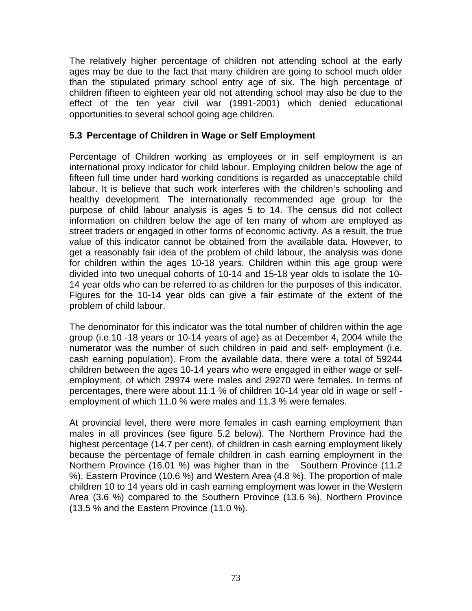The relatively higher percentage of children not attending school at the early ages may be due to the fact that many children are going to school much older than the stipulated primary school entry age of six. The high percentage of children fifteen to eighteen year old not attending school may also be due to the effect of the ten year civil war (1991-2001) which denied educational opportunities to several school going age children.

### **5.3 Percentage of Children in Wage or Self Employment**

Percentage of Children working as employees or in self employment is an international proxy indicator for child labour. Employing children below the age of fifteen full time under hard working conditions is regarded as unacceptable child labour. It is believe that such work interferes with the children's schooling and healthy development. The internationally recommended age group for the purpose of child labour analysis is ages 5 to 14. The census did not collect information on children below the age of ten many of whom are employed as street traders or engaged in other forms of economic activity. As a result, the true value of this indicator cannot be obtained from the available data. However, to get a reasonably fair idea of the problem of child labour, the analysis was done for children within the ages 10-18 years. Children within this age group were divided into two unequal cohorts of 10-14 and 15-18 year olds to isolate the 10- 14 year olds who can be referred to as children for the purposes of this indicator. Figures for the 10-14 year olds can give a fair estimate of the extent of the problem of child labour.

The denominator for this indicator was the total number of children within the age group (i.e.10 -18 years or 10-14 years of age) as at December 4, 2004 while the numerator was the number of such children in paid and self- employment (i.e. cash earning population). From the available data, there were a total of 59244 children between the ages 10-14 years who were engaged in either wage or selfemployment, of which 29974 were males and 29270 were females. In terms of percentages, there were about 11.1 % of children 10-14 year old in wage or self employment of which 11.0 % were males and 11.3 % were females.

At provincial level, there were more females in cash earning employment than males in all provinces (see figure 5.2 below). The Northern Province had the highest percentage (14.7 per cent), of children in cash earning employment likely because the percentage of female children in cash earning employment in the Northern Province (16.01 %) was higher than in the Southern Province (11.2 %), Eastern Province (10.6 %) and Western Area (4.8 %). The proportion of male children 10 to 14 years old in cash earning employment was lower in the Western Area (3.6 %) compared to the Southern Province (13.6 %), Northern Province (13.5 % and the Eastern Province (11.0 %).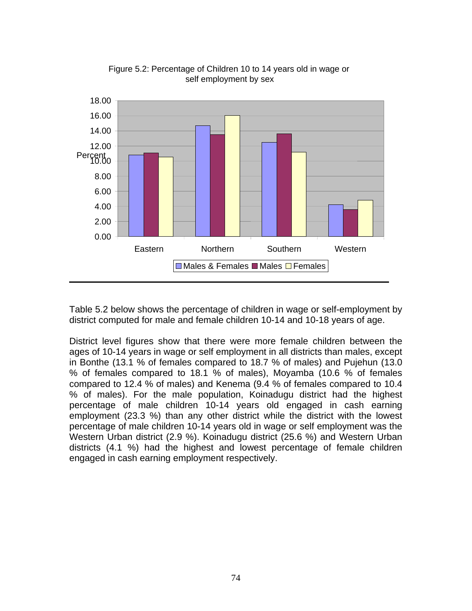

Figure 5.2: Percentage of Children 10 to 14 years old in wage or self employment by sex

Table 5.2 below shows the percentage of children in wage or self-employment by district computed for male and female children 10-14 and 10-18 years of age.

District level figures show that there were more female children between the ages of 10-14 years in wage or self employment in all districts than males, except in Bonthe (13.1 % of females compared to 18.7 % of males) and Pujehun (13.0 % of females compared to 18.1 % of males), Moyamba (10.6 % of females compared to 12.4 % of males) and Kenema (9.4 % of females compared to 10.4 % of males). For the male population, Koinadugu district had the highest percentage of male children 10-14 years old engaged in cash earning employment (23.3 %) than any other district while the district with the lowest percentage of male children 10-14 years old in wage or self employment was the Western Urban district (2.9 %). Koinadugu district (25.6 %) and Western Urban districts (4.1 %) had the highest and lowest percentage of female children engaged in cash earning employment respectively.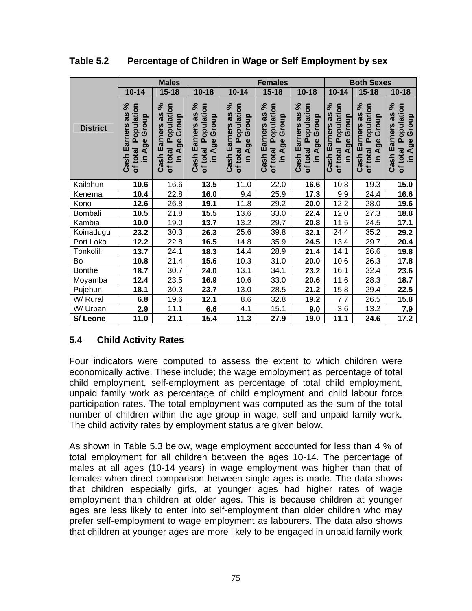|                 |                                                                                | <b>Males</b>                                                                       |                                                                             |                                                                      | <b>Females</b>                                                                             |                                                                                    | <b>Both Sexes</b>                                                                  |                                                                              |                                                                                 |  |
|-----------------|--------------------------------------------------------------------------------|------------------------------------------------------------------------------------|-----------------------------------------------------------------------------|----------------------------------------------------------------------|--------------------------------------------------------------------------------------------|------------------------------------------------------------------------------------|------------------------------------------------------------------------------------|------------------------------------------------------------------------------|---------------------------------------------------------------------------------|--|
|                 | $10 - 14$                                                                      | $15 - 18$                                                                          | $10 - 18$                                                                   | $10 - 14$                                                            | $15 - 18$                                                                                  | $10 - 18$                                                                          | $10 - 14$                                                                          | $15 - 18$                                                                    | $10 - 18$                                                                       |  |
| <b>District</b> | as %<br>Population<br>Age Group<br><b>Cash Earners</b><br>of total<br><u>ء</u> | న్<br>Population<br>as<br>Group<br><b>Earners</b><br>Age<br>of total<br>Cash<br>⊇. | న్<br>Population<br>as<br>Group<br>Earners<br>Age<br>of total<br>Cash<br>⊇. | Cash Earners as %<br>Population<br>Age Group<br>of total<br>$\equiv$ | న్<br>Population<br>as<br>Group<br><b>Earners</b><br>Age<br>total<br>Cash<br>$\equiv$<br>ð | ೢೕ<br>Population<br>as<br>Group<br><b>Earners</b><br>Age<br>of total<br>Cash<br>⊇. | వ్<br>Population<br>as<br>Group<br><b>Cash Earners</b><br>Age<br>of total<br>$\Xi$ | వ్<br>Population<br>Cash Earners as<br>Group<br>Age<br>of total<br><u>⊇.</u> | ೢೕ<br>Population<br>as<br>Group<br><b>Cash Earners</b><br>Age<br>of total<br>요. |  |
| Kailahun        | 10.6                                                                           | 16.6                                                                               | 13.5                                                                        | 11.0                                                                 | 22.0                                                                                       | 16.6                                                                               | 10.8                                                                               | 19.3                                                                         | 15.0                                                                            |  |
| Kenema          | 10.4                                                                           | 22.8                                                                               | 16.0                                                                        | 9.4                                                                  | 25.9                                                                                       | 17.3                                                                               | 9.9                                                                                | 24.4                                                                         | 16.6                                                                            |  |
| Kono            | 12.6                                                                           | 26.8                                                                               | 19.1                                                                        | 11.8                                                                 | 29.2                                                                                       | 20.0                                                                               | 12.2                                                                               | 28.0                                                                         | 19.6                                                                            |  |
| Bombali         | 10.5                                                                           | 21.8                                                                               | 15.5                                                                        | 13.6                                                                 | 33.0                                                                                       | 22.4                                                                               | 12.0                                                                               | 27.3                                                                         | 18.8                                                                            |  |
| Kambia          | 10.0                                                                           | 19.0                                                                               | 13.7                                                                        | 13.2                                                                 | 29.7                                                                                       | 20.8                                                                               | 11.5                                                                               | 24.5                                                                         | 17.1                                                                            |  |
| Koinadugu       | 23.2                                                                           | 30.3                                                                               | 26.3                                                                        | 25.6                                                                 | 39.8                                                                                       | 32.1                                                                               | 24.4                                                                               | 35.2                                                                         | 29.2                                                                            |  |
| Port Loko       | 12.2                                                                           | 22.8                                                                               | 16.5                                                                        | 14.8                                                                 | 35.9                                                                                       | 24.5                                                                               | 13.4                                                                               | 29.7                                                                         | 20.4                                                                            |  |
| Tonkolili       | 13.7                                                                           | 24.1                                                                               | 18.3                                                                        | 14.4                                                                 | 28.9                                                                                       | 21.4                                                                               | 14.1                                                                               | 26.6                                                                         | 19.8                                                                            |  |
| Bo              | 10.8                                                                           | 21.4                                                                               | 15.6                                                                        | 10.3                                                                 | 31.0                                                                                       | 20.0                                                                               | 10.6                                                                               | 26.3                                                                         | 17.8                                                                            |  |
| <b>Bonthe</b>   | 18.7                                                                           | 30.7                                                                               | 24.0                                                                        | 13.1                                                                 | 34.1                                                                                       | 23.2                                                                               | 16.1                                                                               | 32.4                                                                         | 23.6                                                                            |  |
| Moyamba         | 12.4                                                                           | 23.5                                                                               | 16.9                                                                        | 10.6                                                                 | 33.0                                                                                       | 20.6                                                                               | 11.6                                                                               | 28.3                                                                         | 18.7                                                                            |  |
| Pujehun         | 18.1                                                                           | 30.3                                                                               | 23.7                                                                        | 13.0                                                                 | 28.5                                                                                       | 21.2                                                                               | 15.8                                                                               | 29.4                                                                         | 22.5                                                                            |  |
| W/ Rural        | 6.8                                                                            | 19.6                                                                               | 12.1                                                                        | 8.6                                                                  | 32.8                                                                                       | 19.2                                                                               | 7.7                                                                                | 26.5                                                                         | 15.8                                                                            |  |
| W/ Urban        | 2.9                                                                            | 11.1                                                                               | 6.6                                                                         | 4.1                                                                  | 15.1                                                                                       | 9.0                                                                                | 3.6                                                                                | 13.2                                                                         | 7.9                                                                             |  |
| S/Leone         | 11.0                                                                           | 21.1                                                                               | 15.4                                                                        | 11.3                                                                 | 27.9                                                                                       | 19.0                                                                               | 11.1                                                                               | 24.6                                                                         | 17.2                                                                            |  |

**Table 5.2 Percentage of Children in Wage or Self Employment by sex** 

# **5.4 Child Activity Rates**

Four indicators were computed to assess the extent to which children were economically active. These include; the wage employment as percentage of total child employment, self-employment as percentage of total child employment, unpaid family work as percentage of child employment and child labour force participation rates. The total employment was computed as the sum of the total number of children within the age group in wage, self and unpaid family work. The child activity rates by employment status are given below.

As shown in Table 5.3 below, wage employment accounted for less than 4 % of total employment for all children between the ages 10-14. The percentage of males at all ages (10-14 years) in wage employment was higher than that of females when direct comparison between single ages is made. The data shows that children especially girls, at younger ages had higher rates of wage employment than children at older ages. This is because children at younger ages are less likely to enter into self-employment than older children who may prefer self-employment to wage employment as labourers. The data also shows that children at younger ages are more likely to be engaged in unpaid family work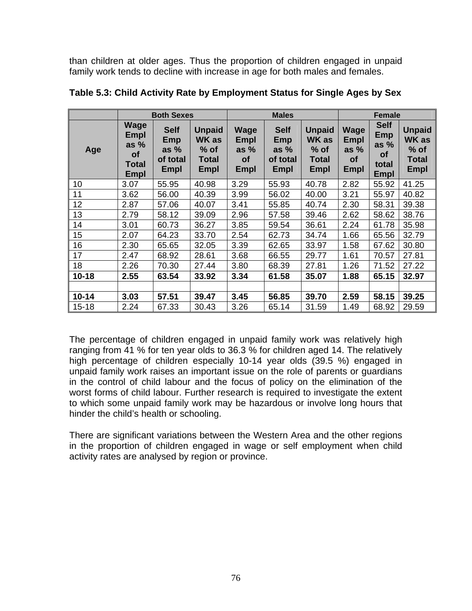than children at older ages. Thus the proportion of children engaged in unpaid family work tends to decline with increase in age for both males and females.

|           |                                                                           | <b>Both Sexes</b>                                |                                                          |                                                    | <b>Males</b>                                            |                                                                        | <b>Female</b>                               |                                                                          |                                                                        |  |
|-----------|---------------------------------------------------------------------------|--------------------------------------------------|----------------------------------------------------------|----------------------------------------------------|---------------------------------------------------------|------------------------------------------------------------------------|---------------------------------------------|--------------------------------------------------------------------------|------------------------------------------------------------------------|--|
| Age       | <b>Wage</b><br><b>Empl</b><br>as $%$<br><b>of</b><br>Total<br><b>Empl</b> | <b>Self</b><br>Emp<br>as $%$<br>of total<br>Empl | <b>Unpaid</b><br><b>WK</b> as<br>$%$ of<br>Total<br>Empl | Wage<br>Empl<br>as $%$<br><b>of</b><br><b>Empl</b> | <b>Self</b><br>Emp<br>as $%$<br>of total<br><b>Empl</b> | <b>Unpaid</b><br><b>WK</b> as<br>$%$ of<br><b>Total</b><br><b>Empl</b> | Wage<br>Empl<br>as $%$<br><b>of</b><br>Empl | <b>Self</b><br><b>Emp</b><br>as $%$<br><b>of</b><br>total<br><b>Empl</b> | <b>Unpaid</b><br><b>WK</b> as<br>$%$ of<br><b>Total</b><br><b>Empl</b> |  |
| 10        | 3.07                                                                      | 55.95                                            | 40.98                                                    | 3.29                                               | 55.93                                                   | 40.78                                                                  | 2.82                                        | 55.92                                                                    | 41.25                                                                  |  |
| 11        | 3.62                                                                      | 56.00                                            | 40.39                                                    | 3.99                                               | 56.02                                                   | 40.00                                                                  | 3.21                                        | 55.97                                                                    | 40.82                                                                  |  |
| 12        | 2.87                                                                      | 57.06                                            | 40.07                                                    | 3.41                                               | 55.85                                                   | 40.74                                                                  | 2.30                                        | 58.31                                                                    | 39.38                                                                  |  |
| 13        | 2.79                                                                      | 58.12                                            | 39.09                                                    | 2.96                                               | 57.58                                                   | 39.46                                                                  | 2.62                                        | 58.62                                                                    | 38.76                                                                  |  |
| 14        | 3.01                                                                      | 60.73                                            | 36.27                                                    | 3.85                                               | 59.54                                                   | 36.61                                                                  | 2.24                                        | 61.78                                                                    | 35.98                                                                  |  |
| 15        | 2.07                                                                      | 64.23                                            | 33.70                                                    | 2.54                                               | 62.73                                                   | 34.74                                                                  | 1.66                                        | 65.56                                                                    | 32.79                                                                  |  |
| 16        | 2.30                                                                      | 65.65                                            | 32.05                                                    | 3.39                                               | 62.65                                                   | 33.97                                                                  | 1.58                                        | 67.62                                                                    | 30.80                                                                  |  |
| 17        | 2.47                                                                      | 68.92                                            | 28.61                                                    | 3.68                                               | 66.55                                                   | 29.77                                                                  | 1.61                                        | 70.57                                                                    | 27.81                                                                  |  |
| 18        | 2.26                                                                      | 70.30                                            | 27.44                                                    | 3.80                                               | 68.39                                                   | 27.81                                                                  | 1.26                                        | 71.52                                                                    | 27.22                                                                  |  |
| $10 - 18$ | 2.55                                                                      | 63.54                                            | 33.92                                                    | 3.34                                               | 61.58                                                   | 35.07                                                                  | 1.88                                        | 65.15                                                                    | 32.97                                                                  |  |
|           |                                                                           |                                                  |                                                          |                                                    |                                                         |                                                                        |                                             |                                                                          |                                                                        |  |
| $10 - 14$ | 3.03                                                                      | 57.51                                            | 39.47                                                    | 3.45                                               | 56.85                                                   | 39.70                                                                  | 2.59                                        | 58.15                                                                    | 39.25                                                                  |  |
| $15 - 18$ | 2.24                                                                      | 67.33                                            | 30.43                                                    | 3.26                                               | 65.14                                                   | 31.59                                                                  | 1.49                                        | 68.92                                                                    | 29.59                                                                  |  |

**Table 5.3: Child Activity Rate by Employment Status for Single Ages by Sex** 

The percentage of children engaged in unpaid family work was relatively high ranging from 41 % for ten year olds to 36.3 % for children aged 14. The relatively high percentage of children especially 10-14 year olds (39.5 %) engaged in unpaid family work raises an important issue on the role of parents or guardians in the control of child labour and the focus of policy on the elimination of the worst forms of child labour. Further research is required to investigate the extent to which some unpaid family work may be hazardous or involve long hours that hinder the child's health or schooling.

There are significant variations between the Western Area and the other regions in the proportion of children engaged in wage or self employment when child activity rates are analysed by region or province.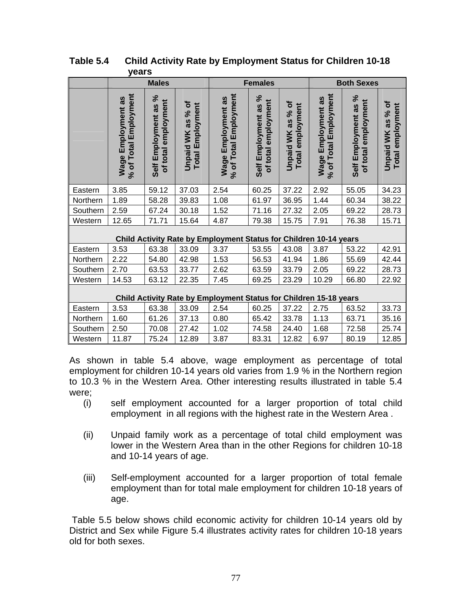|          | <b>Males</b>                                       |                                             |                                              | <b>Females</b>                                                    |                                             |                                                 | <b>Both Sexes</b>                           |                                             |                                       |
|----------|----------------------------------------------------|---------------------------------------------|----------------------------------------------|-------------------------------------------------------------------|---------------------------------------------|-------------------------------------------------|---------------------------------------------|---------------------------------------------|---------------------------------------|
|          | % of Total Employment<br><b>Wage Employment as</b> | Self Employment as %<br>of total employment | Unpaid WK as % of<br><b>Total Employment</b> | % of Total Employment<br>Wage Employment as                       | Self Employment as %<br>of total employment | as % of<br>Total employment<br><b>Unpaid WK</b> | % of Total Employment<br>Wage Employment as | Self Employment as %<br>of total employment | Unpaid WK as % of<br>Total employment |
| Eastern  | 3.85                                               | 59.12                                       | 37.03                                        | 2.54                                                              | 60.25                                       | 37.22                                           | 2.92                                        | 55.05                                       | 34.23                                 |
| Northern | 1.89                                               | 58.28                                       | 39.83                                        | 1.08                                                              | 61.97                                       | 36.95                                           | 1.44                                        | 60.34                                       | 38.22                                 |
| Southern | 2.59                                               | 67.24                                       | 30.18                                        | 1.52                                                              | 71.16                                       | 27.32                                           | 2.05                                        | 69.22                                       | 28.73                                 |
| Western  | 12.65                                              | 71.71                                       | 15.64                                        | 4.87                                                              | 79.38                                       | 15.75                                           | 7.91                                        | 76.38                                       | 15.71                                 |
|          |                                                    |                                             |                                              | Child Activity Rate by Employment Status for Children 10-14 years |                                             |                                                 |                                             |                                             |                                       |
| Eastern  | 3.53                                               | 63.38                                       | 33.09                                        | 3.37                                                              | 53.55                                       | 43.08                                           | 3.87                                        | 53.22                                       | 42.91                                 |
| Northern | 2.22                                               | 54.80                                       | 42.98                                        | 1.53                                                              | 56.53                                       | 41.94                                           | 1.86                                        | 55.69                                       | 42.44                                 |
| Southern | 2.70                                               | 63.53                                       | 33.77                                        | 2.62                                                              | 63.59                                       | 33.79                                           | 2.05                                        | 69.22                                       | 28.73                                 |
| Western  | 14.53                                              | 63.12                                       | 22.35                                        | 7.45                                                              | 69.25                                       | 23.29                                           | 10.29                                       | 66.80                                       | 22.92                                 |
|          |                                                    |                                             |                                              | Child Activity Rate by Employment Status for Children 15-18 years |                                             |                                                 |                                             |                                             |                                       |
| Eastern  | 3.53                                               | 63.38                                       | 33.09                                        | 2.54                                                              | 60.25                                       | 37.22                                           | 2.75                                        | 63.52                                       | 33.73                                 |
| Northern | 1.60                                               | 61.26                                       | 37.13                                        | 0.80                                                              | 65.42                                       | 33.78                                           | 1.13                                        | 63.71                                       | 35.16                                 |
| Southern | 2.50                                               | 70.08                                       | 27.42                                        | 1.02                                                              | 74.58                                       | 24.40                                           | 1.68                                        | 72.58                                       | 25.74                                 |
| Western  | 11.87                                              | 75.24                                       | 12.89                                        | 3.87                                                              | 83.31                                       | 12.82                                           | 6.97                                        | 80.19                                       | 12.85                                 |

**Table 5.4 Child Activity Rate by Employment Status for Children 10-18 years**

As shown in table 5.4 above, wage employment as percentage of total employment for children 10-14 years old varies from 1.9 % in the Northern region to 10.3 % in the Western Area. Other interesting results illustrated in table 5.4 were;

- (i) self employment accounted for a larger proportion of total child employment in all regions with the highest rate in the Western Area .
- (ii) Unpaid family work as a percentage of total child employment was lower in the Western Area than in the other Regions for children 10-18 and 10-14 years of age.
- (iii) Self-employment accounted for a larger proportion of total female employment than for total male employment for children 10-18 years of age.

 Table 5.5 below shows child economic activity for children 10-14 years old by District and Sex while Figure 5.4 illustrates activity rates for children 10-18 years old for both sexes.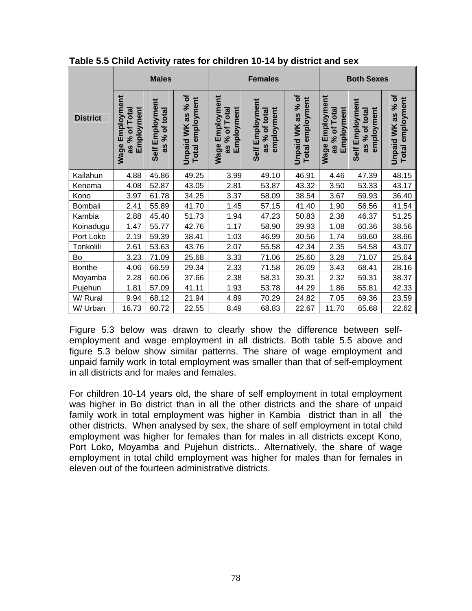|                 |                                                   | <b>Males</b>                                                   |                                              |                                                   | <b>Females</b>                                 |                                                 | <b>Both Sexes</b>                                 |                                                      |                                       |  |
|-----------------|---------------------------------------------------|----------------------------------------------------------------|----------------------------------------------|---------------------------------------------------|------------------------------------------------|-------------------------------------------------|---------------------------------------------------|------------------------------------------------------|---------------------------------------|--|
| <b>District</b> | Employment<br>Employment<br>as % of Total<br>Wage | Employment<br>total<br>$\overline{\sigma}$<br>ೢೕ<br>as<br>Self | Unpaid WK as % of<br><b>Total employment</b> | Employment<br>as % of Total<br>Employment<br>Wage | Self Employment<br>employment<br>as % of total | as % of<br>Total employment<br><b>Unpaid WK</b> | Employment<br>Employment<br>as % of Total<br>Wage | Employment<br>employment<br>% of total<br>as<br>Self | Unpaid WK as % of<br>Total employment |  |
| Kailahun        | 4.88                                              | 45.86                                                          | 49.25                                        | 3.99                                              | 49.10                                          | 46.91                                           | 4.46                                              | 47.39                                                | 48.15                                 |  |
| Kenema          | 4.08                                              | 52.87                                                          | 43.05                                        | 2.81                                              | 53.87                                          | 43.32                                           | 3.50                                              | 53.33                                                | 43.17                                 |  |
| Kono            | 3.97                                              | 61.78                                                          | 34.25                                        | 3.37                                              | 58.09                                          | 38.54                                           | 3.67                                              | 59.93                                                | 36.40                                 |  |
| Bombali         | 2.41                                              | 55.89                                                          | 41.70                                        | 1.45                                              | 57.15                                          | 41.40                                           | 1.90                                              | 56.56                                                | 41.54                                 |  |
| Kambia          | 2.88                                              | 45.40                                                          | 51.73                                        | 1.94                                              | 47.23                                          | 50.83                                           | 2.38                                              | 46.37                                                | 51.25                                 |  |
| Koinadugu       | 1.47                                              | 55.77                                                          | 42.76                                        | 1.17                                              | 58.90                                          | 39.93                                           | 1.08                                              | 60.36                                                | 38.56                                 |  |
| Port Loko       | 2.19                                              | 59.39                                                          | 38.41                                        | 1.03                                              | 46.99                                          | 30.56                                           | 1.74                                              | 59.60                                                | 38.66                                 |  |
| Tonkolili       | 2.61                                              | 53.63                                                          | 43.76                                        | 2.07                                              | 55.58                                          | 42.34                                           | 2.35                                              | 54.58                                                | 43.07                                 |  |
| Bo              | 3.23                                              | 71.09                                                          | 25.68                                        | 3.33                                              | 71.06                                          | 25.60                                           | 3.28                                              | 71.07                                                | 25.64                                 |  |
| <b>Bonthe</b>   | 4.06                                              | 66.59                                                          | 29.34                                        | 2.33                                              | 71.58                                          | 26.09                                           | 3.43                                              | 68.41                                                | 28.16                                 |  |
| Moyamba         | 2.28                                              | 60.06                                                          | 37.66                                        | 2.38                                              | 58.31                                          | 39.31                                           | 2.32                                              | 59.31                                                | 38.37                                 |  |
| Pujehun         | 1.81                                              | 57.09                                                          | 41.11                                        | 1.93                                              | 53.78                                          | 44.29                                           | 1.86                                              | 55.81                                                | 42.33                                 |  |
| W/ Rural        | 9.94                                              | 68.12                                                          | 21.94                                        | 4.89                                              | 70.29                                          | 24.82                                           | 7.05                                              | 69.36                                                | 23.59                                 |  |
| W/ Urban        | 16.73                                             | 60.72                                                          | 22.55                                        | 8.49                                              | 68.83                                          | 22.67                                           | 11.70                                             | 65.68                                                | 22.62                                 |  |

**Table 5.5 Child Activity rates for children 10-14 by district and sex**

Figure 5.3 below was drawn to clearly show the difference between selfemployment and wage employment in all districts. Both table 5.5 above and figure 5.3 below show similar patterns. The share of wage employment and unpaid family work in total employment was smaller than that of self-employment in all districts and for males and females.

For children 10-14 years old, the share of self employment in total employment was higher in Bo district than in all the other districts and the share of unpaid family work in total employment was higher in Kambia district than in all the other districts. When analysed by sex, the share of self employment in total child employment was higher for females than for males in all districts except Kono, Port Loko, Moyamba and Pujehun districts.. Alternatively, the share of wage employment in total child employment was higher for males than for females in eleven out of the fourteen administrative districts.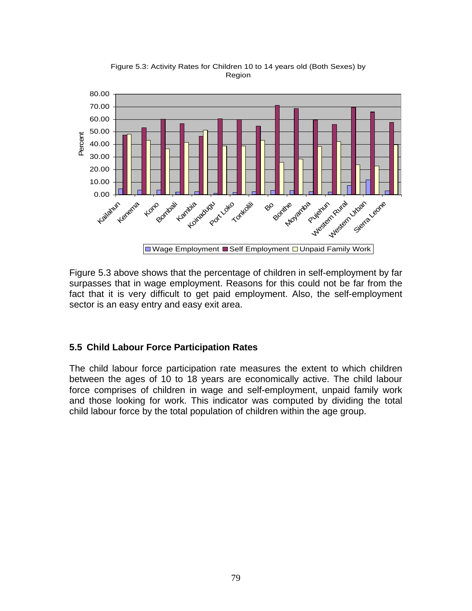

Figure 5.3: Activity Rates for Children 10 to 14 years old (Both Sexes) by Region

Figure 5.3 above shows that the percentage of children in self-employment by far surpasses that in wage employment. Reasons for this could not be far from the fact that it is very difficult to get paid employment. Also, the self-employment sector is an easy entry and easy exit area.

## **5.5 Child Labour Force Participation Rates**

The child labour force participation rate measures the extent to which children between the ages of 10 to 18 years are economically active. The child labour force comprises of children in wage and self-employment, unpaid family work and those looking for work. This indicator was computed by dividing the total child labour force by the total population of children within the age group.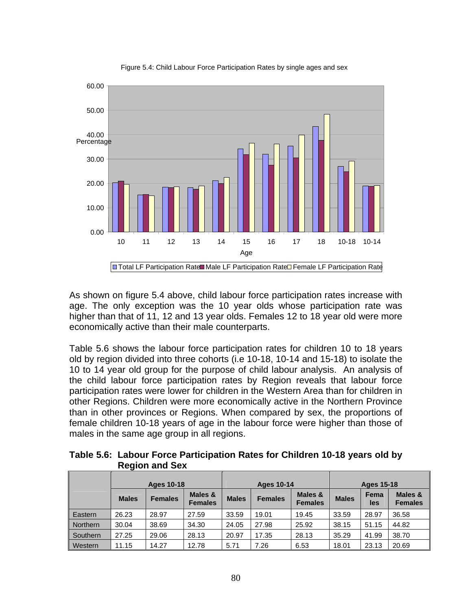

Figure 5.4: Child Labour Force Participation Rates by single ages and sex

As shown on figure 5.4 above, child labour force participation rates increase with age. The only exception was the 10 year olds whose participation rate was higher than that of 11, 12 and 13 year olds. Females 12 to 18 year old were more economically active than their male counterparts.

Table 5.6 shows the labour force participation rates for children 10 to 18 years old by region divided into three cohorts (i.e 10-18, 10-14 and 15-18) to isolate the 10 to 14 year old group for the purpose of child labour analysis. An analysis of the child labour force participation rates by Region reveals that labour force participation rates were lower for children in the Western Area than for children in other Regions. Children were more economically active in the Northern Province than in other provinces or Regions. When compared by sex, the proportions of female children 10-18 years of age in the labour force were higher than those of males in the same age group in all regions.

**Table 5.6: Labour Force Participation Rates for Children 10-18 years old by Region and Sex**

|                 | <b>Ages 10-18</b> |                |                           | <b>Ages 10-14</b> |                |                           | Ages 15-18   |             |                           |
|-----------------|-------------------|----------------|---------------------------|-------------------|----------------|---------------------------|--------------|-------------|---------------------------|
|                 | <b>Males</b>      | <b>Females</b> | Males &<br><b>Females</b> | <b>Males</b>      | <b>Females</b> | Males &<br><b>Females</b> | <b>Males</b> | Fema<br>les | Males &<br><b>Females</b> |
| Eastern         | 26.23             | 28.97          | 27.59                     | 33.59             | 19.01          | 19.45                     | 33.59        | 28.97       | 36.58                     |
| <b>Northern</b> | 30.04             | 38.69          | 34.30                     | 24.05             | 27.98          | 25.92                     | 38.15        | 51.15       | 44.82                     |
| Southern        | 27.25             | 29.06          | 28.13                     | 20.97             | 17.35          | 28.13                     | 35.29        | 41.99       | 38.70                     |
| Western         | 11.15             | 14.27          | 12.78                     | 5.71              | 7.26           | 6.53                      | 18.01        | 23.13       | 20.69                     |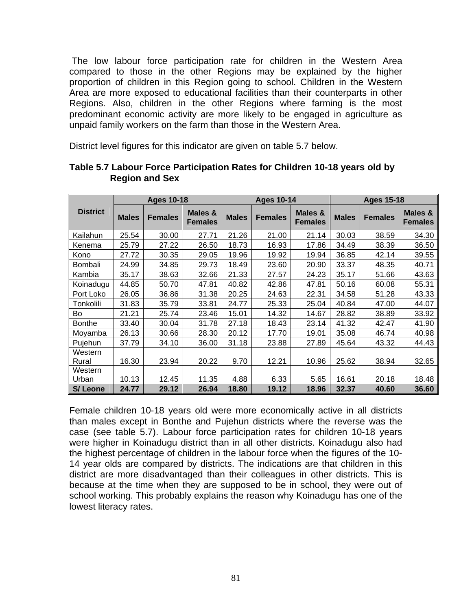The low labour force participation rate for children in the Western Area compared to those in the other Regions may be explained by the higher proportion of children in this Region going to school. Children in the Western Area are more exposed to educational facilities than their counterparts in other Regions. Also, children in the other Regions where farming is the most predominant economic activity are more likely to be engaged in agriculture as unpaid family workers on the farm than those in the Western Area.

District level figures for this indicator are given on table 5.7 below.

| <b>Ages 10-18</b> |              |                |                                      |              | <b>Ages 10-14</b> |                           | <b>Ages 15-18</b> |                |                                      |  |
|-------------------|--------------|----------------|--------------------------------------|--------------|-------------------|---------------------------|-------------------|----------------|--------------------------------------|--|
| <b>District</b>   | <b>Males</b> | <b>Females</b> | <b>Males &amp;</b><br><b>Females</b> | <b>Males</b> | <b>Females</b>    | Males &<br><b>Females</b> | <b>Males</b>      | <b>Females</b> | <b>Males &amp;</b><br><b>Females</b> |  |
| Kailahun          | 25.54        | 30.00          | 27.71                                | 21.26        | 21.00             | 21.14                     | 30.03             | 38.59          | 34.30                                |  |
| Kenema            | 25.79        | 27.22          | 26.50                                | 18.73        | 16.93             | 17.86                     | 34.49             | 38.39          | 36.50                                |  |
| Kono              | 27.72        | 30.35          | 29.05                                | 19.96        | 19.92             | 19.94                     | 36.85             | 42.14          | 39.55                                |  |
| Bombali           | 24.99        | 34.85          | 29.73                                | 18.49        | 23.60             | 20.90                     | 33.37             | 48.35          | 40.71                                |  |
| Kambia            | 35.17        | 38.63          | 32.66                                | 21.33        | 27.57             | 24.23                     | 35.17             | 51.66          | 43.63                                |  |
| Koinadugu         | 44.85        | 50.70          | 47.81                                | 40.82        | 42.86             | 47.81                     | 50.16             | 60.08          | 55.31                                |  |
| Port Loko         | 26.05        | 36.86          | 31.38                                | 20.25        | 24.63             | 22.31                     | 34.58             | 51.28          | 43.33                                |  |
| Tonkolili         | 31.83        | 35.79          | 33.81                                | 24.77        | 25.33             | 25.04                     | 40.84             | 47.00          | 44.07                                |  |
| Bo                | 21.21        | 25.74          | 23.46                                | 15.01        | 14.32             | 14.67                     | 28.82             | 38.89          | 33.92                                |  |
| <b>Bonthe</b>     | 33.40        | 30.04          | 31.78                                | 27.18        | 18.43             | 23.14                     | 41.32             | 42.47          | 41.90                                |  |
| Moyamba           | 26.13        | 30.66          | 28.30                                | 20.12        | 17.70             | 19.01                     | 35.08             | 46.74          | 40.98                                |  |
| Pujehun           | 37.79        | 34.10          | 36.00                                | 31.18        | 23.88             | 27.89                     | 45.64             | 43.32          | 44.43                                |  |
| Western<br>Rural  | 16.30        | 23.94          | 20.22                                | 9.70         | 12.21             | 10.96                     | 25.62             | 38.94          | 32.65                                |  |
| Western<br>Urban  | 10.13        | 12.45          | 11.35                                | 4.88         | 6.33              | 5.65                      | 16.61             | 20.18          | 18.48                                |  |
| <b>S/Leone</b>    | 24.77        | 29.12          | 26.94                                | 18.80        | 19.12             | 18.96                     | 32.37             | 40.60          | 36.60                                |  |

#### **Table 5.7 Labour Force Participation Rates for Children 10-18 years old by Region and Sex**

Female children 10-18 years old were more economically active in all districts than males except in Bonthe and Pujehun districts where the reverse was the case (see table 5.7). Labour force participation rates for children 10-18 years were higher in Koinadugu district than in all other districts. Koinadugu also had the highest percentage of children in the labour force when the figures of the 10- 14 year olds are compared by districts. The indications are that children in this district are more disadvantaged than their colleagues in other districts. This is because at the time when they are supposed to be in school, they were out of school working. This probably explains the reason why Koinadugu has one of the lowest literacy rates.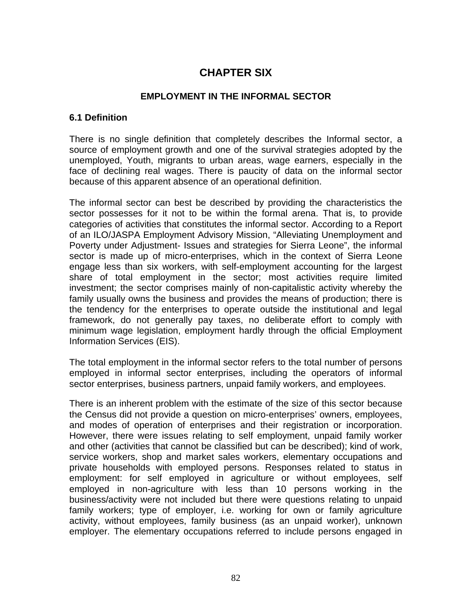# **CHAPTER SIX**

#### **EMPLOYMENT IN THE INFORMAL SECTOR**

#### **6.1 Definition**

There is no single definition that completely describes the Informal sector, a source of employment growth and one of the survival strategies adopted by the unemployed, Youth, migrants to urban areas, wage earners, especially in the face of declining real wages. There is paucity of data on the informal sector because of this apparent absence of an operational definition.

The informal sector can best be described by providing the characteristics the sector possesses for it not to be within the formal arena. That is, to provide categories of activities that constitutes the informal sector. According to a Report of an ILO/JASPA Employment Advisory Mission, "Alleviating Unemployment and Poverty under Adjustment- Issues and strategies for Sierra Leone", the informal sector is made up of micro-enterprises, which in the context of Sierra Leone engage less than six workers, with self-employment accounting for the largest share of total employment in the sector; most activities require limited investment; the sector comprises mainly of non-capitalistic activity whereby the family usually owns the business and provides the means of production; there is the tendency for the enterprises to operate outside the institutional and legal framework, do not generally pay taxes, no deliberate effort to comply with minimum wage legislation, employment hardly through the official Employment Information Services (EIS).

The total employment in the informal sector refers to the total number of persons employed in informal sector enterprises, including the operators of informal sector enterprises, business partners, unpaid family workers, and employees.

There is an inherent problem with the estimate of the size of this sector because the Census did not provide a question on micro-enterprises' owners, employees, and modes of operation of enterprises and their registration or incorporation. However, there were issues relating to self employment, unpaid family worker and other (activities that cannot be classified but can be described); kind of work, service workers, shop and market sales workers, elementary occupations and private households with employed persons. Responses related to status in employment: for self employed in agriculture or without employees, self employed in non-agriculture with less than 10 persons working in the business/activity were not included but there were questions relating to unpaid family workers; type of employer, i.e. working for own or family agriculture activity, without employees, family business (as an unpaid worker), unknown employer. The elementary occupations referred to include persons engaged in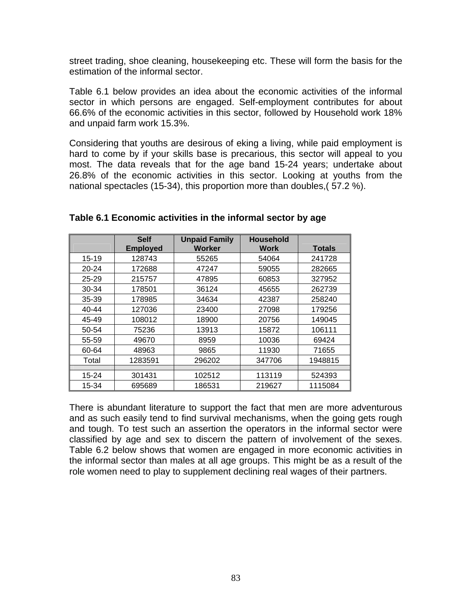street trading, shoe cleaning, housekeeping etc. These will form the basis for the estimation of the informal sector.

Table 6.1 below provides an idea about the economic activities of the informal sector in which persons are engaged. Self-employment contributes for about 66.6% of the economic activities in this sector, followed by Household work 18% and unpaid farm work 15.3%.

Considering that youths are desirous of eking a living, while paid employment is hard to come by if your skills base is precarious, this sector will appeal to you most. The data reveals that for the age band 15-24 years; undertake about 26.8% of the economic activities in this sector. Looking at youths from the national spectacles (15-34), this proportion more than doubles,( 57.2 %).

|           | <b>Self</b><br><b>Employed</b> | <b>Unpaid Family</b><br><b>Worker</b> | <b>Household</b><br><b>Work</b> | <b>Totals</b> |
|-----------|--------------------------------|---------------------------------------|---------------------------------|---------------|
| $15 - 19$ | 128743                         | 55265                                 | 54064                           | 241728        |
| $20 - 24$ | 172688                         | 47247                                 | 59055                           | 282665        |
| $25 - 29$ | 215757                         | 47895                                 | 60853                           | 327952        |
| 30-34     | 178501                         | 36124                                 | 45655                           | 262739        |
| $35 - 39$ | 178985                         | 34634                                 | 42387                           | 258240        |
| $40 - 44$ | 127036                         | 23400                                 | 27098                           | 179256        |
| 45-49     | 108012                         | 18900                                 | 20756                           | 149045        |
| 50-54     | 75236                          | 13913                                 | 15872                           | 106111        |
| 55-59     | 49670                          | 8959                                  | 10036                           | 69424         |
| 60-64     | 48963                          | 9865                                  | 11930                           | 71655         |
| Total     | 1283591                        | 296202                                | 347706                          | 1948815       |
|           |                                |                                       |                                 |               |
| 15-24     | 301431                         | 102512                                | 113119                          | 524393        |
| 15-34     | 695689                         | 186531                                | 219627                          | 1115084       |

#### **Table 6.1 Economic activities in the informal sector by age**

There is abundant literature to support the fact that men are more adventurous and as such easily tend to find survival mechanisms, when the going gets rough and tough. To test such an assertion the operators in the informal sector were classified by age and sex to discern the pattern of involvement of the sexes. Table 6.2 below shows that women are engaged in more economic activities in the informal sector than males at all age groups. This might be as a result of the role women need to play to supplement declining real wages of their partners.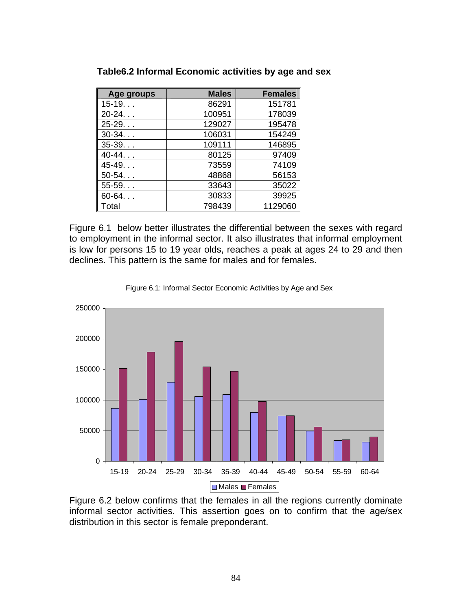| Age groups | <b>Males</b> | <b>Females</b> |
|------------|--------------|----------------|
| $15-19$    | 86291        | 151781         |
| $20-24.$   | 100951       | 178039         |
| $25-29$    | 129027       | 195478         |
| $30-34$    | 106031       | 154249         |
| $35-39.$   | 109111       | 146895         |
| $40-44$    | 80125        | 97409          |
| $45-49.$   | 73559        | 74109          |
| $50-54.$   | 48868        | 56153          |
| $55-59.$   | 33643        | 35022          |
| $60-64$    | 30833        | 39925          |
| Total      | 798439       | 1129060        |

**Table6.2 Informal Economic activities by age and sex** 

Figure 6.1 below better illustrates the differential between the sexes with regard to employment in the informal sector. It also illustrates that informal employment is low for persons 15 to 19 year olds, reaches a peak at ages 24 to 29 and then declines. This pattern is the same for males and for females.





Figure 6.2 below confirms that the females in all the regions currently dominate informal sector activities. This assertion goes on to confirm that the age/sex distribution in this sector is female preponderant.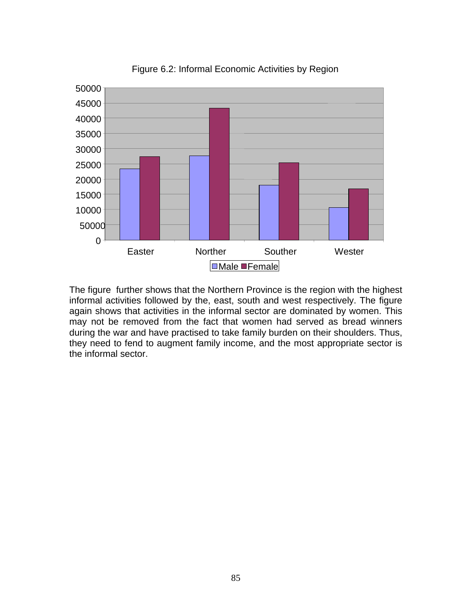

Figure 6.2: Informal Economic Activities by Region

The figure further shows that the Northern Province is the region with the highest informal activities followed by the, east, south and west respectively. The figure again shows that activities in the informal sector are dominated by women. This may not be removed from the fact that women had served as bread winners during the war and have practised to take family burden on their shoulders. Thus, they need to fend to augment family income, and the most appropriate sector is the informal sector.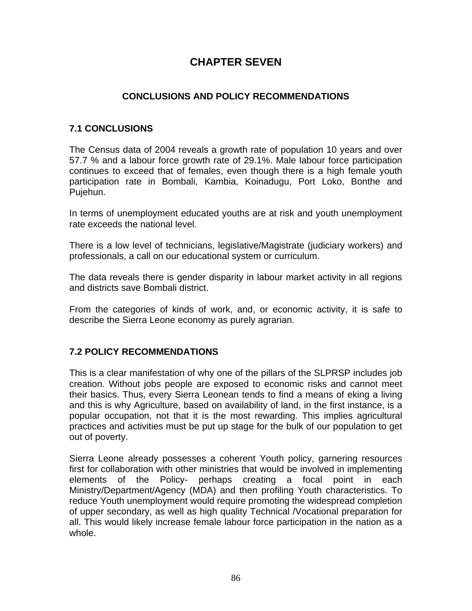# **CHAPTER SEVEN**

# **CONCLUSIONS AND POLICY RECOMMENDATIONS**

### **7.1 CONCLUSIONS**

The Census data of 2004 reveals a growth rate of population 10 years and over 57.7 % and a labour force growth rate of 29.1%. Male labour force participation continues to exceed that of females, even though there is a high female youth participation rate in Bombali, Kambia, Koinadugu, Port Loko, Bonthe and Pujehun.

In terms of unemployment educated youths are at risk and youth unemployment rate exceeds the national level.

There is a low level of technicians, legislative/Magistrate (judiciary workers) and professionals, a call on our educational system or curriculum.

The data reveals there is gender disparity in labour market activity in all regions and districts save Bombali district.

From the categories of kinds of work, and, or economic activity, it is safe to describe the Sierra Leone economy as purely agrarian.

## **7.2 POLICY RECOMMENDATIONS**

This is a clear manifestation of why one of the pillars of the SLPRSP includes job creation. Without jobs people are exposed to economic risks and cannot meet their basics. Thus, every Sierra Leonean tends to find a means of eking a living and this is why Agriculture, based on availability of land, in the first instance, is a popular occupation, not that it is the most rewarding. This implies agricultural practices and activities must be put up stage for the bulk of our population to get out of poverty.

Sierra Leone already possesses a coherent Youth policy, garnering resources first for collaboration with other ministries that would be involved in implementing elements of the Policy- perhaps creating a focal point in each Ministry/Department/Agency (MDA) and then profiling Youth characteristics. To reduce Youth unemployment would require promoting the widespread completion of upper secondary, as well as high quality Technical /Vocational preparation for all. This would likely increase female labour force participation in the nation as a whole.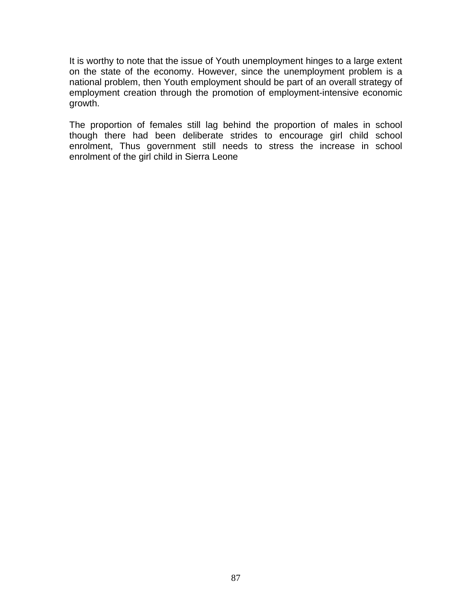It is worthy to note that the issue of Youth unemployment hinges to a large extent on the state of the economy. However, since the unemployment problem is a national problem, then Youth employment should be part of an overall strategy of employment creation through the promotion of employment-intensive economic growth.

The proportion of females still lag behind the proportion of males in school though there had been deliberate strides to encourage girl child school enrolment, Thus government still needs to stress the increase in school enrolment of the girl child in Sierra Leone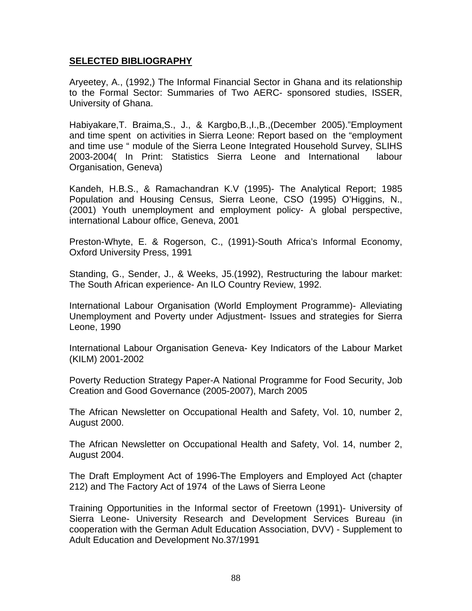#### **SELECTED BIBLIOGRAPHY**

Aryeetey, A., (1992,) The Informal Financial Sector in Ghana and its relationship to the Formal Sector: Summaries of Two AERC- sponsored studies, ISSER, University of Ghana.

Habiyakare,T. Braima,S., J., & Kargbo,B.,I.,B.,(December 2005)."Employment and time spent on activities in Sierra Leone: Report based on the "employment and time use " module of the Sierra Leone Integrated Household Survey, SLIHS 2003-2004( In Print: Statistics Sierra Leone and International labour Organisation, Geneva)

Kandeh, H.B.S., & Ramachandran K.V (1995)- The Analytical Report; 1985 Population and Housing Census, Sierra Leone, CSO (1995) O'Higgins, N., (2001) Youth unemployment and employment policy- A global perspective, international Labour office, Geneva, 2001

Preston-Whyte, E. & Rogerson, C., (1991)-South Africa's Informal Economy, Oxford University Press, 1991

Standing, G., Sender, J., & Weeks, J5.(1992), Restructuring the labour market: The South African experience- An ILO Country Review, 1992.

International Labour Organisation (World Employment Programme)- Alleviating Unemployment and Poverty under Adjustment- Issues and strategies for Sierra Leone, 1990

International Labour Organisation Geneva- Key Indicators of the Labour Market (KILM) 2001-2002

Poverty Reduction Strategy Paper-A National Programme for Food Security, Job Creation and Good Governance (2005-2007), March 2005

The African Newsletter on Occupational Health and Safety, Vol. 10, number 2, August 2000.

The African Newsletter on Occupational Health and Safety, Vol. 14, number 2, August 2004.

The Draft Employment Act of 1996-The Employers and Employed Act (chapter 212) and The Factory Act of 1974 of the Laws of Sierra Leone

Training Opportunities in the Informal sector of Freetown (1991)- University of Sierra Leone- University Research and Development Services Bureau (in cooperation with the German Adult Education Association, DVV) - Supplement to Adult Education and Development No.37/1991